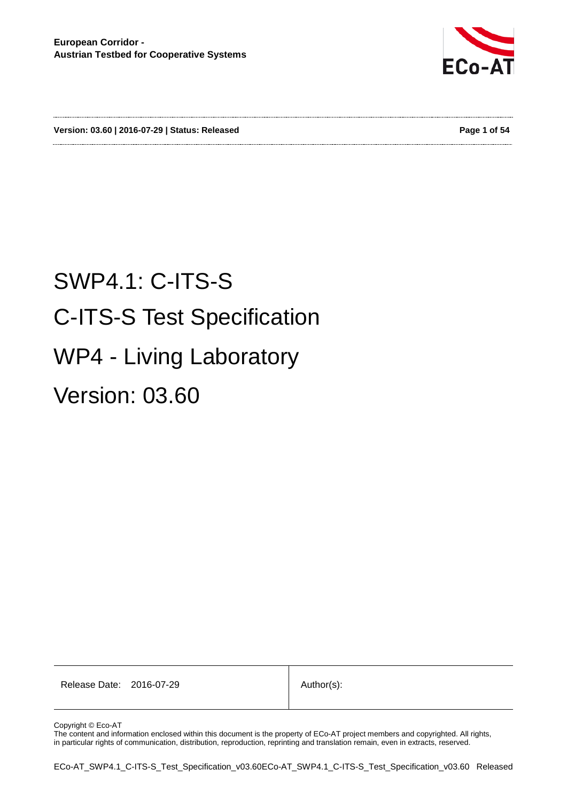

**Version: 03.60 | 2016-07-29 | Status: Released Page 1 of 54**

# SWP4.1: C-ITS-S C-ITS-S Test Specification WP4 - Living Laboratory Version: 03.60

Release Date: 2016-07-29 | Author(s):

Copyright © Eco-AT

The content and information enclosed within this document is the property of ECo-AT project members and copyrighted. All rights, in particular rights of communication, distribution, reproduction, reprinting and translation remain, even in extracts, reserved.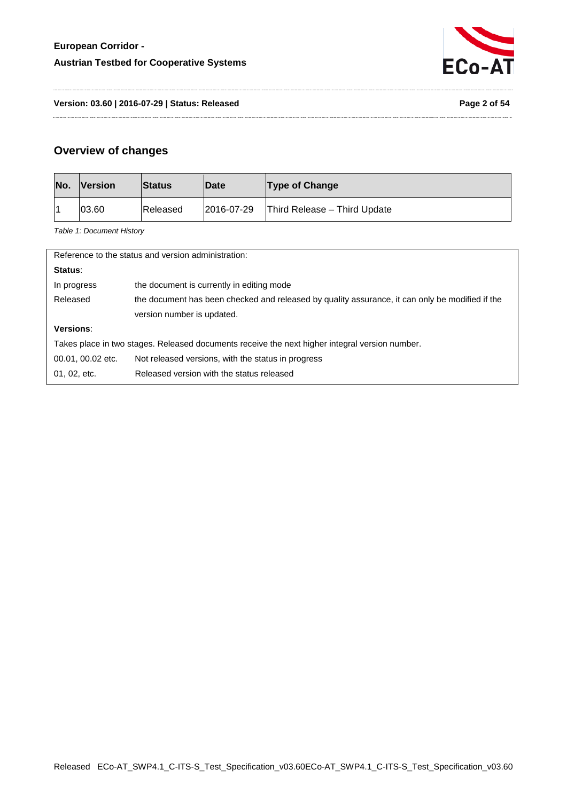

**Version: 03.60 | 2016-07-29 | Status: Released Page 2 of 54**

## **Overview of changes**

<span id="page-1-0"></span>

| No. | <b>Version</b> | <b>Status</b> | <b>Date</b> | <b>Type of Change</b>        |
|-----|----------------|---------------|-------------|------------------------------|
|     | 03.60          | Released      | 2016-07-29  | Third Release - Third Update |

*Table 1: Document History*

| Reference to the status and version administration:                                            |                                                                                                 |  |  |  |  |
|------------------------------------------------------------------------------------------------|-------------------------------------------------------------------------------------------------|--|--|--|--|
| Status:                                                                                        |                                                                                                 |  |  |  |  |
| In progress                                                                                    | the document is currently in editing mode                                                       |  |  |  |  |
| Released                                                                                       | the document has been checked and released by quality assurance, it can only be modified if the |  |  |  |  |
|                                                                                                | version number is updated.                                                                      |  |  |  |  |
| Versions:                                                                                      |                                                                                                 |  |  |  |  |
| Takes place in two stages. Released documents receive the next higher integral version number. |                                                                                                 |  |  |  |  |
| 00.01, 00.02 etc.<br>Not released versions, with the status in progress                        |                                                                                                 |  |  |  |  |
| 01, 02, etc.                                                                                   | Released version with the status released                                                       |  |  |  |  |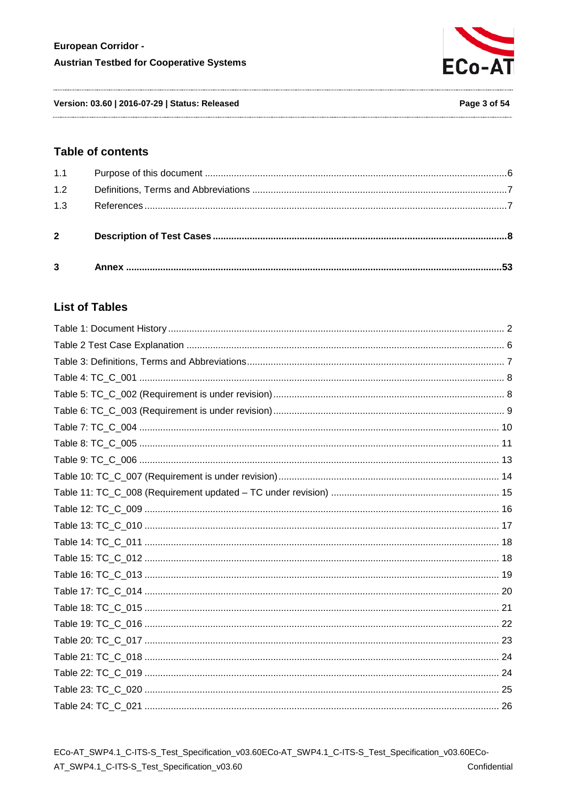

Version: 03.60 | 2016-07-29 | Status: Released

#### **Table of contents**

| 1.1            |  |
|----------------|--|
| 1.2            |  |
| 1.3            |  |
| $\overline{2}$ |  |
| $\overline{3}$ |  |

# **List of Tables**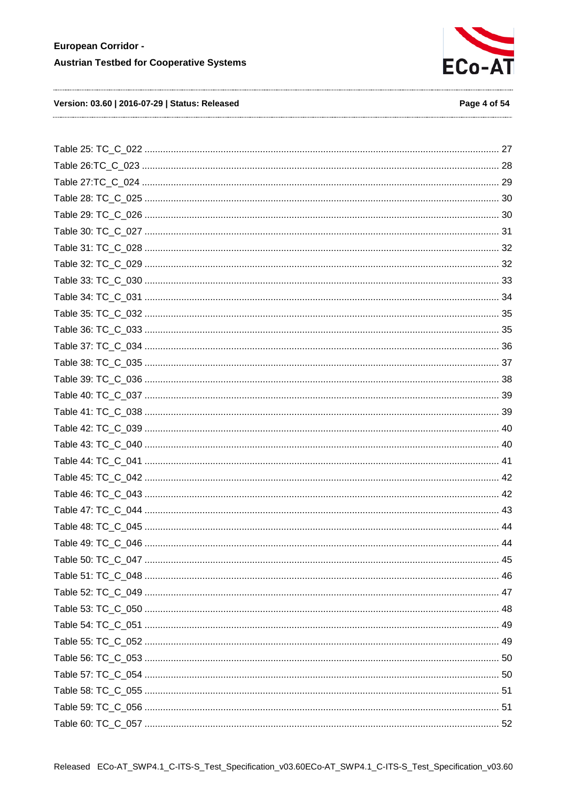

#### Version: 03.60 | 2016-07-29 | Status: Released

#### Page 4 of 54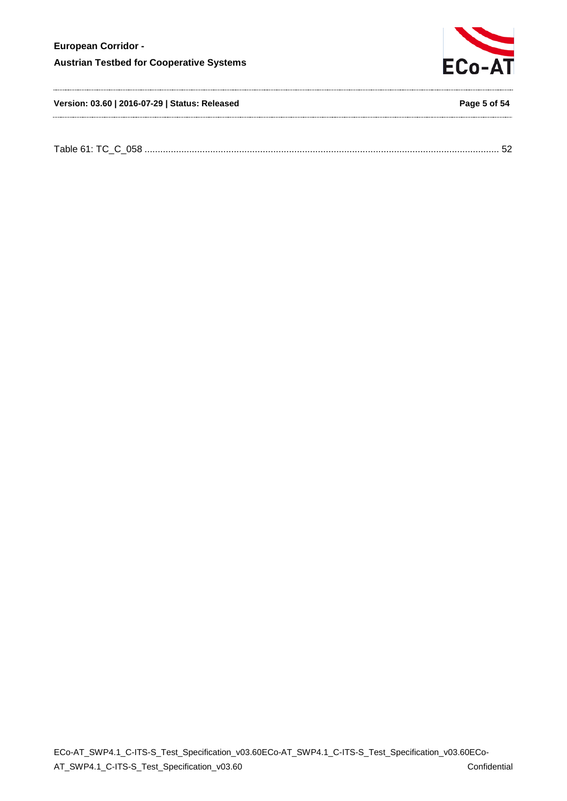

**Version: 03.60 | 2016-07-29 | Status: Released Page 5 of 54**

| $-11.21$<br>$\sim$ 2008 $\sim$ |
|--------------------------------|
|--------------------------------|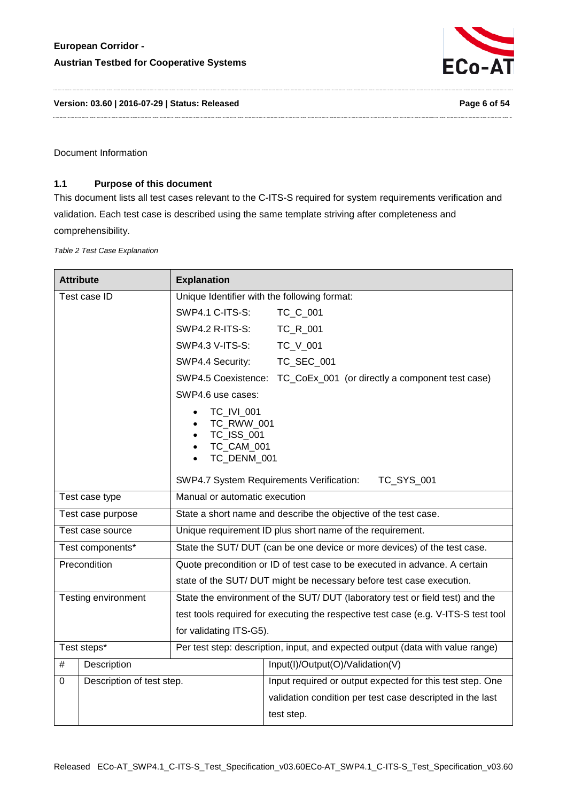

**Version: 03.60 | 2016-07-29 | Status: Released Page 6 of 54**

Document Information

#### <span id="page-5-0"></span>**1.1 Purpose of this document**

This document lists all test cases relevant to the C-ITS-S required for system requirements verification and validation. Each test case is described using the same template striving after completeness and comprehensibility.

<span id="page-5-1"></span>*Table 2 Test Case Explanation*

| <b>Attribute</b>  |                           | <b>Explanation</b>                                                                                         |                                                                                |  |
|-------------------|---------------------------|------------------------------------------------------------------------------------------------------------|--------------------------------------------------------------------------------|--|
| Test case ID      |                           | Unique Identifier with the following format:                                                               |                                                                                |  |
|                   |                           | SWP4.1 C-ITS-S:                                                                                            | TC_C_001                                                                       |  |
|                   |                           | SWP4.2 R-ITS-S:                                                                                            | TC_R_001                                                                       |  |
|                   |                           | <b>SWP4.3 V-ITS-S:</b>                                                                                     | TC_V_001                                                                       |  |
|                   |                           | SWP4.4 Security:                                                                                           | TC_SEC_001                                                                     |  |
|                   |                           |                                                                                                            | SWP4.5 Coexistence: TC_CoEx_001 (or directly a component test case)            |  |
|                   |                           | SWP4.6 use cases:                                                                                          |                                                                                |  |
|                   |                           | TC_IVI_001<br>TC_RWW_001<br>$\bullet$<br>TC_ISS_001<br>$\bullet$<br>TC_CAM_001<br>$\bullet$<br>TC_DENM_001 |                                                                                |  |
|                   |                           | SWP4.7 System Requirements Verification:<br>TC_SYS_001                                                     |                                                                                |  |
| Test case type    |                           | Manual or automatic execution                                                                              |                                                                                |  |
| Test case purpose |                           | State a short name and describe the objective of the test case.                                            |                                                                                |  |
| Test case source  |                           | Unique requirement ID plus short name of the requirement.                                                  |                                                                                |  |
| Test components*  |                           | State the SUT/DUT (can be one device or more devices) of the test case.                                    |                                                                                |  |
|                   | Precondition              | Quote precondition or ID of test case to be executed in advance. A certain                                 |                                                                                |  |
|                   |                           | state of the SUT/DUT might be necessary before test case execution.                                        |                                                                                |  |
|                   | Testing environment       | State the environment of the SUT/ DUT (laboratory test or field test) and the                              |                                                                                |  |
|                   |                           | test tools required for executing the respective test case (e.g. V-ITS-S test tool                         |                                                                                |  |
|                   |                           | for validating ITS-G5).                                                                                    |                                                                                |  |
| Test steps*       |                           |                                                                                                            | Per test step: description, input, and expected output (data with value range) |  |
| #                 | Description               |                                                                                                            | Input(I)/Output(O)/Validation(V)                                               |  |
| 0                 | Description of test step. |                                                                                                            | Input required or output expected for this test step. One                      |  |
|                   |                           |                                                                                                            | validation condition per test case descripted in the last                      |  |
|                   |                           |                                                                                                            | test step.                                                                     |  |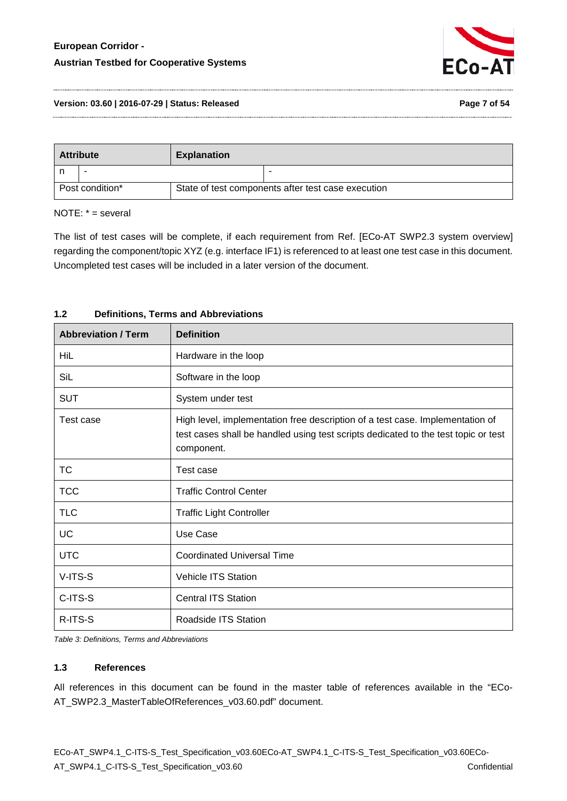

#### **Version: 03.60 | 2016-07-29 | Status: Released Page 7 of 54**

| <b>Attribute</b> |   | <b>Explanation</b>                                 |  |
|------------------|---|----------------------------------------------------|--|
|                  | - |                                                    |  |
| Post condition*  |   | State of test components after test case execution |  |

#### NOTE: \* = several

The list of test cases will be complete, if each requirement from Ref. [ECo-AT SWP2.3 system overview] regarding the component/topic XYZ (e.g. interface IF1) is referenced to at least one test case in this document. Uncompleted test cases will be included in a later version of the document.

| <b>Abbreviation / Term</b> | <b>Definition</b>                                                                                                                                                                 |  |
|----------------------------|-----------------------------------------------------------------------------------------------------------------------------------------------------------------------------------|--|
| <b>HiL</b>                 | Hardware in the loop                                                                                                                                                              |  |
| SiL                        | Software in the loop                                                                                                                                                              |  |
| <b>SUT</b>                 | System under test                                                                                                                                                                 |  |
| Test case                  | High level, implementation free description of a test case. Implementation of<br>test cases shall be handled using test scripts dedicated to the test topic or test<br>component. |  |
| <b>TC</b>                  | Test case                                                                                                                                                                         |  |
| <b>TCC</b>                 | <b>Traffic Control Center</b>                                                                                                                                                     |  |
| <b>TLC</b>                 | <b>Traffic Light Controller</b>                                                                                                                                                   |  |
| UC                         | Use Case                                                                                                                                                                          |  |
| <b>UTC</b>                 | <b>Coordinated Universal Time</b>                                                                                                                                                 |  |
| V-ITS-S                    | <b>Vehicle ITS Station</b>                                                                                                                                                        |  |
| C-ITS-S                    | <b>Central ITS Station</b>                                                                                                                                                        |  |
| R-ITS-S                    | Roadside ITS Station                                                                                                                                                              |  |

#### <span id="page-6-0"></span>**1.2 Definitions, Terms and Abbreviations**

<span id="page-6-2"></span>*Table 3: Definitions, Terms and Abbreviations*

#### <span id="page-6-1"></span>**1.3 References**

All references in this document can be found in the master table of references available in the "ECo-AT\_SWP2.3\_MasterTableOfReferences\_v03.60.pdf" document.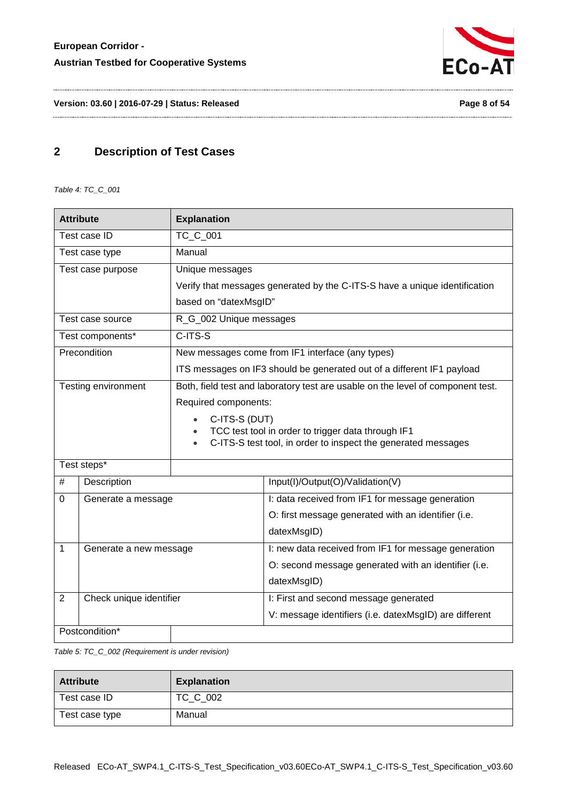

**Version: 03.60 | 2016-07-29 | Status: Released Page 8 of 54**

# <span id="page-7-0"></span>**2 Description of Test Cases**

<span id="page-7-1"></span>*Table 4: TC\_C\_001*

| <b>Attribute</b>             |                     | <b>Explanation</b>                                                                                                               |                                                                            |  |
|------------------------------|---------------------|----------------------------------------------------------------------------------------------------------------------------------|----------------------------------------------------------------------------|--|
| Test case ID                 |                     | TC_C_001                                                                                                                         |                                                                            |  |
|                              | Test case type      | Manual                                                                                                                           |                                                                            |  |
|                              | Test case purpose   | Unique messages                                                                                                                  |                                                                            |  |
|                              |                     |                                                                                                                                  | Verify that messages generated by the C-ITS-S have a unique identification |  |
|                              |                     | based on "datexMsgID"                                                                                                            |                                                                            |  |
|                              | Test case source    | R_G_002 Unique messages                                                                                                          |                                                                            |  |
|                              | Test components*    | C-ITS-S                                                                                                                          |                                                                            |  |
|                              | Precondition        |                                                                                                                                  | New messages come from IF1 interface (any types)                           |  |
|                              |                     | ITS messages on IF3 should be generated out of a different IF1 payload                                                           |                                                                            |  |
|                              | Testing environment | Both, field test and laboratory test are usable on the level of component test.                                                  |                                                                            |  |
|                              |                     | Required components:                                                                                                             |                                                                            |  |
|                              |                     | C-ITS-S (DUT)<br>$\bullet$                                                                                                       |                                                                            |  |
|                              |                     | TCC test tool in order to trigger data through IF1<br>C-ITS-S test tool, in order to inspect the generated messages<br>$\bullet$ |                                                                            |  |
|                              |                     |                                                                                                                                  |                                                                            |  |
| Test steps*                  |                     |                                                                                                                                  |                                                                            |  |
| #                            | Description         |                                                                                                                                  | Input(I)/Output(O)/Validation(V)                                           |  |
| $\mathbf 0$                  | Generate a message  |                                                                                                                                  | I: data received from IF1 for message generation                           |  |
|                              |                     |                                                                                                                                  | O: first message generated with an identifier (i.e.                        |  |
|                              |                     |                                                                                                                                  | datexMsgID)                                                                |  |
| 1<br>Generate a new message  |                     |                                                                                                                                  | I: new data received from IF1 for message generation                       |  |
|                              |                     |                                                                                                                                  | O: second message generated with an identifier (i.e.                       |  |
|                              |                     |                                                                                                                                  | datexMsgID)                                                                |  |
| Check unique identifier<br>2 |                     |                                                                                                                                  | I: First and second message generated                                      |  |
|                              |                     |                                                                                                                                  | V: message identifiers (i.e. datexMsgID) are different                     |  |
| Postcondition*               |                     |                                                                                                                                  |                                                                            |  |

<span id="page-7-2"></span>*Table 5: TC\_C\_002 (Requirement is under revision)*

| <b>Attribute</b> | <b>Explanation</b> |
|------------------|--------------------|
| Test case ID     | TC_C_002           |
| Test case type   | Manual             |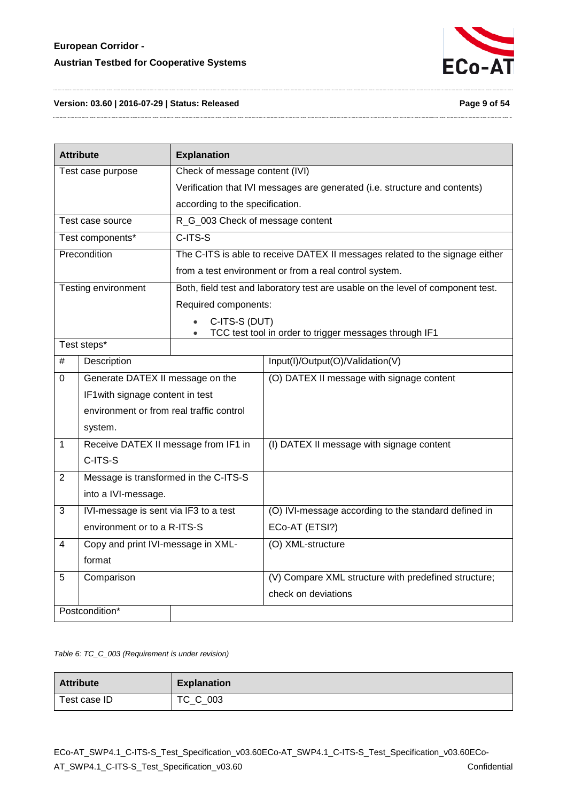

#### **Version: 03.60 | 2016-07-29 | Status: Released Page 9 of 54**

| <b>Attribute</b>  |                                          | <b>Explanation</b>                                                           |                                                                                 |  |
|-------------------|------------------------------------------|------------------------------------------------------------------------------|---------------------------------------------------------------------------------|--|
| Test case purpose |                                          | Check of message content (IVI)                                               |                                                                                 |  |
|                   |                                          | Verification that IVI messages are generated (i.e. structure and contents)   |                                                                                 |  |
|                   |                                          | according to the specification.                                              |                                                                                 |  |
|                   | Test case source                         | R_G_003 Check of message content                                             |                                                                                 |  |
|                   | Test components*                         | C-ITS-S                                                                      |                                                                                 |  |
|                   | Precondition                             | The C-ITS is able to receive DATEX II messages related to the signage either |                                                                                 |  |
|                   |                                          | from a test environment or from a real control system.                       |                                                                                 |  |
|                   | Testing environment                      |                                                                              | Both, field test and laboratory test are usable on the level of component test. |  |
|                   |                                          | Required components:                                                         |                                                                                 |  |
|                   |                                          | C-ITS-S (DUT)                                                                |                                                                                 |  |
|                   |                                          |                                                                              | TCC test tool in order to trigger messages through IF1                          |  |
|                   | Test steps*                              |                                                                              |                                                                                 |  |
| $\#$              | Description                              |                                                                              | Input(I)/Output(O)/Validation(V)                                                |  |
| 0                 | Generate DATEX II message on the         |                                                                              | (O) DATEX II message with signage content                                       |  |
|                   | IF1 with signage content in test         |                                                                              |                                                                                 |  |
|                   | environment or from real traffic control |                                                                              |                                                                                 |  |
|                   | system.                                  |                                                                              |                                                                                 |  |
| 1                 | Receive DATEX II message from IF1 in     |                                                                              | (I) DATEX II message with signage content                                       |  |
|                   | C-ITS-S                                  |                                                                              |                                                                                 |  |
| $\overline{2}$    | Message is transformed in the C-ITS-S    |                                                                              |                                                                                 |  |
|                   | into a IVI-message.                      |                                                                              |                                                                                 |  |
| 3                 | IVI-message is sent via IF3 to a test    |                                                                              | (O) IVI-message according to the standard defined in                            |  |
|                   | environment or to a R-ITS-S              |                                                                              | ECo-AT (ETSI?)                                                                  |  |
| 4                 | Copy and print IVI-message in XML-       |                                                                              | (O) XML-structure                                                               |  |
|                   | format                                   |                                                                              |                                                                                 |  |
| 5                 | Comparison                               |                                                                              | (V) Compare XML structure with predefined structure;                            |  |
|                   |                                          |                                                                              | check on deviations                                                             |  |
| Postcondition*    |                                          |                                                                              |                                                                                 |  |

#### <span id="page-8-0"></span>*Table 6: TC\_C\_003 (Requirement is under revision)*

| <b>Attribute</b> | <b>Explanation</b> |
|------------------|--------------------|
| Test case ID     | TC_C_003           |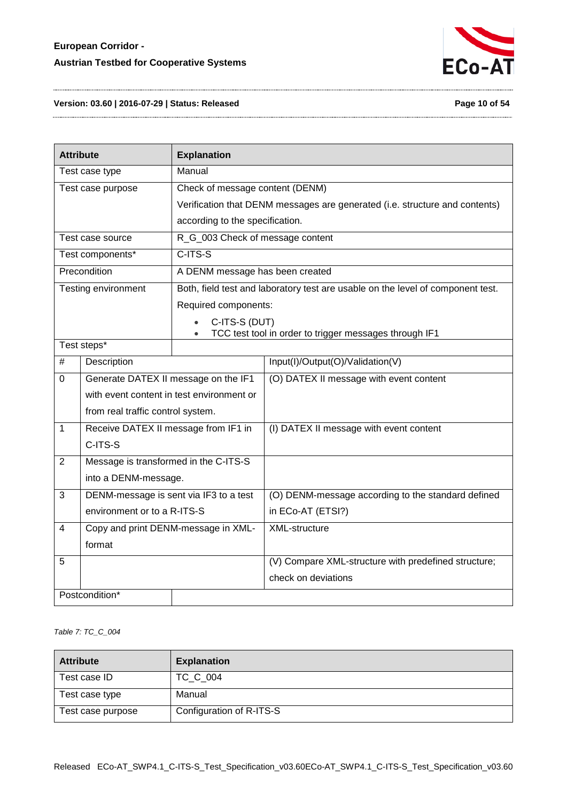

**Version: 03.60 | 2016-07-29 | Status: Released Page 10 of 54**

| <b>Attribute</b>                                     |                                           | <b>Explanation</b>               |                                                                                 |
|------------------------------------------------------|-------------------------------------------|----------------------------------|---------------------------------------------------------------------------------|
| Manual<br>Test case type                             |                                           |                                  |                                                                                 |
| Check of message content (DENM)<br>Test case purpose |                                           |                                  |                                                                                 |
|                                                      |                                           |                                  | Verification that DENM messages are generated (i.e. structure and contents)     |
|                                                      |                                           | according to the specification.  |                                                                                 |
|                                                      | Test case source                          | R_G_003 Check of message content |                                                                                 |
|                                                      | Test components*                          | $C-ITS-S$                        |                                                                                 |
|                                                      | Precondition                              | A DENM message has been created  |                                                                                 |
|                                                      | Testing environment                       |                                  | Both, field test and laboratory test are usable on the level of component test. |
|                                                      |                                           | Required components:             |                                                                                 |
|                                                      |                                           | C-ITS-S (DUT)                    |                                                                                 |
|                                                      |                                           |                                  | TCC test tool in order to trigger messages through IF1                          |
|                                                      | Test steps*                               |                                  |                                                                                 |
| $\#$                                                 | Description                               |                                  | Input(I)/Output(O)/Validation(V)                                                |
| $\mathbf 0$                                          | Generate DATEX II message on the IF1      |                                  | (O) DATEX II message with event content                                         |
|                                                      | with event content in test environment or |                                  |                                                                                 |
|                                                      | from real traffic control system.         |                                  |                                                                                 |
| 1                                                    | Receive DATEX II message from IF1 in      |                                  | (I) DATEX II message with event content                                         |
|                                                      | C-ITS-S                                   |                                  |                                                                                 |
| $\overline{2}$                                       | Message is transformed in the C-ITS-S     |                                  |                                                                                 |
|                                                      | into a DENM-message.                      |                                  |                                                                                 |
| $\sqrt{3}$                                           | DENM-message is sent via IF3 to a test    |                                  | (O) DENM-message according to the standard defined                              |
|                                                      | environment or to a R-ITS-S               |                                  | in ECo-AT (ETSI?)                                                               |
| 4                                                    | Copy and print DENM-message in XML-       |                                  | XML-structure                                                                   |
| format                                               |                                           |                                  |                                                                                 |
| 5                                                    |                                           |                                  | (V) Compare XML-structure with predefined structure;                            |
|                                                      |                                           |                                  | check on deviations                                                             |
|                                                      | Postcondition*                            |                                  |                                                                                 |

<span id="page-9-0"></span>*Table 7: TC\_C\_004*

| <b>Attribute</b>  | <b>Explanation</b>       |
|-------------------|--------------------------|
| Test case ID      | TC C 004                 |
| Test case type    | Manual                   |
| Test case purpose | Configuration of R-ITS-S |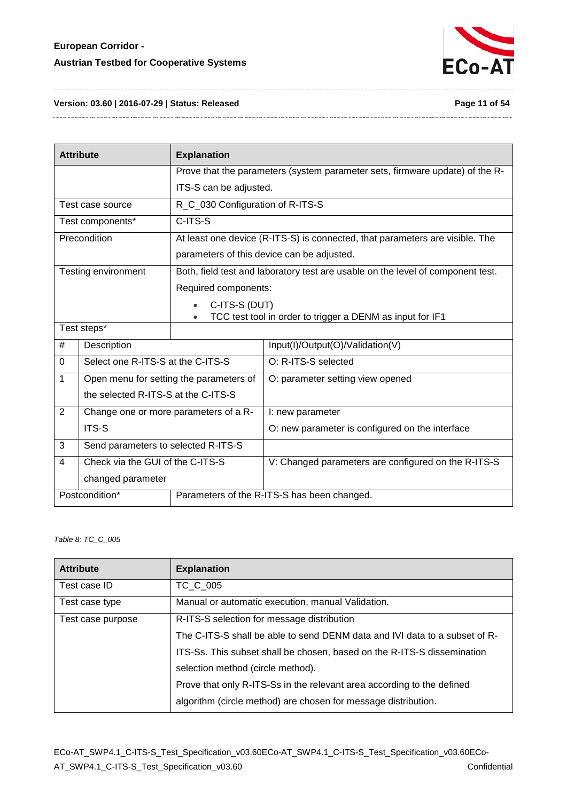

#### **Version: 03.60 | 2016-07-29 | Status: Released Page 11 of 54**

|                   | <b>Attribute</b>                        | <b>Explanation</b>               |                                                                                 |
|-------------------|-----------------------------------------|----------------------------------|---------------------------------------------------------------------------------|
|                   |                                         |                                  | Prove that the parameters (system parameter sets, firmware update) of the R-    |
|                   |                                         | ITS-S can be adjusted.           |                                                                                 |
|                   | Test case source                        | R_C_030 Configuration of R-ITS-S |                                                                                 |
|                   | Test components*                        | C-ITS-S                          |                                                                                 |
|                   | Precondition                            |                                  | At least one device (R-ITS-S) is connected, that parameters are visible. The    |
|                   |                                         |                                  | parameters of this device can be adjusted.                                      |
|                   | Testing environment                     |                                  | Both, field test and laboratory test are usable on the level of component test. |
|                   |                                         | Required components:             |                                                                                 |
|                   |                                         | C-ITS-S (DUT)                    |                                                                                 |
|                   |                                         |                                  | TCC test tool in order to trigger a DENM as input for IF1                       |
| Test steps*       |                                         |                                  |                                                                                 |
| #                 | Description                             |                                  | Input(I)/Output(O)/Validation(V)                                                |
| $\Omega$          | Select one R-ITS-S at the C-ITS-S       |                                  | O: R-ITS-S selected                                                             |
| 1                 | Open menu for setting the parameters of |                                  | O: parameter setting view opened                                                |
|                   | the selected R-ITS-S at the C-ITS-S     |                                  |                                                                                 |
| $\overline{2}$    | Change one or more parameters of a R-   |                                  | I: new parameter                                                                |
|                   | ITS-S                                   |                                  | O: new parameter is configured on the interface                                 |
| 3                 | Send parameters to selected R-ITS-S     |                                  |                                                                                 |
| 4                 | Check via the GUI of the C-ITS-S        |                                  | V: Changed parameters are configured on the R-ITS-S                             |
| changed parameter |                                         |                                  |                                                                                 |
| Postcondition*    |                                         |                                  | Parameters of the R-ITS-S has been changed.                                     |

#### <span id="page-10-0"></span>*Table 8: TC\_C\_005*

| <b>Attribute</b>  | <b>Explanation</b>                                                         |  |
|-------------------|----------------------------------------------------------------------------|--|
| Test case ID      | TC C 005                                                                   |  |
| Test case type    | Manual or automatic execution, manual Validation.                          |  |
| Test case purpose | R-ITS-S selection for message distribution                                 |  |
|                   | The C-ITS-S shall be able to send DENM data and IVI data to a subset of R- |  |
|                   | ITS-Ss. This subset shall be chosen, based on the R-ITS-S dissemination    |  |
|                   | selection method (circle method).                                          |  |
|                   | Prove that only R-ITS-Ss in the relevant area according to the defined     |  |
|                   | algorithm (circle method) are chosen for message distribution.             |  |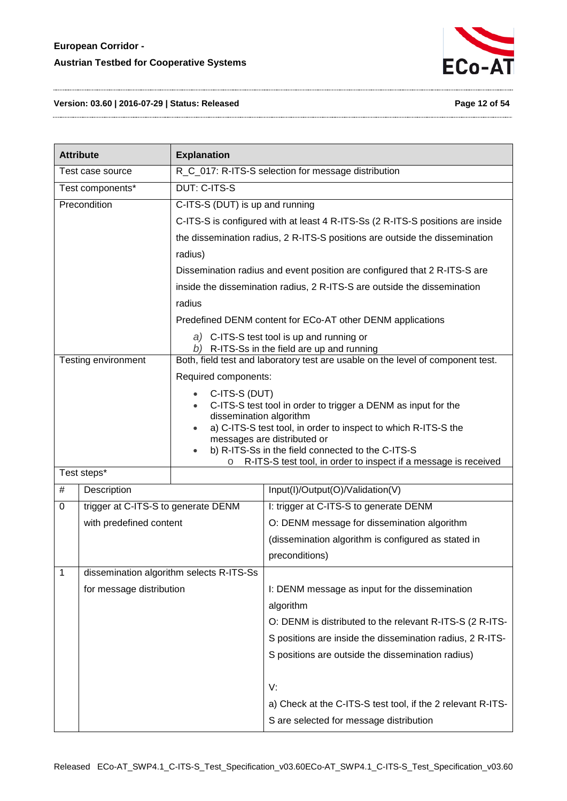

#### **Version: 03.60 | 2016-07-29 | Status: Released Page 12 of 54**

|   | <b>Attribute</b>                    | <b>Explanation</b>                                                          |                                                                                                                                |  |
|---|-------------------------------------|-----------------------------------------------------------------------------|--------------------------------------------------------------------------------------------------------------------------------|--|
|   | Test case source                    | R_C_017: R-ITS-S selection for message distribution                         |                                                                                                                                |  |
|   | Test components*                    | <b>DUT: C-ITS-S</b>                                                         |                                                                                                                                |  |
|   | Precondition                        | C-ITS-S (DUT) is up and running                                             |                                                                                                                                |  |
|   |                                     |                                                                             | C-ITS-S is configured with at least 4 R-ITS-Ss (2 R-ITS-S positions are inside                                                 |  |
|   |                                     | the dissemination radius, 2 R-ITS-S positions are outside the dissemination |                                                                                                                                |  |
|   |                                     | radius)                                                                     |                                                                                                                                |  |
|   |                                     |                                                                             | Dissemination radius and event position are configured that 2 R-ITS-S are                                                      |  |
|   |                                     |                                                                             | inside the dissemination radius, 2 R-ITS-S are outside the dissemination                                                       |  |
|   |                                     | radius                                                                      |                                                                                                                                |  |
|   |                                     |                                                                             | Predefined DENM content for ECo-AT other DENM applications                                                                     |  |
|   |                                     |                                                                             | a) C-ITS-S test tool is up and running or                                                                                      |  |
|   | Testing environment                 |                                                                             | b) R-ITS-Ss in the field are up and running<br>Both, field test and laboratory test are usable on the level of component test. |  |
|   |                                     | Required components:                                                        |                                                                                                                                |  |
|   |                                     | C-ITS-S (DUT)                                                               |                                                                                                                                |  |
|   |                                     | $\bullet$                                                                   | C-ITS-S test tool in order to trigger a DENM as input for the                                                                  |  |
|   |                                     | dissemination algorithm                                                     | a) C-ITS-S test tool, in order to inspect to which R-ITS-S the                                                                 |  |
|   |                                     |                                                                             | messages are distributed or                                                                                                    |  |
|   |                                     | $\circ$                                                                     | b) R-ITS-Ss in the field connected to the C-ITS-S<br>R-ITS-S test tool, in order to inspect if a message is received           |  |
|   | Test steps*                         |                                                                             |                                                                                                                                |  |
| # | Description                         |                                                                             | Input(I)/Output(O)/Validation(V)                                                                                               |  |
| 0 | trigger at C-ITS-S to generate DENM |                                                                             | I: trigger at C-ITS-S to generate DENM                                                                                         |  |
|   | with predefined content             |                                                                             | O: DENM message for dissemination algorithm                                                                                    |  |
|   |                                     |                                                                             | (dissemination algorithm is configured as stated in                                                                            |  |
|   |                                     |                                                                             | preconditions)                                                                                                                 |  |
| 1 |                                     | dissemination algorithm selects R-ITS-Ss                                    |                                                                                                                                |  |
|   | for message distribution            |                                                                             | I: DENM message as input for the dissemination                                                                                 |  |
|   |                                     |                                                                             | algorithm                                                                                                                      |  |
|   |                                     |                                                                             | O: DENM is distributed to the relevant R-ITS-S (2 R-ITS-                                                                       |  |
|   |                                     |                                                                             | S positions are inside the dissemination radius, 2 R-ITS-                                                                      |  |
|   |                                     |                                                                             | S positions are outside the dissemination radius)                                                                              |  |
|   |                                     |                                                                             | V:                                                                                                                             |  |
|   |                                     |                                                                             | a) Check at the C-ITS-S test tool, if the 2 relevant R-ITS-                                                                    |  |
|   |                                     |                                                                             | S are selected for message distribution                                                                                        |  |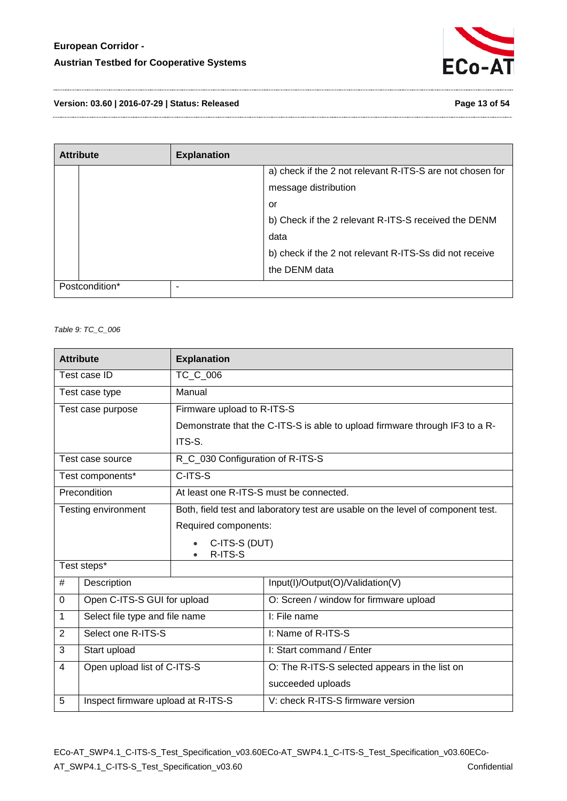

**Version: 03.60 | 2016-07-29 | Status: Released Page 13 of 54**

| <b>Attribute</b> | <b>Explanation</b> |                                                           |
|------------------|--------------------|-----------------------------------------------------------|
|                  |                    | a) check if the 2 not relevant R-ITS-S are not chosen for |
|                  |                    | message distribution                                      |
|                  |                    | or                                                        |
|                  |                    | b) Check if the 2 relevant R-ITS-S received the DENM      |
|                  |                    | data                                                      |
|                  |                    | b) check if the 2 not relevant R-ITS-Ss did not receive   |
|                  |                    | the DENM data                                             |
| Postcondition*   |                    |                                                           |

<span id="page-12-0"></span>*Table 9: TC\_C\_006*

|          | <b>Attribute</b>                   | <b>Explanation</b>               |                                                                                 |
|----------|------------------------------------|----------------------------------|---------------------------------------------------------------------------------|
|          | Test case ID                       | TC C 006                         |                                                                                 |
|          | Test case type                     | Manual                           |                                                                                 |
|          | Test case purpose                  | Firmware upload to R-ITS-S       |                                                                                 |
|          |                                    |                                  | Demonstrate that the C-ITS-S is able to upload firmware through IF3 to a R-     |
|          |                                    | ITS-S.                           |                                                                                 |
|          | Test case source                   | R_C_030 Configuration of R-ITS-S |                                                                                 |
|          | Test components*                   | C-ITS-S                          |                                                                                 |
|          | Precondition                       |                                  | At least one R-ITS-S must be connected.                                         |
|          | Testing environment                |                                  | Both, field test and laboratory test are usable on the level of component test. |
|          |                                    | Required components:             |                                                                                 |
|          |                                    | C-ITS-S (DUT)                    |                                                                                 |
|          | Test steps*                        | R-ITS-S                          |                                                                                 |
|          |                                    |                                  |                                                                                 |
| #        | Description                        |                                  | Input(I)/Output(O)/Validation(V)                                                |
| $\Omega$ | Open C-ITS-S GUI for upload        |                                  | O: Screen / window for firmware upload                                          |
| 1        | Select file type and file name     |                                  | I: File name                                                                    |
| 2        | Select one R-ITS-S                 |                                  | I: Name of R-ITS-S                                                              |
| 3        | Start upload                       |                                  | I: Start command / Enter                                                        |
| 4        | Open upload list of C-ITS-S        |                                  | O: The R-ITS-S selected appears in the list on                                  |
|          |                                    |                                  | succeeded uploads                                                               |
| 5        | Inspect firmware upload at R-ITS-S |                                  | V: check R-ITS-S firmware version                                               |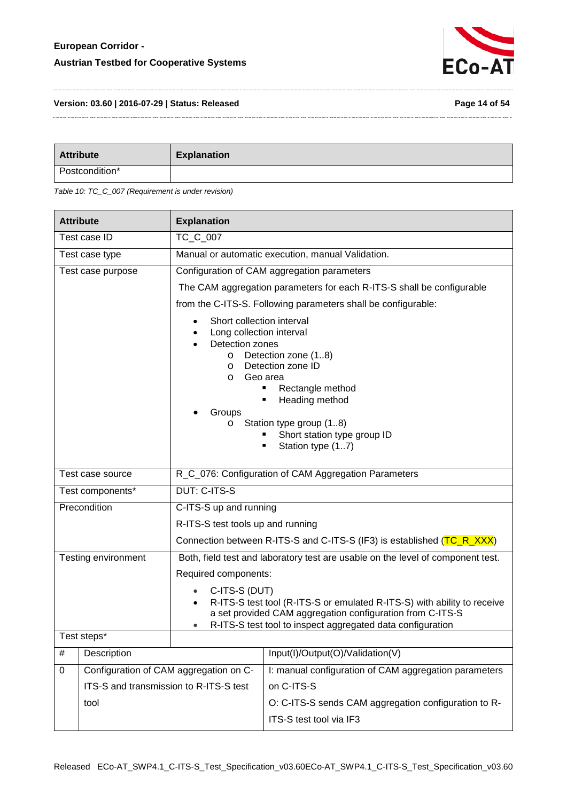

**Version: 03.60 | 2016-07-29 | Status: Released Page 14 of 54**

| <b>Attribute</b> | <b>Explanation</b> |
|------------------|--------------------|
| Postcondition*   |                    |

<span id="page-13-0"></span>

| <b>Attribute</b>                                                         |                                        | <b>Explanation</b>                                                                                                                  |                                                                                                                                                                                                    |
|--------------------------------------------------------------------------|----------------------------------------|-------------------------------------------------------------------------------------------------------------------------------------|----------------------------------------------------------------------------------------------------------------------------------------------------------------------------------------------------|
|                                                                          | Test case ID                           | TC_C_007                                                                                                                            |                                                                                                                                                                                                    |
|                                                                          | Test case type                         | Manual or automatic execution, manual Validation.                                                                                   |                                                                                                                                                                                                    |
|                                                                          | Test case purpose                      |                                                                                                                                     | Configuration of CAM aggregation parameters                                                                                                                                                        |
|                                                                          |                                        |                                                                                                                                     | The CAM aggregation parameters for each R-ITS-S shall be configurable                                                                                                                              |
|                                                                          |                                        |                                                                                                                                     | from the C-ITS-S. Following parameters shall be configurable:                                                                                                                                      |
|                                                                          |                                        | Short collection interval<br>Long collection interval<br>٠<br>Detection zones<br>$\circ$<br>$\circ$<br>$\circ$<br>Groups<br>$\circ$ | Detection zone (18)<br>Detection zone ID<br>Geo area<br>Rectangle method<br>٠<br>Heading method<br>٠<br>Station type group (18)<br>Short station type group ID<br>Station type (17)<br>٠           |
| R_C_076: Configuration of CAM Aggregation Parameters<br>Test case source |                                        |                                                                                                                                     |                                                                                                                                                                                                    |
|                                                                          | Test components*                       | <b>DUT: C-ITS-S</b>                                                                                                                 |                                                                                                                                                                                                    |
| Precondition                                                             |                                        | C-ITS-S up and running                                                                                                              |                                                                                                                                                                                                    |
|                                                                          |                                        | R-ITS-S test tools up and running                                                                                                   |                                                                                                                                                                                                    |
|                                                                          |                                        |                                                                                                                                     | Connection between R-ITS-S and C-ITS-S (IF3) is established (TC_R_XXX)                                                                                                                             |
|                                                                          | Testing environment                    |                                                                                                                                     | Both, field test and laboratory test are usable on the level of component test.                                                                                                                    |
|                                                                          |                                        | Required components:                                                                                                                |                                                                                                                                                                                                    |
| C-ITS-S (DUT)                                                            |                                        |                                                                                                                                     | R-ITS-S test tool (R-ITS-S or emulated R-ITS-S) with ability to receive<br>a set provided CAM aggregation configuration from C-ITS-S<br>R-ITS-S test tool to inspect aggregated data configuration |
|                                                                          | Test steps*                            |                                                                                                                                     |                                                                                                                                                                                                    |
| #                                                                        | Description                            |                                                                                                                                     | Input(I)/Output(O)/Validation(V)                                                                                                                                                                   |
| Configuration of CAM aggregation on C-<br>0                              |                                        |                                                                                                                                     | I: manual configuration of CAM aggregation parameters                                                                                                                                              |
|                                                                          | ITS-S and transmission to R-ITS-S test |                                                                                                                                     | on C-ITS-S                                                                                                                                                                                         |
| tool                                                                     |                                        |                                                                                                                                     | O: C-ITS-S sends CAM aggregation configuration to R-                                                                                                                                               |
|                                                                          |                                        |                                                                                                                                     | ITS-S test tool via IF3                                                                                                                                                                            |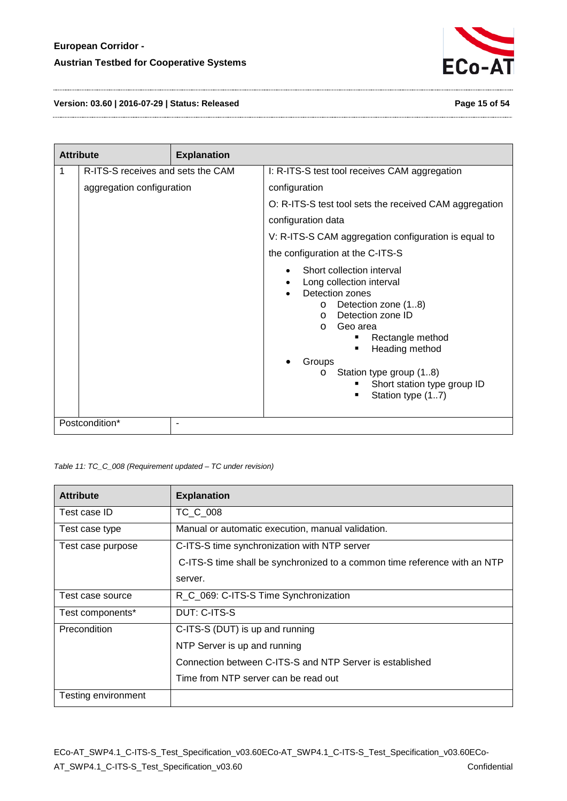

**Version: 03.60 | 2016-07-29 | Status: Released Page 15 of 54**

|   | <b>Attribute</b>                  | <b>Explanation</b> |                                                                                                                                                                                                                                                                                                                    |
|---|-----------------------------------|--------------------|--------------------------------------------------------------------------------------------------------------------------------------------------------------------------------------------------------------------------------------------------------------------------------------------------------------------|
| 1 | R-ITS-S receives and sets the CAM |                    | I: R-ITS-S test tool receives CAM aggregation                                                                                                                                                                                                                                                                      |
|   | aggregation configuration         |                    | configuration                                                                                                                                                                                                                                                                                                      |
|   |                                   |                    | O: R-ITS-S test tool sets the received CAM aggregation                                                                                                                                                                                                                                                             |
|   |                                   |                    | configuration data                                                                                                                                                                                                                                                                                                 |
|   |                                   |                    | V: R-ITS-S CAM aggregation configuration is equal to                                                                                                                                                                                                                                                               |
|   |                                   |                    | the configuration at the C-ITS-S                                                                                                                                                                                                                                                                                   |
|   |                                   |                    | Short collection interval<br>Long collection interval<br>Detection zones<br>Detection zone (18)<br>$\circ$<br>Detection zone ID<br>$\Omega$<br>Geo area<br>$\Omega$<br>Rectangle method<br>Heading method<br>Groups<br>Station type group (18)<br>$\circ$<br>Short station type group ID<br>Station type (17)<br>٠ |
|   | Postcondition*                    |                    |                                                                                                                                                                                                                                                                                                                    |

<span id="page-14-0"></span>*Table 11: TC\_C\_008 (Requirement updated – TC under revision)*

| <b>Attribute</b>    | <b>Explanation</b>                                                        |
|---------------------|---------------------------------------------------------------------------|
| Test case ID        | TC_C_008                                                                  |
| Test case type      | Manual or automatic execution, manual validation.                         |
| Test case purpose   | C-ITS-S time synchronization with NTP server                              |
|                     | C-ITS-S time shall be synchronized to a common time reference with an NTP |
|                     | server.                                                                   |
| Test case source    | R_C_069: C-ITS-S Time Synchronization                                     |
| Test components*    | DUT: C-ITS-S                                                              |
| Precondition        | C-ITS-S (DUT) is up and running                                           |
|                     | NTP Server is up and running                                              |
|                     | Connection between C-ITS-S and NTP Server is established                  |
|                     | Time from NTP server can be read out                                      |
| Testing environment |                                                                           |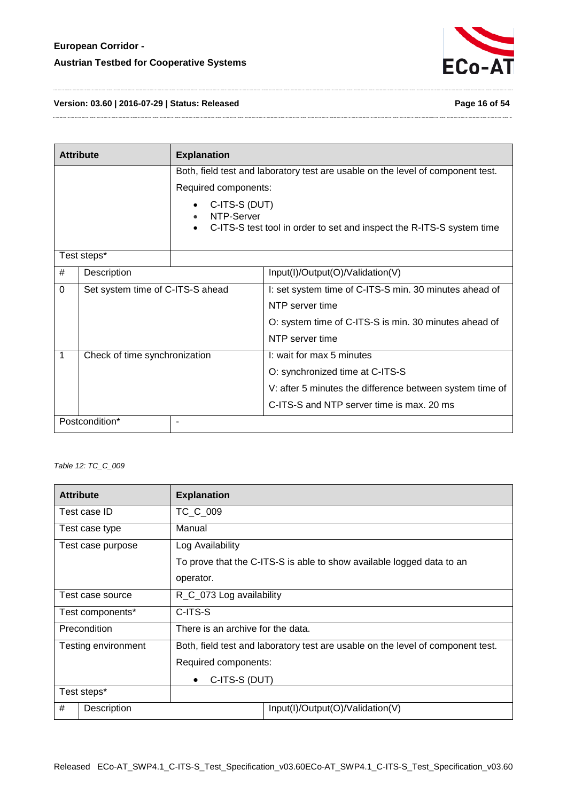

**Version: 03.60 | 2016-07-29 | Status: Released Page 16 of 54**

|   | <b>Attribute</b>                 | <b>Explanation</b>          |                                                                                 |
|---|----------------------------------|-----------------------------|---------------------------------------------------------------------------------|
|   |                                  |                             | Both, field test and laboratory test are usable on the level of component test. |
|   |                                  | Required components:        |                                                                                 |
|   |                                  | C-ITS-S (DUT)<br>NTP-Server | C-ITS-S test tool in order to set and inspect the R-ITS-S system time           |
|   | Test steps*                      |                             |                                                                                 |
| # | Description                      |                             | Input(I)/Output(O)/Validation(V)                                                |
| 0 | Set system time of C-ITS-S ahead |                             | I: set system time of C-ITS-S min. 30 minutes ahead of                          |
|   |                                  |                             | NTP server time                                                                 |
|   |                                  |                             | O: system time of C-ITS-S is min. 30 minutes ahead of                           |
|   |                                  |                             | NTP server time                                                                 |
| 1 | Check of time synchronization    |                             | I: wait for max 5 minutes                                                       |
|   |                                  |                             | O: synchronized time at C-ITS-S                                                 |
|   |                                  |                             | V: after 5 minutes the difference between system time of                        |
|   |                                  |                             | C-ITS-S and NTP server time is max. 20 ms                                       |
|   | Postcondition*                   |                             |                                                                                 |

<span id="page-15-0"></span>*Table 12: TC\_C\_009*

| <b>Attribute</b>                                         |                     | <b>Explanation</b>                    |                                                                                 |  |
|----------------------------------------------------------|---------------------|---------------------------------------|---------------------------------------------------------------------------------|--|
|                                                          | Test case ID        | TC C 009                              |                                                                                 |  |
|                                                          | Test case type      | Manual                                |                                                                                 |  |
|                                                          | Test case purpose   | Log Availability                      |                                                                                 |  |
|                                                          |                     |                                       | To prove that the C-ITS-S is able to show available logged data to an           |  |
|                                                          |                     | operator.                             |                                                                                 |  |
|                                                          | Test case source    | R <sub>_C</sub> _073 Log availability |                                                                                 |  |
| C-ITS-S<br>Test components*                              |                     |                                       |                                                                                 |  |
| There is an archive for the data.<br><b>Precondition</b> |                     |                                       |                                                                                 |  |
|                                                          | Testing environment |                                       | Both, field test and laboratory test are usable on the level of component test. |  |
| Required components:                                     |                     |                                       |                                                                                 |  |
| C-ITS-S (DUT)<br>$\bullet$                               |                     |                                       |                                                                                 |  |
|                                                          | Test steps*         |                                       |                                                                                 |  |
| #                                                        | Description         |                                       | Input(I)/Output(O)/Validation(V)                                                |  |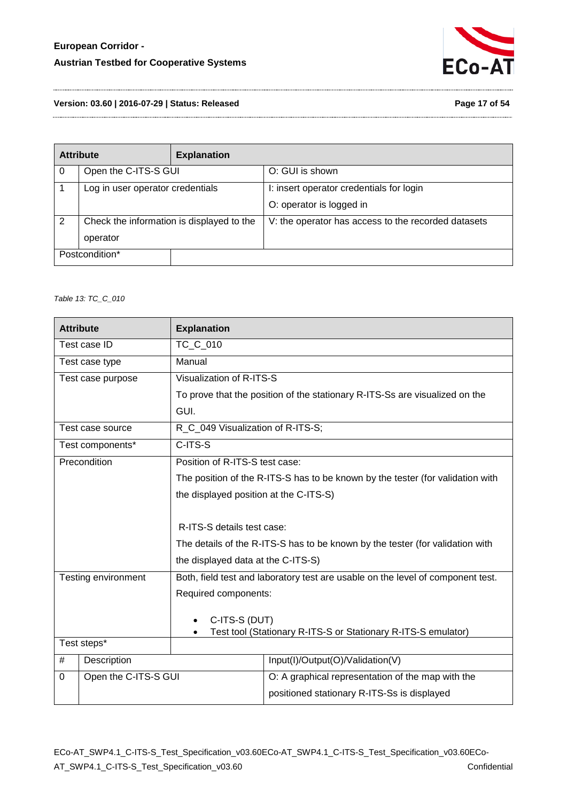

**Version: 03.60 | 2016-07-29 | Status: Released Page 17 of 54**

|   | <b>Attribute</b>                          | <b>Explanation</b> |                                                     |
|---|-------------------------------------------|--------------------|-----------------------------------------------------|
| 0 | Open the C-ITS-S GUI                      |                    | O: GUI is shown                                     |
|   | Log in user operator credentials          |                    | I: insert operator credentials for login            |
|   |                                           |                    | O: operator is logged in                            |
| 2 | Check the information is displayed to the |                    | V: the operator has access to the recorded datasets |
|   | operator                                  |                    |                                                     |
|   | Postcondition*                            |                    |                                                     |

#### <span id="page-16-0"></span>*Table 13: TC\_C\_010*

| <b>Attribute</b>                                                               |                      | <b>Explanation</b>                                            |                                                                                 |  |
|--------------------------------------------------------------------------------|----------------------|---------------------------------------------------------------|---------------------------------------------------------------------------------|--|
|                                                                                | Test case ID         | TC_C_010                                                      |                                                                                 |  |
|                                                                                | Test case type       | Manual                                                        |                                                                                 |  |
|                                                                                | Test case purpose    | Visualization of R-ITS-S                                      |                                                                                 |  |
|                                                                                |                      |                                                               | To prove that the position of the stationary R-ITS-Ss are visualized on the     |  |
|                                                                                |                      | GUI.                                                          |                                                                                 |  |
|                                                                                | Test case source     | R_C_049 Visualization of R-ITS-S;                             |                                                                                 |  |
|                                                                                | Test components*     | C-ITS-S                                                       |                                                                                 |  |
|                                                                                | Precondition         | Position of R-ITS-S test case:                                |                                                                                 |  |
| The position of the R-ITS-S has to be known by the tester (for validation with |                      |                                                               |                                                                                 |  |
| the displayed position at the C-ITS-S)                                         |                      |                                                               |                                                                                 |  |
|                                                                                |                      |                                                               |                                                                                 |  |
|                                                                                |                      | R-ITS-S details test case:                                    |                                                                                 |  |
|                                                                                |                      |                                                               | The details of the R-ITS-S has to be known by the tester (for validation with   |  |
| the displayed data at the C-ITS-S)                                             |                      |                                                               |                                                                                 |  |
|                                                                                | Testing environment  |                                                               | Both, field test and laboratory test are usable on the level of component test. |  |
|                                                                                |                      | Required components:                                          |                                                                                 |  |
|                                                                                |                      |                                                               |                                                                                 |  |
| C-ITS-S (DUT)                                                                  |                      | Test tool (Stationary R-ITS-S or Stationary R-ITS-S emulator) |                                                                                 |  |
| Test steps*                                                                    |                      |                                                               |                                                                                 |  |
| #                                                                              | Description          |                                                               | Input(I)/Output(O)/Validation(V)                                                |  |
| 0                                                                              | Open the C-ITS-S GUI |                                                               | O: A graphical representation of the map with the                               |  |
|                                                                                |                      |                                                               | positioned stationary R-ITS-Ss is displayed                                     |  |

ECo-AT\_SWP4.1\_C-ITS-S\_Test\_Specification\_v03.60ECo-AT\_SWP4.1\_C-ITS-S\_Test\_Specification\_v03.60ECo-AT\_SWP4.1\_C-ITS-S\_Test\_Specification\_v03.60 Confidential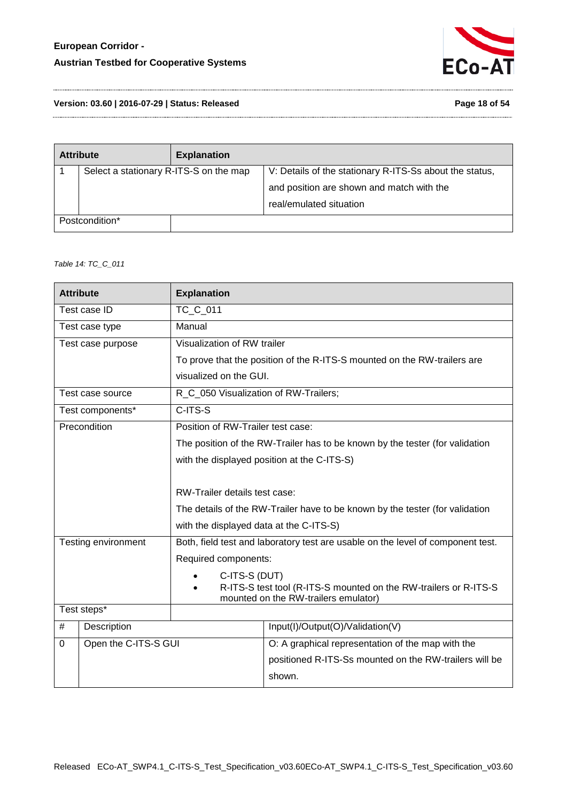

**Version: 03.60 | 2016-07-29 | Status: Released Page 18 of 54**

| <b>Attribute</b>                       | <b>Explanation</b> |                                                         |
|----------------------------------------|--------------------|---------------------------------------------------------|
| Select a stationary R-ITS-S on the map |                    | V: Details of the stationary R-ITS-Ss about the status, |
|                                        |                    | and position are shown and match with the               |
|                                        |                    | real/emulated situation                                 |
| Postcondition*                         |                    |                                                         |

<span id="page-17-0"></span>*Table 14: TC\_C\_011*

| <b>Attribute</b> |                      | <b>Explanation</b>                      |                                                                                                          |
|------------------|----------------------|-----------------------------------------|----------------------------------------------------------------------------------------------------------|
|                  | Test case ID         | TC_C_011                                |                                                                                                          |
|                  | Test case type       | Manual                                  |                                                                                                          |
|                  | Test case purpose    | Visualization of RW trailer             |                                                                                                          |
|                  |                      |                                         | To prove that the position of the R-ITS-S mounted on the RW-trailers are                                 |
|                  |                      | visualized on the GUI.                  |                                                                                                          |
|                  | Test case source     | R_C_050 Visualization of RW-Trailers;   |                                                                                                          |
|                  | Test components*     | $C-ITS-S$                               |                                                                                                          |
|                  | Precondition         | Position of RW-Trailer test case:       |                                                                                                          |
|                  |                      |                                         | The position of the RW-Trailer has to be known by the tester (for validation                             |
|                  |                      |                                         | with the displayed position at the C-ITS-S)                                                              |
|                  |                      |                                         |                                                                                                          |
|                  |                      | RW-Trailer details test case:           |                                                                                                          |
|                  |                      |                                         | The details of the RW-Trailer have to be known by the tester (for validation                             |
|                  |                      | with the displayed data at the C-ITS-S) |                                                                                                          |
|                  | Testing environment  |                                         | Both, field test and laboratory test are usable on the level of component test.                          |
|                  |                      | Required components:                    |                                                                                                          |
|                  |                      | C-ITS-S (DUT)                           |                                                                                                          |
|                  |                      |                                         | R-ITS-S test tool (R-ITS-S mounted on the RW-trailers or R-ITS-S<br>mounted on the RW-trailers emulator) |
|                  | Test steps*          |                                         |                                                                                                          |
| #                | Description          |                                         | Input(I)/Output(O)/Validation(V)                                                                         |
| $\mathbf 0$      | Open the C-ITS-S GUI |                                         | O: A graphical representation of the map with the                                                        |
|                  |                      |                                         | positioned R-ITS-Ss mounted on the RW-trailers will be                                                   |
|                  |                      |                                         | shown.                                                                                                   |
|                  |                      |                                         |                                                                                                          |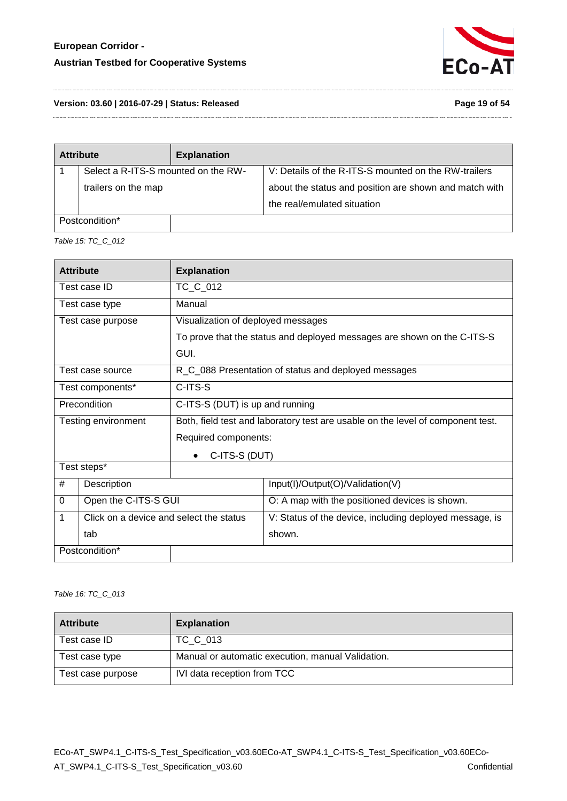

**Version: 03.60 | 2016-07-29 | Status: Released Page 19 of 54**

| <b>Attribute</b>                    | <b>Explanation</b> |                                                        |
|-------------------------------------|--------------------|--------------------------------------------------------|
| Select a R-ITS-S mounted on the RW- |                    | V: Details of the R-ITS-S mounted on the RW-trailers   |
| trailers on the map                 |                    | about the status and position are shown and match with |
|                                     |                    | the real/emulated situation                            |
| Postcondition*                      |                    |                                                        |

<span id="page-18-0"></span>*Table 15: TC\_C\_012* 

|                                                 | <b>Attribute</b>                        | <b>Explanation</b>                 |                                                                                 |
|-------------------------------------------------|-----------------------------------------|------------------------------------|---------------------------------------------------------------------------------|
|                                                 | Test case ID                            | TC_C_012                           |                                                                                 |
|                                                 | Test case type                          | Manual                             |                                                                                 |
|                                                 | Test case purpose                       | Visualization of deployed messages |                                                                                 |
|                                                 |                                         |                                    | To prove that the status and deployed messages are shown on the C-ITS-S         |
|                                                 |                                         | GUI.                               |                                                                                 |
|                                                 | Test case source                        |                                    | R_C_088 Presentation of status and deployed messages                            |
| C-ITS-S<br>Test components*                     |                                         |                                    |                                                                                 |
| Precondition<br>C-ITS-S (DUT) is up and running |                                         |                                    |                                                                                 |
| Testing environment                             |                                         |                                    | Both, field test and laboratory test are usable on the level of component test. |
|                                                 |                                         | Required components:               |                                                                                 |
|                                                 |                                         | C-ITS-S (DUT)                      |                                                                                 |
|                                                 | Test steps*                             |                                    |                                                                                 |
| #                                               | Description                             |                                    | Input(I)/Output(O)/Validation(V)                                                |
| $\Omega$                                        | Open the C-ITS-S GUI                    |                                    | O: A map with the positioned devices is shown.                                  |
| $\mathbf{1}$                                    | Click on a device and select the status |                                    | V: Status of the device, including deployed message, is                         |
|                                                 | tab                                     |                                    | shown.                                                                          |
|                                                 | Postcondition*                          |                                    |                                                                                 |

<span id="page-18-1"></span>*Table 16: TC\_C\_013*

| <b>Attribute</b>  | <b>Explanation</b>                                |
|-------------------|---------------------------------------------------|
| Test case ID      | TC C 013                                          |
| Test case type    | Manual or automatic execution, manual Validation. |
| Test case purpose | IVI data reception from TCC                       |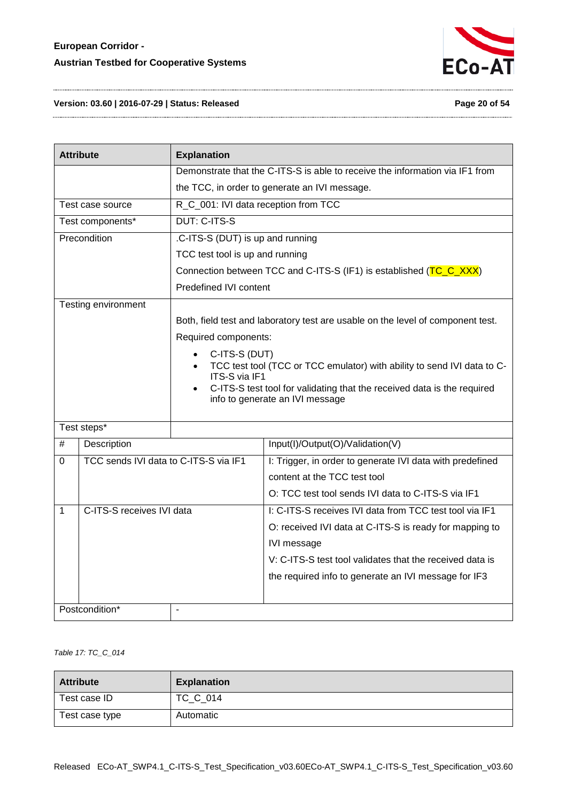

#### **Version: 03.60 | 2016-07-29 | Status: Released Page 20 of 54**

|              | <b>Attribute</b>                                         | <b>Explanation</b>               |                                                                                 |
|--------------|----------------------------------------------------------|----------------------------------|---------------------------------------------------------------------------------|
|              |                                                          |                                  | Demonstrate that the C-ITS-S is able to receive the information via IF1 from    |
|              |                                                          |                                  | the TCC, in order to generate an IVI message.                                   |
|              | R_C_001: IVI data reception from TCC<br>Test case source |                                  |                                                                                 |
|              | Test components*                                         | DUT: C-ITS-S                     |                                                                                 |
|              | Precondition                                             | .C-ITS-S (DUT) is up and running |                                                                                 |
|              |                                                          | TCC test tool is up and running  |                                                                                 |
|              |                                                          |                                  | Connection between TCC and C-ITS-S (IF1) is established (TC_C_XXX)              |
|              |                                                          | Predefined IVI content           |                                                                                 |
|              | Testing environment                                      |                                  |                                                                                 |
|              |                                                          |                                  | Both, field test and laboratory test are usable on the level of component test. |
|              |                                                          | Required components:             |                                                                                 |
|              |                                                          | C-ITS-S (DUT)                    |                                                                                 |
|              |                                                          | ITS-S via IF1                    | TCC test tool (TCC or TCC emulator) with ability to send IVI data to C-         |
|              |                                                          |                                  | C-ITS-S test tool for validating that the received data is the required         |
|              |                                                          |                                  | info to generate an IVI message                                                 |
|              | Test steps*                                              |                                  |                                                                                 |
| #            | Description                                              |                                  | Input(I)/Output(O)/Validation(V)                                                |
| 0            | TCC sends IVI data to C-ITS-S via IF1                    |                                  | I: Trigger, in order to generate IVI data with predefined                       |
|              |                                                          |                                  | content at the TCC test tool                                                    |
|              |                                                          |                                  | O: TCC test tool sends IVI data to C-ITS-S via IF1                              |
|              | C-ITS-S receives IVI data                                |                                  | I: C-ITS-S receives IVI data from TCC test tool via IF1                         |
| $\mathbf{1}$ |                                                          |                                  |                                                                                 |
|              |                                                          |                                  | O: received IVI data at C-ITS-S is ready for mapping to                         |
|              |                                                          |                                  | IVI message                                                                     |
|              |                                                          |                                  | V: C-ITS-S test tool validates that the received data is                        |
|              |                                                          |                                  | the required info to generate an IVI message for IF3                            |
|              |                                                          |                                  |                                                                                 |
|              | Postcondition*                                           | L,                               |                                                                                 |

#### <span id="page-19-0"></span>*Table 17: TC\_C\_014*

| <b>Attribute</b> | <b>Explanation</b> |
|------------------|--------------------|
| Test case ID     | TC_C_014           |
| Test case type   | Automatic          |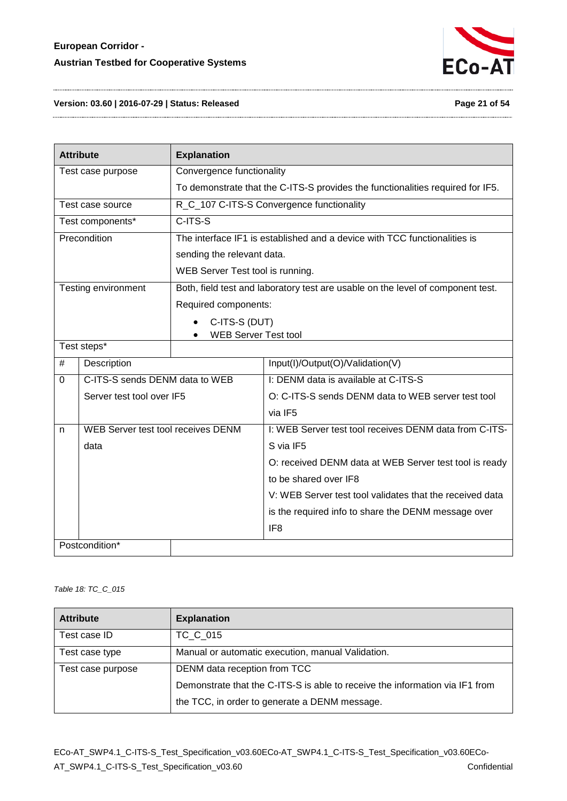

#### **Version: 03.60 | 2016-07-29 | Status: Released Page 21 of 54**

| <b>Attribute</b>  |                                    | <b>Explanation</b>                                                             |                                                                                 |  |  |
|-------------------|------------------------------------|--------------------------------------------------------------------------------|---------------------------------------------------------------------------------|--|--|
| Test case purpose |                                    | Convergence functionality                                                      |                                                                                 |  |  |
|                   |                                    | To demonstrate that the C-ITS-S provides the functionalities required for IF5. |                                                                                 |  |  |
|                   | Test case source                   |                                                                                | R_C_107 C-ITS-S Convergence functionality                                       |  |  |
|                   | Test components*                   | $C-ITS-S$                                                                      |                                                                                 |  |  |
|                   | Precondition                       |                                                                                | The interface IF1 is established and a device with TCC functionalities is       |  |  |
|                   |                                    | sending the relevant data.                                                     |                                                                                 |  |  |
|                   |                                    | WEB Server Test tool is running.                                               |                                                                                 |  |  |
|                   | Testing environment                |                                                                                | Both, field test and laboratory test are usable on the level of component test. |  |  |
|                   |                                    | Required components:                                                           |                                                                                 |  |  |
|                   |                                    | C-ITS-S (DUT)                                                                  |                                                                                 |  |  |
|                   |                                    | <b>WEB Server Test tool</b>                                                    |                                                                                 |  |  |
| Test steps*       |                                    |                                                                                |                                                                                 |  |  |
| #                 | Description                        |                                                                                | Input(I)/Output(O)/Validation(V)                                                |  |  |
| $\Omega$          | C-ITS-S sends DENM data to WEB     |                                                                                | I: DENM data is available at C-ITS-S                                            |  |  |
|                   | Server test tool over IF5          |                                                                                | O: C-ITS-S sends DENM data to WEB server test tool                              |  |  |
|                   |                                    |                                                                                | via IF5                                                                         |  |  |
| n                 | WEB Server test tool receives DENM |                                                                                | I: WEB Server test tool receives DENM data from C-ITS-                          |  |  |
| data              |                                    |                                                                                | S via IF5                                                                       |  |  |
|                   |                                    |                                                                                | O: received DENM data at WEB Server test tool is ready                          |  |  |
|                   |                                    |                                                                                | to be shared over IF8                                                           |  |  |
|                   |                                    |                                                                                | V: WEB Server test tool validates that the received data                        |  |  |
|                   |                                    |                                                                                | is the required info to share the DENM message over                             |  |  |
|                   |                                    |                                                                                | IF <sub>8</sub>                                                                 |  |  |
|                   | Postcondition*                     |                                                                                |                                                                                 |  |  |

#### <span id="page-20-0"></span>*Table 18: TC\_C\_015*

| <b>Attribute</b>  | <b>Explanation</b>                                                           |
|-------------------|------------------------------------------------------------------------------|
| Test case ID      | TC C 015                                                                     |
| Test case type    | Manual or automatic execution, manual Validation.                            |
| Test case purpose | DENM data reception from TCC                                                 |
|                   | Demonstrate that the C-ITS-S is able to receive the information via IF1 from |
|                   | the TCC, in order to generate a DENM message.                                |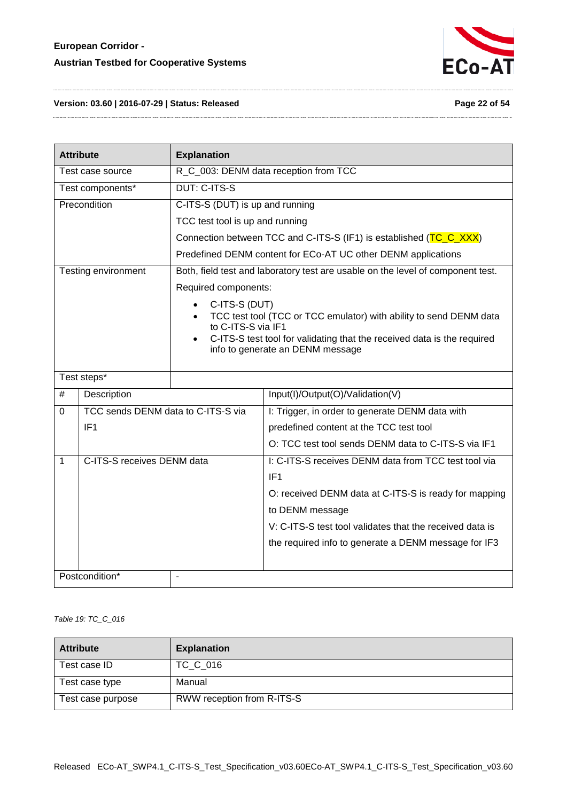

#### **Version: 03.60 | 2016-07-29 | Status: Released Page 22 of 54**

| <b>Attribute</b><br><b>Explanation</b> |                                    |                                                                                                                                                                                                                                                                 |                                                                                 |  |
|----------------------------------------|------------------------------------|-----------------------------------------------------------------------------------------------------------------------------------------------------------------------------------------------------------------------------------------------------------------|---------------------------------------------------------------------------------|--|
| Test case source                       |                                    |                                                                                                                                                                                                                                                                 | R_C_003: DENM data reception from TCC                                           |  |
|                                        | Test components*                   | <b>DUT: C-ITS-S</b>                                                                                                                                                                                                                                             |                                                                                 |  |
|                                        | Precondition                       | C-ITS-S (DUT) is up and running                                                                                                                                                                                                                                 |                                                                                 |  |
|                                        |                                    | TCC test tool is up and running                                                                                                                                                                                                                                 |                                                                                 |  |
|                                        |                                    |                                                                                                                                                                                                                                                                 | Connection between TCC and C-ITS-S (IF1) is established (TC_C_XXX)              |  |
|                                        |                                    |                                                                                                                                                                                                                                                                 | Predefined DENM content for ECo-AT UC other DENM applications                   |  |
|                                        | Testing environment                |                                                                                                                                                                                                                                                                 | Both, field test and laboratory test are usable on the level of component test. |  |
|                                        |                                    | Required components:                                                                                                                                                                                                                                            |                                                                                 |  |
|                                        |                                    | C-ITS-S (DUT)<br>$\bullet$<br>TCC test tool (TCC or TCC emulator) with ability to send DENM data<br>$\bullet$<br>to C-ITS-S via IF1<br>C-ITS-S test tool for validating that the received data is the required<br>$\bullet$<br>info to generate an DENM message |                                                                                 |  |
| Test steps*                            |                                    |                                                                                                                                                                                                                                                                 |                                                                                 |  |
| #                                      | Description                        |                                                                                                                                                                                                                                                                 | Input(I)/Output(O)/Validation(V)                                                |  |
| 0                                      | TCC sends DENM data to C-ITS-S via |                                                                                                                                                                                                                                                                 | I: Trigger, in order to generate DENM data with                                 |  |
|                                        | IF <sub>1</sub>                    |                                                                                                                                                                                                                                                                 | predefined content at the TCC test tool                                         |  |
|                                        |                                    |                                                                                                                                                                                                                                                                 | O: TCC test tool sends DENM data to C-ITS-S via IF1                             |  |
| $\mathbf{1}$                           | C-ITS-S receives DENM data         |                                                                                                                                                                                                                                                                 | I: C-ITS-S receives DENM data from TCC test tool via                            |  |
|                                        |                                    |                                                                                                                                                                                                                                                                 | IF1                                                                             |  |
|                                        |                                    |                                                                                                                                                                                                                                                                 | O: received DENM data at C-ITS-S is ready for mapping                           |  |
|                                        |                                    |                                                                                                                                                                                                                                                                 | to DENM message                                                                 |  |
|                                        |                                    |                                                                                                                                                                                                                                                                 | V: C-ITS-S test tool validates that the received data is                        |  |
|                                        |                                    |                                                                                                                                                                                                                                                                 | the required info to generate a DENM message for IF3                            |  |
|                                        | Postcondition*                     | $\overline{\phantom{a}}$                                                                                                                                                                                                                                        |                                                                                 |  |

<span id="page-21-0"></span>*Table 19: TC\_C\_016*

| <b>Attribute</b>  | <b>Explanation</b>         |
|-------------------|----------------------------|
| Test case ID      | TC C 016                   |
| Test case type    | Manual                     |
| Test case purpose | RWW reception from R-ITS-S |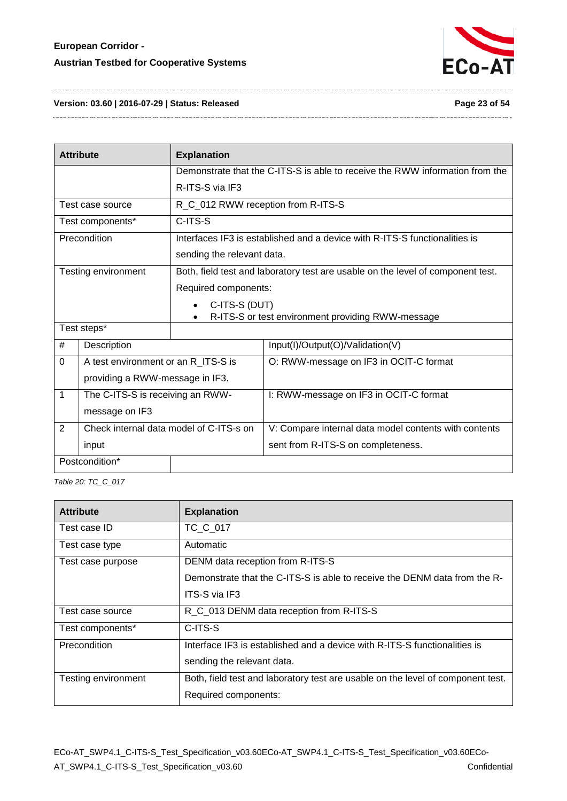

**Version: 03.60 | 2016-07-29 | Status: Released Page 23 of 54**

| <b>Attribute</b>                                                     |                                         | <b>Explanation</b>                                                              |                                                                              |  |
|----------------------------------------------------------------------|-----------------------------------------|---------------------------------------------------------------------------------|------------------------------------------------------------------------------|--|
|                                                                      |                                         |                                                                                 | Demonstrate that the C-ITS-S is able to receive the RWW information from the |  |
|                                                                      |                                         | R-ITS-S via IF3                                                                 |                                                                              |  |
| Test case source                                                     |                                         | R_C_012 RWW reception from R-ITS-S                                              |                                                                              |  |
| Test components*                                                     |                                         | C-ITS-S                                                                         |                                                                              |  |
| Precondition                                                         |                                         |                                                                                 | Interfaces IF3 is established and a device with R-ITS-S functionalities is   |  |
|                                                                      |                                         | sending the relevant data.                                                      |                                                                              |  |
| Testing environment                                                  |                                         | Both, field test and laboratory test are usable on the level of component test. |                                                                              |  |
|                                                                      |                                         | Required components:                                                            |                                                                              |  |
|                                                                      |                                         | C-ITS-S (DUT)<br>R-ITS-S or test environment providing RWW-message              |                                                                              |  |
| Test steps*                                                          |                                         |                                                                                 |                                                                              |  |
| #                                                                    | Description                             |                                                                                 | Input(I)/Output(O)/Validation(V)                                             |  |
| 0                                                                    |                                         | A test environment or an R_ITS-S is                                             | O: RWW-message on IF3 in OCIT-C format                                       |  |
| providing a RWW-message in IF3.                                      |                                         |                                                                                 |                                                                              |  |
| $\overline{1}$<br>The C-ITS-S is receiving an RWW-<br>message on IF3 |                                         |                                                                                 | I: RWW-message on IF3 in OCIT-C format                                       |  |
|                                                                      |                                         |                                                                                 |                                                                              |  |
| $\overline{2}$                                                       | Check internal data model of C-ITS-s on |                                                                                 | V: Compare internal data model contents with contents                        |  |
| input                                                                |                                         |                                                                                 | sent from R-ITS-S on completeness.                                           |  |
| Postcondition*                                                       |                                         |                                                                                 |                                                                              |  |

<span id="page-22-0"></span>*Table 20: TC\_C\_017*

| <b>Attribute</b>    | <b>Explanation</b>                                                              |
|---------------------|---------------------------------------------------------------------------------|
| Test case ID        | TC C 017                                                                        |
| Test case type      | Automatic                                                                       |
| Test case purpose   | DENM data reception from R-ITS-S                                                |
|                     | Demonstrate that the C-ITS-S is able to receive the DENM data from the R-       |
|                     | <b>ITS-S via IF3</b>                                                            |
| Test case source    | R_C_013 DENM data reception from R-ITS-S                                        |
| Test components*    | C-ITS-S                                                                         |
| Precondition        | Interface IF3 is established and a device with R-ITS-S functionalities is       |
|                     | sending the relevant data.                                                      |
| Testing environment | Both, field test and laboratory test are usable on the level of component test. |
|                     | Required components:                                                            |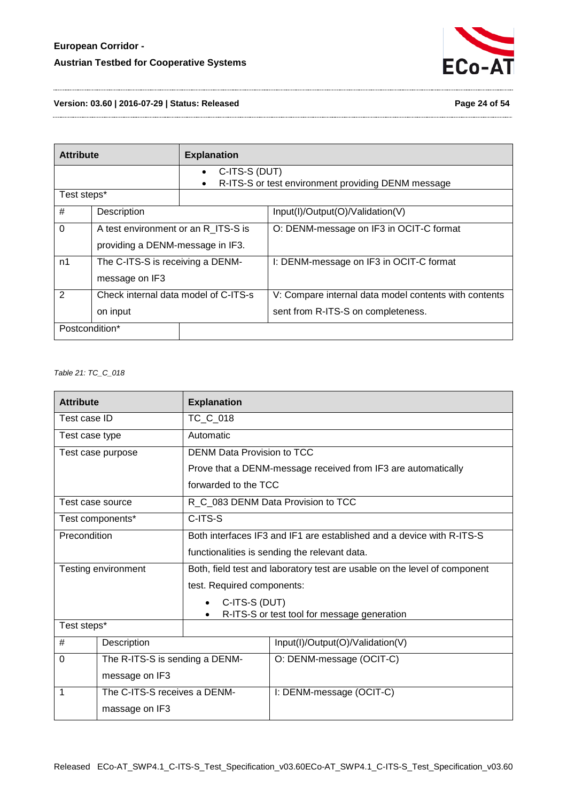

#### **Version: 03.60 | 2016-07-29 | Status: Released Page 24 of 54**

| <b>Attribute</b>                                                   |                                                                         | <b>Explanation</b>                                                                            |                                                                                             |
|--------------------------------------------------------------------|-------------------------------------------------------------------------|-----------------------------------------------------------------------------------------------|---------------------------------------------------------------------------------------------|
|                                                                    |                                                                         | C-ITS-S (DUT)<br>$\bullet$<br>R-ITS-S or test environment providing DENM message<br>$\bullet$ |                                                                                             |
| Test steps*                                                        |                                                                         |                                                                                               |                                                                                             |
| #                                                                  | Description                                                             |                                                                                               | Input(I)/Output(O)/Validation(V)                                                            |
| 0                                                                  | A test environment or an R_ITS-S is<br>providing a DENM-message in IF3. |                                                                                               | O: DENM-message on IF3 in OCIT-C format                                                     |
| n1                                                                 | The C-ITS-S is receiving a DENM-<br>message on IF3                      |                                                                                               | I: DENM-message on IF3 in OCIT-C format                                                     |
| $\overline{2}$<br>Check internal data model of C-ITS-s<br>on input |                                                                         |                                                                                               | V: Compare internal data model contents with contents<br>sent from R-ITS-S on completeness. |
| Postcondition*                                                     |                                                                         |                                                                                               |                                                                                             |

#### <span id="page-23-0"></span>*Table 21: TC\_C\_018*

| <b>Attribute</b>    |                                | <b>Explanation</b>                                                        |                                                               |  |
|---------------------|--------------------------------|---------------------------------------------------------------------------|---------------------------------------------------------------|--|
| Test case ID        |                                | TC_C_018                                                                  |                                                               |  |
| Test case type      |                                | Automatic                                                                 |                                                               |  |
|                     | Test case purpose              | DENM Data Provision to TCC                                                |                                                               |  |
|                     |                                |                                                                           | Prove that a DENM-message received from IF3 are automatically |  |
|                     |                                | forwarded to the TCC                                                      |                                                               |  |
| Test case source    |                                |                                                                           | R_C_083 DENM Data Provision to TCC                            |  |
|                     | Test components*               | C-ITS-S                                                                   |                                                               |  |
| Precondition        |                                | Both interfaces IF3 and IF1 are established and a device with R-ITS-S     |                                                               |  |
|                     |                                | functionalities is sending the relevant data.                             |                                                               |  |
| Testing environment |                                | Both, field test and laboratory test are usable on the level of component |                                                               |  |
|                     |                                | test. Required components:                                                |                                                               |  |
|                     |                                | C-ITS-S (DUT)                                                             |                                                               |  |
|                     |                                | R-ITS-S or test tool for message generation                               |                                                               |  |
| Test steps*         |                                |                                                                           |                                                               |  |
| #                   | Description                    |                                                                           | Input(I)/Output(O)/Validation(V)                              |  |
| $\Omega$            | The R-ITS-S is sending a DENM- |                                                                           | O: DENM-message (OCIT-C)                                      |  |
| message on IF3      |                                |                                                                           |                                                               |  |
| 1                   | The C-ITS-S receives a DENM-   |                                                                           | I: DENM-message (OCIT-C)                                      |  |
| massage on IF3      |                                |                                                                           |                                                               |  |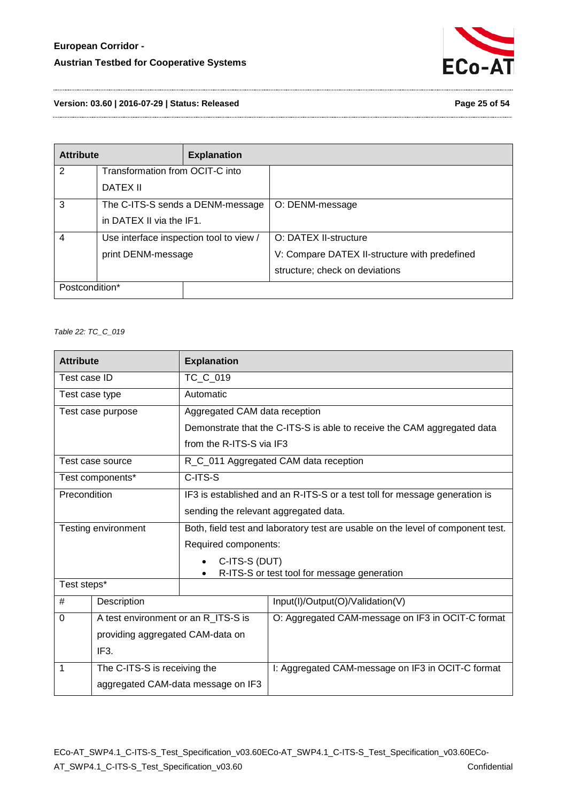

**Version: 03.60 | 2016-07-29 | Status: Released Page 25 of 54**

| <b>Attribute</b> |                                         | <b>Explanation</b> |                                               |
|------------------|-----------------------------------------|--------------------|-----------------------------------------------|
| 2                | Transformation from OCIT-C into         |                    |                                               |
|                  | DATEX II                                |                    |                                               |
| 3                | The C-ITS-S sends a DENM-message        |                    | O: DENM-message                               |
|                  | in DATEX II via the IF1.                |                    |                                               |
| $\overline{4}$   | Use interface inspection tool to view / |                    | O: DATEX II-structure                         |
|                  | print DENM-message                      |                    | V: Compare DATEX II-structure with predefined |
|                  |                                         |                    | structure; check on deviations                |
| Postcondition*   |                                         |                    |                                               |

<span id="page-24-0"></span>*Table 22: TC\_C\_019*

| <b>Attribute</b>                 |                                     | <b>Explanation</b>                                                              |                                                                         |  |
|----------------------------------|-------------------------------------|---------------------------------------------------------------------------------|-------------------------------------------------------------------------|--|
| Test case ID                     |                                     | TC C 019                                                                        |                                                                         |  |
| Test case type                   |                                     | Automatic                                                                       |                                                                         |  |
|                                  | Test case purpose                   | Aggregated CAM data reception                                                   |                                                                         |  |
|                                  |                                     |                                                                                 | Demonstrate that the C-ITS-S is able to receive the CAM aggregated data |  |
|                                  |                                     | from the R-ITS-S via IF3                                                        |                                                                         |  |
|                                  | Test case source                    |                                                                                 | R_C_011 Aggregated CAM data reception                                   |  |
|                                  | Test components*                    | C-ITS-S                                                                         |                                                                         |  |
| Precondition                     |                                     | IF3 is established and an R-ITS-S or a test toll for message generation is      |                                                                         |  |
|                                  |                                     | sending the relevant aggregated data.                                           |                                                                         |  |
|                                  | Testing environment                 | Both, field test and laboratory test are usable on the level of component test. |                                                                         |  |
|                                  |                                     | Required components:                                                            |                                                                         |  |
|                                  |                                     | C-ITS-S (DUT)<br>$\bullet$                                                      |                                                                         |  |
| Test steps*                      |                                     |                                                                                 | R-ITS-S or test tool for message generation                             |  |
|                                  |                                     |                                                                                 |                                                                         |  |
| #                                | Description                         |                                                                                 | Input(I)/Output(O)/Validation(V)                                        |  |
| $\Omega$                         | A test environment or an R ITS-S is |                                                                                 | O: Aggregated CAM-message on IF3 in OCIT-C format                       |  |
| providing aggregated CAM-data on |                                     |                                                                                 |                                                                         |  |
| IF <sub>3</sub> .                |                                     |                                                                                 |                                                                         |  |
| 1                                | The C-ITS-S is receiving the        |                                                                                 | I: Aggregated CAM-message on IF3 in OCIT-C format                       |  |
|                                  | aggregated CAM-data message on IF3  |                                                                                 |                                                                         |  |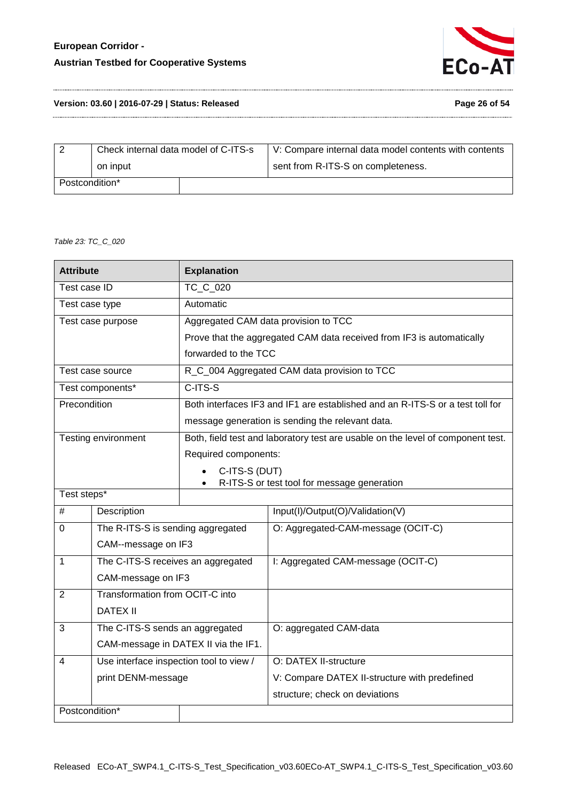# **European Corridor - Austrian Testbed for Cooperative Systems**



#### **Version: 03.60 | 2016-07-29 | Status: Released Page 26 of 54**

| Page 26 of 54 |  |  |
|---------------|--|--|
|               |  |  |

| Check internal data model of C-ITS-s |  | V: Compare internal data model contents with contents |
|--------------------------------------|--|-------------------------------------------------------|
| on input                             |  | sent from R-ITS-S on completeness.                    |
| Postcondition*                       |  |                                                       |

#### <span id="page-25-0"></span>*Table 23: TC\_C\_020*

|                | <b>Attribute</b><br><b>Explanation</b>  |                            |                                                                                 |
|----------------|-----------------------------------------|----------------------------|---------------------------------------------------------------------------------|
| Test case ID   |                                         | TC C 020                   |                                                                                 |
| Test case type |                                         | Automatic                  |                                                                                 |
|                | Test case purpose                       |                            | Aggregated CAM data provision to TCC                                            |
|                |                                         |                            | Prove that the aggregated CAM data received from IF3 is automatically           |
|                |                                         | forwarded to the TCC       |                                                                                 |
|                | Test case source                        |                            | R_C_004 Aggregated CAM data provision to TCC                                    |
|                | Test components*                        | $C-ITS-S$                  |                                                                                 |
| Precondition   |                                         |                            | Both interfaces IF3 and IF1 are established and an R-ITS-S or a test toll for   |
|                |                                         |                            | message generation is sending the relevant data.                                |
|                | Testing environment                     |                            | Both, field test and laboratory test are usable on the level of component test. |
|                |                                         | Required components:       |                                                                                 |
|                |                                         | C-ITS-S (DUT)<br>$\bullet$ |                                                                                 |
| Test steps*    |                                         | $\bullet$                  | R-ITS-S or test tool for message generation                                     |
| #              | Description                             |                            | Input(I)/Output(O)/Validation(V)                                                |
| $\Omega$       | The R-ITS-S is sending aggregated       |                            | O: Aggregated-CAM-message (OCIT-C)                                              |
|                |                                         |                            |                                                                                 |
|                | CAM--message on IF3                     |                            |                                                                                 |
| 1              | The C-ITS-S receives an aggregated      |                            | I: Aggregated CAM-message (OCIT-C)                                              |
|                | CAM-message on IF3                      |                            |                                                                                 |
| $\overline{2}$ | Transformation from OCIT-C into         |                            |                                                                                 |
|                | <b>DATEX II</b>                         |                            |                                                                                 |
| 3              | The C-ITS-S sends an aggregated         |                            | O: aggregated CAM-data                                                          |
|                | CAM-message in DATEX II via the IF1.    |                            |                                                                                 |
| 4              | Use interface inspection tool to view / |                            | O: DATEX II-structure                                                           |
|                | print DENM-message                      |                            | V: Compare DATEX II-structure with predefined                                   |
|                |                                         |                            | structure; check on deviations                                                  |
| Postcondition* |                                         |                            |                                                                                 |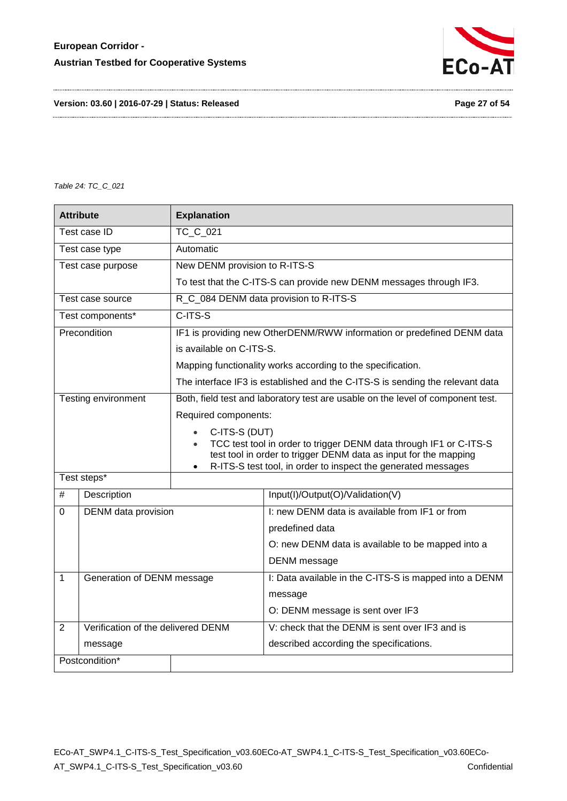

**Version: 03.60 | 2016-07-29 | Status: Released Page 27 of 54**

<span id="page-26-0"></span>*Table 24: TC\_C\_021*

| <b>Attribute</b> |                                    | <b>Explanation</b>                                                                                                                                  |                                                                                 |  |
|------------------|------------------------------------|-----------------------------------------------------------------------------------------------------------------------------------------------------|---------------------------------------------------------------------------------|--|
| Test case ID     |                                    | <b>TC C 021</b>                                                                                                                                     |                                                                                 |  |
|                  | Test case type                     | Automatic                                                                                                                                           |                                                                                 |  |
|                  | Test case purpose                  | New DENM provision to R-ITS-S                                                                                                                       |                                                                                 |  |
|                  |                                    |                                                                                                                                                     | To test that the C-ITS-S can provide new DENM messages through IF3.             |  |
|                  | Test case source                   |                                                                                                                                                     | R_C_084 DENM data provision to R-ITS-S                                          |  |
|                  | Test components*                   | C-ITS-S                                                                                                                                             |                                                                                 |  |
|                  | Precondition                       |                                                                                                                                                     | IF1 is providing new OtherDENM/RWW information or predefined DENM data          |  |
|                  |                                    | is available on C-ITS-S.                                                                                                                            |                                                                                 |  |
|                  |                                    |                                                                                                                                                     | Mapping functionality works according to the specification.                     |  |
|                  |                                    |                                                                                                                                                     | The interface IF3 is established and the C-ITS-S is sending the relevant data   |  |
|                  | Testing environment                |                                                                                                                                                     | Both, field test and laboratory test are usable on the level of component test. |  |
|                  |                                    | Required components:                                                                                                                                |                                                                                 |  |
|                  |                                    | C-ITS-S (DUT)<br>$\bullet$                                                                                                                          |                                                                                 |  |
|                  |                                    | TCC test tool in order to trigger DENM data through IF1 or C-ITS-S<br>$\bullet$<br>test tool in order to trigger DENM data as input for the mapping |                                                                                 |  |
|                  |                                    | R-ITS-S test tool, in order to inspect the generated messages<br>$\bullet$                                                                          |                                                                                 |  |
| Test steps*      |                                    |                                                                                                                                                     |                                                                                 |  |
| #                | Description                        |                                                                                                                                                     | Input(I)/Output(O)/Validation(V)                                                |  |
| 0                | DENM data provision                |                                                                                                                                                     | I: new DENM data is available from IF1 or from                                  |  |
|                  |                                    |                                                                                                                                                     | predefined data                                                                 |  |
|                  |                                    |                                                                                                                                                     | O: new DENM data is available to be mapped into a                               |  |
|                  |                                    |                                                                                                                                                     | DENM message                                                                    |  |
| $\mathbf{1}$     | Generation of DENM message         |                                                                                                                                                     | I: Data available in the C-ITS-S is mapped into a DENM                          |  |
|                  |                                    |                                                                                                                                                     | message                                                                         |  |
|                  |                                    |                                                                                                                                                     | O: DENM message is sent over IF3                                                |  |
| $\overline{2}$   | Verification of the delivered DENM |                                                                                                                                                     | V: check that the DENM is sent over IF3 and is                                  |  |
|                  | message                            |                                                                                                                                                     | described according the specifications.                                         |  |
|                  | Postcondition*                     |                                                                                                                                                     |                                                                                 |  |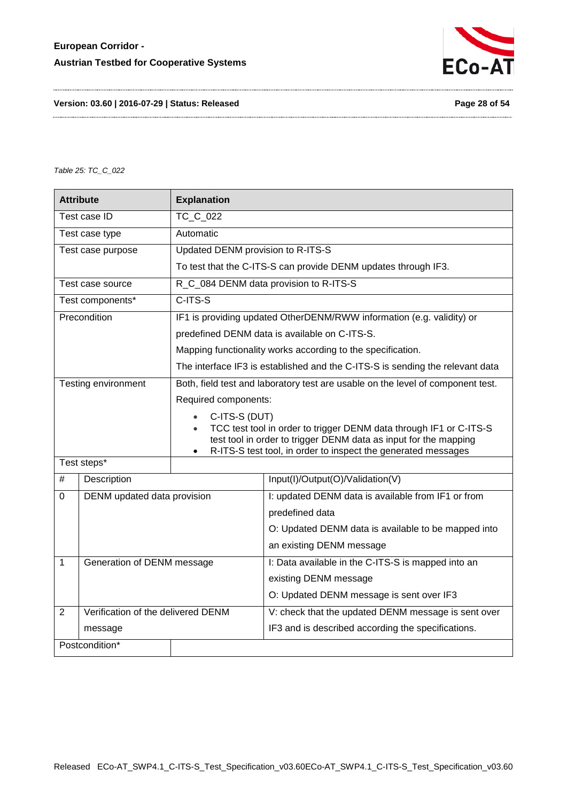

**Version: 03.60 | 2016-07-29 | Status: Released Page 28 of 54**

<span id="page-27-0"></span>*Table 25: TC\_C\_022*

|                          | <b>Attribute</b>                   | <b>Explanation</b>                                                                                                                                  |                                                                               |  |
|--------------------------|------------------------------------|-----------------------------------------------------------------------------------------------------------------------------------------------------|-------------------------------------------------------------------------------|--|
| TC C 022<br>Test case ID |                                    |                                                                                                                                                     |                                                                               |  |
|                          | Test case type                     | Automatic                                                                                                                                           |                                                                               |  |
|                          | Test case purpose                  | Updated DENM provision to R-ITS-S                                                                                                                   |                                                                               |  |
|                          |                                    |                                                                                                                                                     | To test that the C-ITS-S can provide DENM updates through IF3.                |  |
|                          | Test case source                   |                                                                                                                                                     | R_C_084 DENM data provision to R-ITS-S                                        |  |
|                          | Test components*                   | C-ITS-S                                                                                                                                             |                                                                               |  |
|                          | Precondition                       |                                                                                                                                                     | IF1 is providing updated OtherDENM/RWW information (e.g. validity) or         |  |
|                          |                                    |                                                                                                                                                     | predefined DENM data is available on C-ITS-S.                                 |  |
|                          |                                    |                                                                                                                                                     | Mapping functionality works according to the specification.                   |  |
|                          |                                    |                                                                                                                                                     | The interface IF3 is established and the C-ITS-S is sending the relevant data |  |
|                          | Testing environment                | Both, field test and laboratory test are usable on the level of component test.                                                                     |                                                                               |  |
|                          |                                    | Required components:                                                                                                                                |                                                                               |  |
|                          |                                    | C-ITS-S (DUT)<br>$\bullet$                                                                                                                          |                                                                               |  |
|                          |                                    | TCC test tool in order to trigger DENM data through IF1 or C-ITS-S<br>$\bullet$<br>test tool in order to trigger DENM data as input for the mapping |                                                                               |  |
|                          |                                    | R-ITS-S test tool, in order to inspect the generated messages<br>$\bullet$                                                                          |                                                                               |  |
|                          | Test steps*                        |                                                                                                                                                     |                                                                               |  |
| #                        | Description                        |                                                                                                                                                     | Input(I)/Output(O)/Validation(V)                                              |  |
| 0                        | DENM updated data provision        |                                                                                                                                                     | I: updated DENM data is available from IF1 or from                            |  |
|                          |                                    |                                                                                                                                                     | predefined data                                                               |  |
|                          |                                    |                                                                                                                                                     | O: Updated DENM data is available to be mapped into                           |  |
|                          |                                    |                                                                                                                                                     | an existing DENM message                                                      |  |
| 1                        | Generation of DENM message         |                                                                                                                                                     | I: Data available in the C-ITS-S is mapped into an                            |  |
|                          |                                    |                                                                                                                                                     | existing DENM message                                                         |  |
|                          |                                    |                                                                                                                                                     | O: Updated DENM message is sent over IF3                                      |  |
| $\overline{2}$           | Verification of the delivered DENM |                                                                                                                                                     | V: check that the updated DENM message is sent over                           |  |
|                          | message                            |                                                                                                                                                     | IF3 and is described according the specifications.                            |  |
| Postcondition*           |                                    |                                                                                                                                                     |                                                                               |  |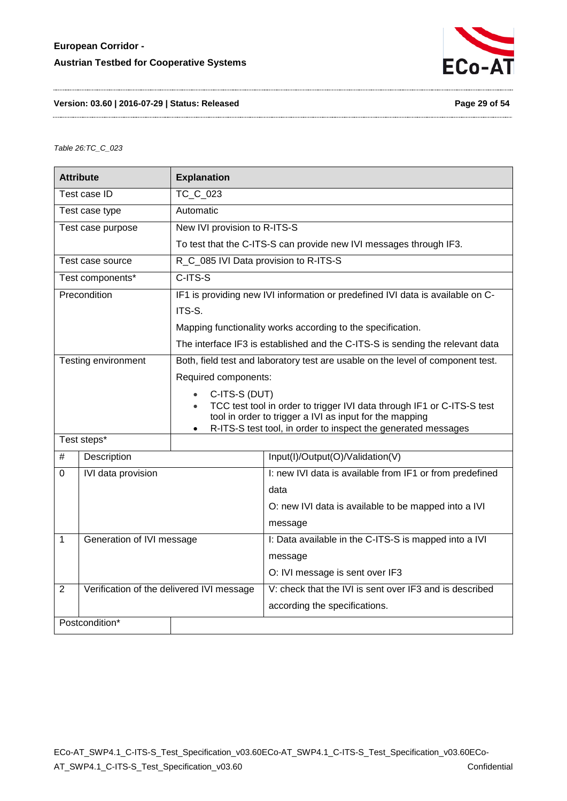

#### **Version: 03.60 | 2016-07-29 | Status: Released Page 29 of 54**

#### <span id="page-28-0"></span>*Table 26:TC\_C\_023*

| <b>Attribute</b><br><b>Explanation</b> |                                           |                                                                                                                                                |                                                                                 |  |  |
|----------------------------------------|-------------------------------------------|------------------------------------------------------------------------------------------------------------------------------------------------|---------------------------------------------------------------------------------|--|--|
|                                        | Test case ID                              | TC C 023                                                                                                                                       |                                                                                 |  |  |
|                                        | Test case type                            | Automatic                                                                                                                                      |                                                                                 |  |  |
|                                        | Test case purpose                         | New IVI provision to R-ITS-S                                                                                                                   |                                                                                 |  |  |
|                                        |                                           |                                                                                                                                                | To test that the C-ITS-S can provide new IVI messages through IF3.              |  |  |
|                                        | Test case source                          | R_C_085 IVI Data provision to R-ITS-S                                                                                                          |                                                                                 |  |  |
|                                        | Test components*                          | $C-ITS-S$                                                                                                                                      |                                                                                 |  |  |
|                                        | Precondition                              |                                                                                                                                                | IF1 is providing new IVI information or predefined IVI data is available on C-  |  |  |
|                                        |                                           | ITS-S.                                                                                                                                         |                                                                                 |  |  |
|                                        |                                           |                                                                                                                                                | Mapping functionality works according to the specification.                     |  |  |
|                                        |                                           |                                                                                                                                                | The interface IF3 is established and the C-ITS-S is sending the relevant data   |  |  |
|                                        | Testing environment                       |                                                                                                                                                | Both, field test and laboratory test are usable on the level of component test. |  |  |
|                                        |                                           | Required components:                                                                                                                           |                                                                                 |  |  |
|                                        |                                           | C-ITS-S (DUT)<br>$\bullet$                                                                                                                     |                                                                                 |  |  |
|                                        |                                           | TCC test tool in order to trigger IVI data through IF1 or C-ITS-S test<br>$\bullet$<br>tool in order to trigger a IVI as input for the mapping |                                                                                 |  |  |
|                                        |                                           |                                                                                                                                                | R-ITS-S test tool, in order to inspect the generated messages                   |  |  |
|                                        | Test steps*                               |                                                                                                                                                |                                                                                 |  |  |
| #                                      | Description                               |                                                                                                                                                | Input(I)/Output(O)/Validation(V)                                                |  |  |
| $\Omega$                               | IVI data provision                        |                                                                                                                                                | I: new IVI data is available from IF1 or from predefined                        |  |  |
|                                        |                                           |                                                                                                                                                | data                                                                            |  |  |
|                                        |                                           |                                                                                                                                                | O: new IVI data is available to be mapped into a IVI                            |  |  |
|                                        |                                           |                                                                                                                                                | message                                                                         |  |  |
| 1                                      | Generation of IVI message                 |                                                                                                                                                | I: Data available in the C-ITS-S is mapped into a IVI                           |  |  |
|                                        |                                           |                                                                                                                                                | message                                                                         |  |  |
|                                        |                                           |                                                                                                                                                | O: IVI message is sent over IF3                                                 |  |  |
| $\overline{2}$                         | Verification of the delivered IVI message |                                                                                                                                                | V: check that the IVI is sent over IF3 and is described                         |  |  |
|                                        |                                           |                                                                                                                                                | according the specifications.                                                   |  |  |
|                                        | Postcondition*                            |                                                                                                                                                |                                                                                 |  |  |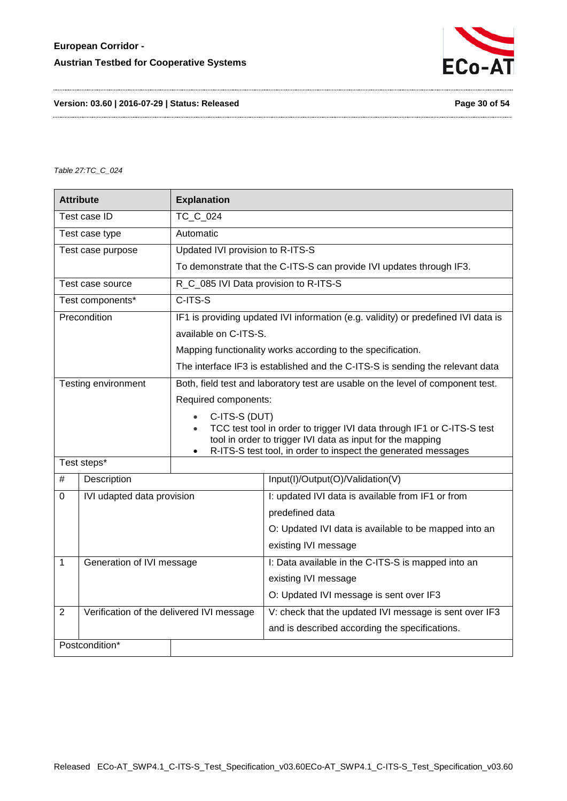

**Version: 03.60 | 2016-07-29 | Status: Released Page 30 of 54**

<span id="page-29-0"></span>*Table 27:TC\_C\_024*

| <b>Attribute</b><br><b>Explanation</b> |                                           |                                                                                                                                                   |                                                                                    |  |  |
|----------------------------------------|-------------------------------------------|---------------------------------------------------------------------------------------------------------------------------------------------------|------------------------------------------------------------------------------------|--|--|
| <b>TC C 024</b><br>Test case ID        |                                           |                                                                                                                                                   |                                                                                    |  |  |
|                                        | Test case type                            | Automatic                                                                                                                                         |                                                                                    |  |  |
|                                        | Test case purpose                         | Updated IVI provision to R-ITS-S                                                                                                                  |                                                                                    |  |  |
|                                        |                                           |                                                                                                                                                   | To demonstrate that the C-ITS-S can provide IVI updates through IF3.               |  |  |
|                                        | Test case source                          |                                                                                                                                                   | R_C_085 IVI Data provision to R-ITS-S                                              |  |  |
|                                        | Test components*                          | C-ITS-S                                                                                                                                           |                                                                                    |  |  |
|                                        | Precondition                              |                                                                                                                                                   | IF1 is providing updated IVI information (e.g. validity) or predefined IVI data is |  |  |
|                                        |                                           | available on C-ITS-S.                                                                                                                             |                                                                                    |  |  |
|                                        |                                           |                                                                                                                                                   | Mapping functionality works according to the specification.                        |  |  |
|                                        |                                           | The interface IF3 is established and the C-ITS-S is sending the relevant data                                                                     |                                                                                    |  |  |
|                                        | Testing environment                       | Both, field test and laboratory test are usable on the level of component test.                                                                   |                                                                                    |  |  |
|                                        |                                           | Required components:                                                                                                                              |                                                                                    |  |  |
|                                        |                                           | C-ITS-S (DUT)<br>$\bullet$                                                                                                                        |                                                                                    |  |  |
|                                        |                                           | TCC test tool in order to trigger IVI data through IF1 or C-ITS-S test<br>$\bullet$<br>tool in order to trigger IVI data as input for the mapping |                                                                                    |  |  |
|                                        |                                           | $\bullet$                                                                                                                                         | R-ITS-S test tool, in order to inspect the generated messages                      |  |  |
|                                        | Test steps*                               |                                                                                                                                                   |                                                                                    |  |  |
| #                                      | Description                               |                                                                                                                                                   | Input(I)/Output(O)/Validation(V)                                                   |  |  |
| $\Omega$                               | IVI udapted data provision                |                                                                                                                                                   | I: updated IVI data is available from IF1 or from                                  |  |  |
|                                        |                                           |                                                                                                                                                   | predefined data                                                                    |  |  |
|                                        |                                           |                                                                                                                                                   | O: Updated IVI data is available to be mapped into an                              |  |  |
|                                        |                                           |                                                                                                                                                   | existing IVI message                                                               |  |  |
| $\mathbf{1}$                           | Generation of IVI message                 |                                                                                                                                                   | I: Data available in the C-ITS-S is mapped into an                                 |  |  |
|                                        |                                           |                                                                                                                                                   | existing IVI message                                                               |  |  |
|                                        |                                           |                                                                                                                                                   | O: Updated IVI message is sent over IF3                                            |  |  |
| $\overline{2}$                         | Verification of the delivered IVI message |                                                                                                                                                   | V: check that the updated IVI message is sent over IF3                             |  |  |
|                                        |                                           |                                                                                                                                                   | and is described according the specifications.                                     |  |  |
|                                        | Postcondition*                            |                                                                                                                                                   |                                                                                    |  |  |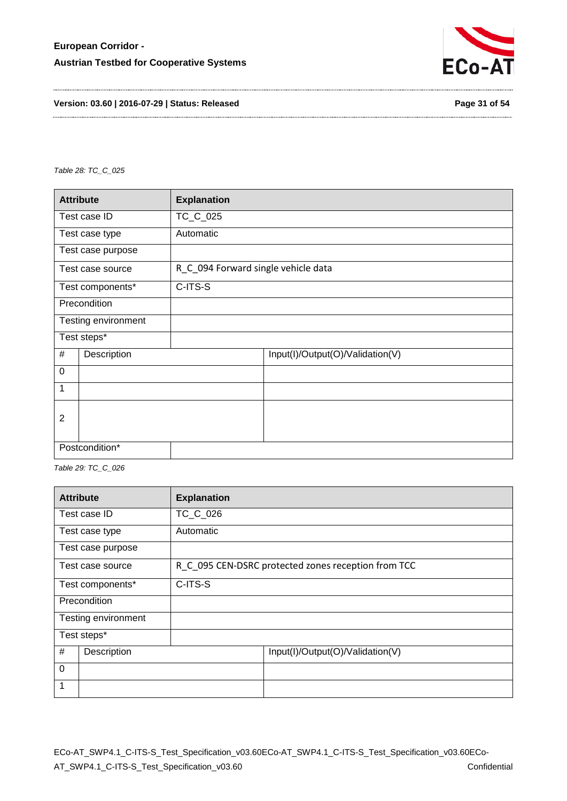

**Version: 03.60 | 2016-07-29 | Status: Released Page 31 of 54**

<span id="page-30-0"></span>*Table 28: TC\_C\_025*

| <b>Attribute</b> |                     | <b>Explanation</b>                  |
|------------------|---------------------|-------------------------------------|
| Test case ID     |                     | TC_C_025                            |
|                  | Test case type      | Automatic                           |
|                  | Test case purpose   |                                     |
|                  | Test case source    | R C 094 Forward single vehicle data |
|                  | Test components*    | C-ITS-S                             |
| Precondition     |                     |                                     |
|                  | Testing environment |                                     |
|                  | Test steps*         |                                     |
| #<br>Description |                     | Input(I)/Output(O)/Validation(V)    |
| $\mathbf 0$      |                     |                                     |
| 1                |                     |                                     |
| 2                |                     |                                     |
|                  |                     |                                     |
|                  | Postcondition*      |                                     |

<span id="page-30-1"></span>*Table 29: TC\_C\_026*

| <b>Attribute</b>            |                     | <b>Explanation</b> |                                                     |  |
|-----------------------------|---------------------|--------------------|-----------------------------------------------------|--|
|                             | Test case ID        | TC_C_026           |                                                     |  |
| Automatic<br>Test case type |                     |                    |                                                     |  |
|                             | Test case purpose   |                    |                                                     |  |
| Test case source            |                     |                    | R_C_095 CEN-DSRC protected zones reception from TCC |  |
|                             | Test components*    | C-ITS-S            |                                                     |  |
| Precondition                |                     |                    |                                                     |  |
|                             | Testing environment |                    |                                                     |  |
|                             | Test steps*         |                    |                                                     |  |
| #<br>Description            |                     |                    | Input(I)/Output(O)/Validation(V)                    |  |
| $\mathbf 0$                 |                     |                    |                                                     |  |
| 1                           |                     |                    |                                                     |  |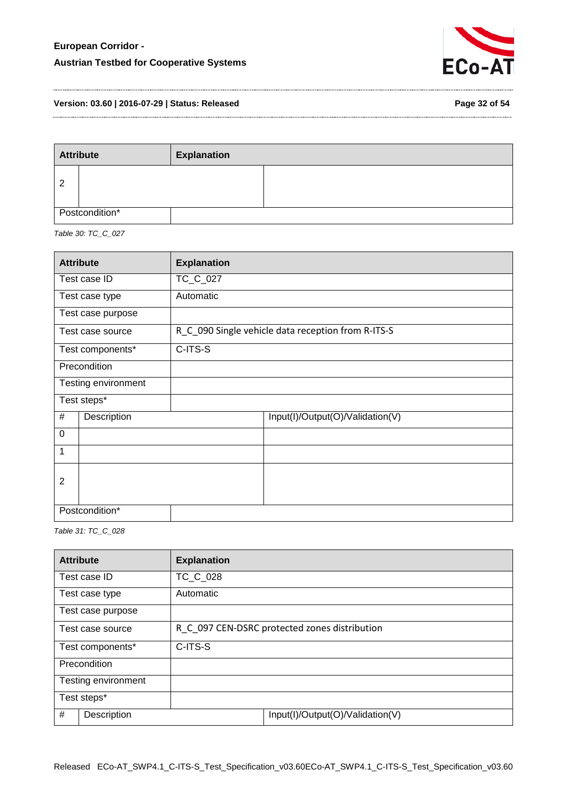

**Version: 03.60 | 2016-07-29 | Status: Released Page 32 of 54**

| <b>Attribute</b> |  | <b>Explanation</b> |  |
|------------------|--|--------------------|--|
| 2                |  |                    |  |
| Postcondition*   |  |                    |  |

<span id="page-31-0"></span>*Table 30: TC\_C\_027*

| <b>Attribute</b> |                     | <b>Explanation</b>                                 |
|------------------|---------------------|----------------------------------------------------|
| Test case ID     |                     | TC_C_027                                           |
|                  | Test case type      | Automatic                                          |
|                  | Test case purpose   |                                                    |
|                  | Test case source    | R C 090 Single vehicle data reception from R-ITS-S |
|                  | Test components*    | C-ITS-S                                            |
|                  | Precondition        |                                                    |
|                  | Testing environment |                                                    |
|                  | Test steps*         |                                                    |
| #                | Description         | Input(I)/Output(O)/Validation(V)                   |
| $\mathbf 0$      |                     |                                                    |
| 1                |                     |                                                    |
| $\overline{2}$   |                     |                                                    |
|                  | Postcondition*      |                                                    |

<span id="page-31-1"></span>*Table 31: TC\_C\_028*

| <b>Attribute</b>    | <b>Explanation</b>                            |                                  |  |
|---------------------|-----------------------------------------------|----------------------------------|--|
| Test case ID        | TC C 028                                      |                                  |  |
| Test case type      | Automatic                                     |                                  |  |
| Test case purpose   |                                               |                                  |  |
| Test case source    | R C 097 CEN-DSRC protected zones distribution |                                  |  |
| Test components*    | C-ITS-S                                       |                                  |  |
| Precondition        |                                               |                                  |  |
| Testing environment |                                               |                                  |  |
| Test steps*         |                                               |                                  |  |
| #<br>Description    |                                               | Input(I)/Output(O)/Validation(V) |  |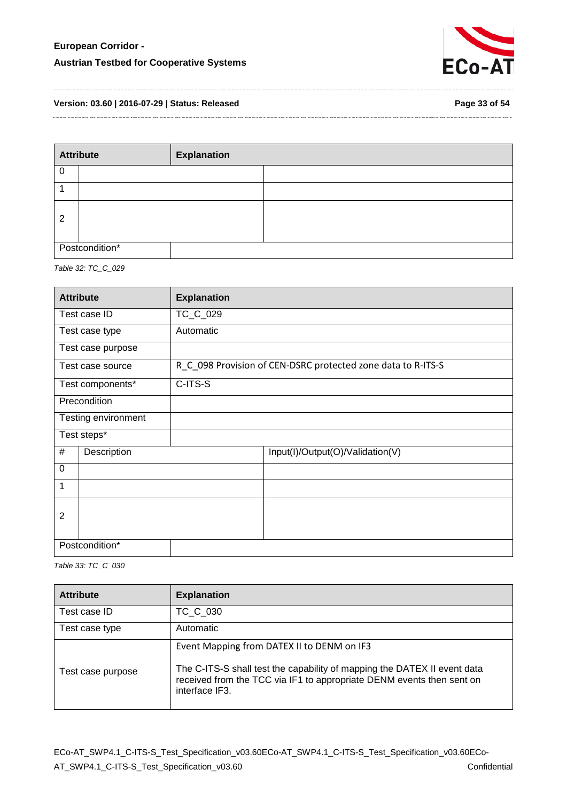

**Version: 03.60 | 2016-07-29 | Status: Released Page 33 of 54**

| <b>Attribute</b> |  | <b>Explanation</b> |  |
|------------------|--|--------------------|--|
|                  |  |                    |  |
|                  |  |                    |  |
| $\overline{2}$   |  |                    |  |
| Postcondition*   |  |                    |  |

<span id="page-32-0"></span>*Table 32: TC\_C\_029*

| <b>Attribute</b> |                     | <b>Explanation</b> |                                                              |
|------------------|---------------------|--------------------|--------------------------------------------------------------|
| Test case ID     |                     | TC_C_029           |                                                              |
|                  | Test case type      | Automatic          |                                                              |
|                  | Test case purpose   |                    |                                                              |
|                  | Test case source    |                    | R_C_098 Provision of CEN-DSRC protected zone data to R-ITS-S |
|                  | Test components*    | C-ITS-S            |                                                              |
| Precondition     |                     |                    |                                                              |
|                  | Testing environment |                    |                                                              |
|                  | Test steps*         |                    |                                                              |
| #                | Description         |                    | Input(I)/Output(O)/Validation(V)                             |
| $\mathbf 0$      |                     |                    |                                                              |
| 1                |                     |                    |                                                              |
| 2                |                     |                    |                                                              |
|                  | Postcondition*      |                    |                                                              |

<span id="page-32-1"></span>*Table 33: TC\_C\_030*

| <b>Attribute</b>  | <b>Explanation</b>                                                                                                                                                                                                |
|-------------------|-------------------------------------------------------------------------------------------------------------------------------------------------------------------------------------------------------------------|
| Test case ID      | TC C 030                                                                                                                                                                                                          |
| Test case type    | Automatic                                                                                                                                                                                                         |
| Test case purpose | Event Mapping from DATEX II to DENM on IF3<br>The C-ITS-S shall test the capability of mapping the DATEX II event data<br>received from the TCC via IF1 to appropriate DENM events then sent on<br>interface IF3. |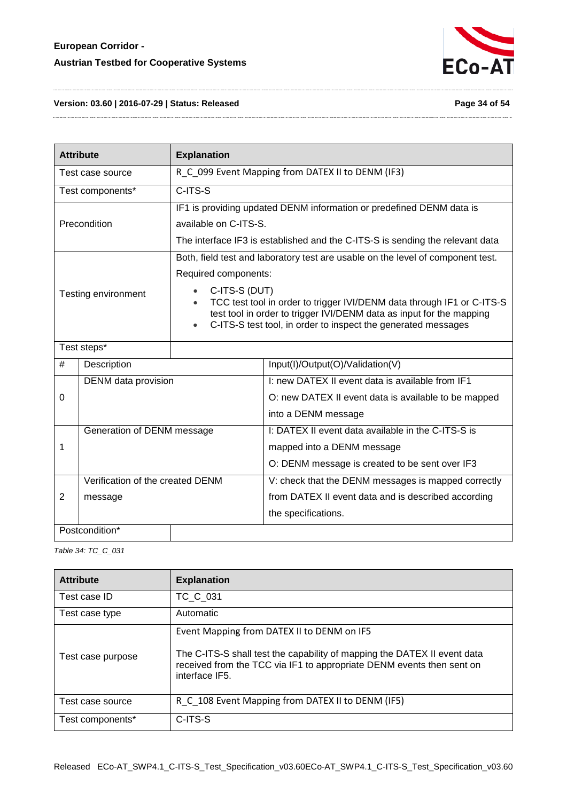

#### **Version: 03.60 | 2016-07-29 | Status: Released Page 34 of 54**

| <b>Attribute</b>                 |                                  | <b>Explanation</b>                                                                                                                                                             |                                                                                                                                                                                                                                                                                                    |  |
|----------------------------------|----------------------------------|--------------------------------------------------------------------------------------------------------------------------------------------------------------------------------|----------------------------------------------------------------------------------------------------------------------------------------------------------------------------------------------------------------------------------------------------------------------------------------------------|--|
| Test case source                 |                                  |                                                                                                                                                                                | R_C_099 Event Mapping from DATEX II to DENM (IF3)                                                                                                                                                                                                                                                  |  |
|                                  | Test components*                 | C-ITS-S                                                                                                                                                                        |                                                                                                                                                                                                                                                                                                    |  |
| Precondition                     |                                  | IF1 is providing updated DENM information or predefined DENM data is<br>available on C-ITS-S.<br>The interface IF3 is established and the C-ITS-S is sending the relevant data |                                                                                                                                                                                                                                                                                                    |  |
| Testing environment<br>$\bullet$ |                                  | Required components:<br>C-ITS-S (DUT)                                                                                                                                          | Both, field test and laboratory test are usable on the level of component test.<br>TCC test tool in order to trigger IVI/DENM data through IF1 or C-ITS-S<br>test tool in order to trigger IVI/DENM data as input for the mapping<br>C-ITS-S test tool, in order to inspect the generated messages |  |
| Test steps*                      |                                  |                                                                                                                                                                                |                                                                                                                                                                                                                                                                                                    |  |
| #                                | Description                      |                                                                                                                                                                                | Input(I)/Output(O)/Validation(V)                                                                                                                                                                                                                                                                   |  |
|                                  | DENM data provision              |                                                                                                                                                                                | I: new DATEX II event data is available from IF1                                                                                                                                                                                                                                                   |  |
| $\Omega$                         |                                  |                                                                                                                                                                                | O: new DATEX II event data is available to be mapped                                                                                                                                                                                                                                               |  |
|                                  |                                  |                                                                                                                                                                                | into a DENM message                                                                                                                                                                                                                                                                                |  |
|                                  | Generation of DENM message       |                                                                                                                                                                                | I: DATEX II event data available in the C-ITS-S is                                                                                                                                                                                                                                                 |  |
| 1                                |                                  |                                                                                                                                                                                | mapped into a DENM message                                                                                                                                                                                                                                                                         |  |
|                                  |                                  |                                                                                                                                                                                | O: DENM message is created to be sent over IF3                                                                                                                                                                                                                                                     |  |
|                                  | Verification of the created DENM |                                                                                                                                                                                | V: check that the DENM messages is mapped correctly                                                                                                                                                                                                                                                |  |
| 2                                | message                          |                                                                                                                                                                                | from DATEX II event data and is described according                                                                                                                                                                                                                                                |  |
|                                  |                                  |                                                                                                                                                                                | the specifications.                                                                                                                                                                                                                                                                                |  |
|                                  | Postcondition*                   |                                                                                                                                                                                |                                                                                                                                                                                                                                                                                                    |  |

<span id="page-33-0"></span>*Table 34: TC\_C\_031*

| <b>Attribute</b>                                                      | <b>Explanation</b>                                                                                                                                                                                                |  |
|-----------------------------------------------------------------------|-------------------------------------------------------------------------------------------------------------------------------------------------------------------------------------------------------------------|--|
| Test case ID                                                          | TC C 031                                                                                                                                                                                                          |  |
| Test case type                                                        | Automatic                                                                                                                                                                                                         |  |
| Test case purpose                                                     | Event Mapping from DATEX II to DENM on IF5<br>The C-ITS-S shall test the capability of mapping the DATEX II event data<br>received from the TCC via IF1 to appropriate DENM events then sent on<br>interface IF5. |  |
| R C 108 Event Mapping from DATEX II to DENM (IF5)<br>Test case source |                                                                                                                                                                                                                   |  |
| Test components*                                                      | C-ITS-S                                                                                                                                                                                                           |  |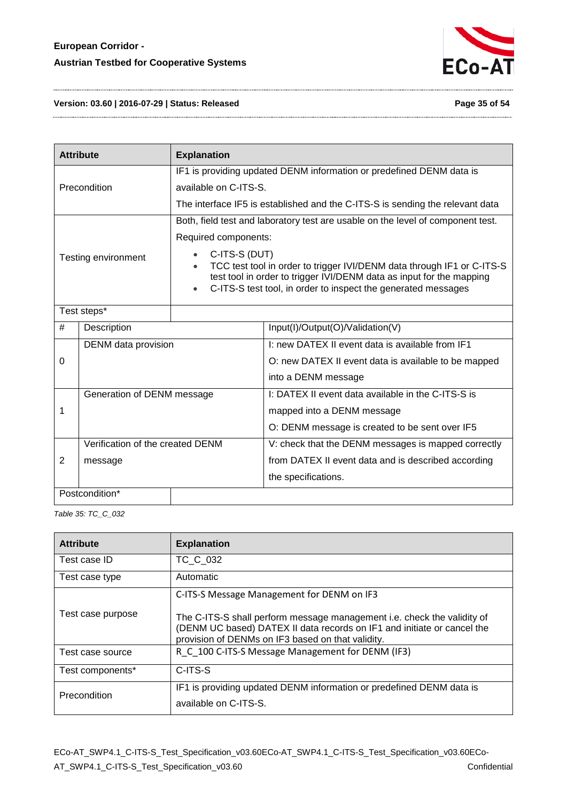

#### **Version: 03.60 | 2016-07-29 | Status: Released Page 35 of 54**

| <b>Attribute</b><br><b>Explanation</b> |                                  |                                                                      |                                                                                                                                                                                                                 |  |
|----------------------------------------|----------------------------------|----------------------------------------------------------------------|-----------------------------------------------------------------------------------------------------------------------------------------------------------------------------------------------------------------|--|
|                                        |                                  | IF1 is providing updated DENM information or predefined DENM data is |                                                                                                                                                                                                                 |  |
|                                        | Precondition                     | available on C-ITS-S.                                                |                                                                                                                                                                                                                 |  |
|                                        |                                  |                                                                      | The interface IF5 is established and the C-ITS-S is sending the relevant data                                                                                                                                   |  |
|                                        |                                  |                                                                      | Both, field test and laboratory test are usable on the level of component test.                                                                                                                                 |  |
|                                        |                                  | Required components:                                                 |                                                                                                                                                                                                                 |  |
| Testing environment<br>$\bullet$       |                                  | C-ITS-S (DUT)                                                        | TCC test tool in order to trigger IVI/DENM data through IF1 or C-ITS-S<br>test tool in order to trigger IVI/DENM data as input for the mapping<br>C-ITS-S test tool, in order to inspect the generated messages |  |
|                                        | Test steps*                      |                                                                      |                                                                                                                                                                                                                 |  |
| #                                      | Description                      |                                                                      | Input(I)/Output(O)/Validation(V)                                                                                                                                                                                |  |
| DENM data provision                    |                                  |                                                                      | I: new DATEX II event data is available from IF1                                                                                                                                                                |  |
| 0                                      |                                  |                                                                      | O: new DATEX II event data is available to be mapped                                                                                                                                                            |  |
|                                        |                                  |                                                                      | into a DENM message                                                                                                                                                                                             |  |
|                                        | Generation of DENM message       |                                                                      | I: DATEX II event data available in the C-ITS-S is                                                                                                                                                              |  |
| 1                                      |                                  |                                                                      | mapped into a DENM message                                                                                                                                                                                      |  |
|                                        |                                  |                                                                      | O: DENM message is created to be sent over IF5                                                                                                                                                                  |  |
|                                        | Verification of the created DENM |                                                                      | V: check that the DENM messages is mapped correctly                                                                                                                                                             |  |
| 2                                      | message                          |                                                                      | from DATEX II event data and is described according                                                                                                                                                             |  |
|                                        |                                  |                                                                      | the specifications.                                                                                                                                                                                             |  |
|                                        | Postcondition*                   |                                                                      |                                                                                                                                                                                                                 |  |

<span id="page-34-0"></span>*Table 35: TC\_C\_032*

| <b>Attribute</b>            | <b>Explanation</b>                                                                                                                                                                                      |
|-----------------------------|---------------------------------------------------------------------------------------------------------------------------------------------------------------------------------------------------------|
| Test case ID                | TC C 032                                                                                                                                                                                                |
| Automatic<br>Test case type |                                                                                                                                                                                                         |
| Test case purpose           | C-ITS-S Message Management for DENM on IF3                                                                                                                                                              |
|                             | The C-ITS-S shall perform message management i.e. check the validity of<br>(DENM UC based) DATEX II data records on IF1 and initiate or cancel the<br>provision of DENMs on IF3 based on that validity. |
| Test case source            | R C 100 C-ITS-S Message Management for DENM (IF3)                                                                                                                                                       |
| Test components*            | C-ITS-S                                                                                                                                                                                                 |
| Precondition                | IF1 is providing updated DENM information or predefined DENM data is<br>available on C-ITS-S.                                                                                                           |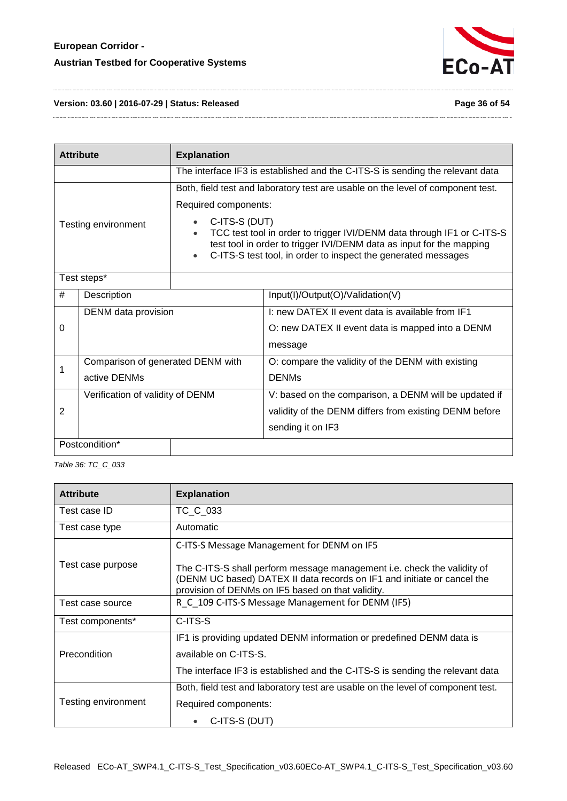

#### **Version: 03.60 | 2016-07-29 | Status: Released Page 36 of 54**

| <b>Attribute</b><br><b>Explanation</b> |                                   |                                                                                                                                       |                                                                                 |  |
|----------------------------------------|-----------------------------------|---------------------------------------------------------------------------------------------------------------------------------------|---------------------------------------------------------------------------------|--|
|                                        |                                   | The interface IF3 is established and the C-ITS-S is sending the relevant data                                                         |                                                                                 |  |
|                                        |                                   |                                                                                                                                       | Both, field test and laboratory test are usable on the level of component test. |  |
|                                        |                                   | Required components:                                                                                                                  |                                                                                 |  |
|                                        | Testing environment               | C-ITS-S (DUT)<br>TCC test tool in order to trigger IVI/DENM data through IF1 or C-ITS-S                                               |                                                                                 |  |
|                                        |                                   | test tool in order to trigger IVI/DENM data as input for the mapping<br>C-ITS-S test tool, in order to inspect the generated messages |                                                                                 |  |
| Test steps*                            |                                   |                                                                                                                                       |                                                                                 |  |
| #                                      | Description                       |                                                                                                                                       | Input(I)/Output(O)/Validation(V)                                                |  |
| DENM data provision                    |                                   |                                                                                                                                       | I: new DATEX II event data is available from IF1                                |  |
| 0                                      |                                   |                                                                                                                                       | O: new DATEX II event data is mapped into a DENM                                |  |
|                                        |                                   |                                                                                                                                       | message                                                                         |  |
| 1                                      | Comparison of generated DENM with |                                                                                                                                       | O: compare the validity of the DENM with existing                               |  |
|                                        | active DENMs                      |                                                                                                                                       | <b>DENMs</b>                                                                    |  |
| Verification of validity of DENM       |                                   |                                                                                                                                       | V: based on the comparison, a DENM will be updated if                           |  |
| 2                                      |                                   |                                                                                                                                       | validity of the DENM differs from existing DENM before                          |  |
|                                        |                                   |                                                                                                                                       | sending it on IF3                                                               |  |
| Postcondition*                         |                                   |                                                                                                                                       |                                                                                 |  |

<span id="page-35-0"></span>*Table 36: TC\_C\_033*

| <b>Attribute</b>    | <b>Explanation</b>                                                                                                                                                                                      |  |  |
|---------------------|---------------------------------------------------------------------------------------------------------------------------------------------------------------------------------------------------------|--|--|
| Test case ID        | TC C 033                                                                                                                                                                                                |  |  |
| Test case type      | Automatic                                                                                                                                                                                               |  |  |
|                     | C-ITS-S Message Management for DENM on IF5                                                                                                                                                              |  |  |
| Test case purpose   | The C-ITS-S shall perform message management i.e. check the validity of<br>(DENM UC based) DATEX II data records on IF1 and initiate or cancel the<br>provision of DENMs on IF5 based on that validity. |  |  |
| Test case source    | R_C_109 C-ITS-S Message Management for DENM (IF5)                                                                                                                                                       |  |  |
| Test components*    | C-ITS-S                                                                                                                                                                                                 |  |  |
| <b>Precondition</b> | IF1 is providing updated DENM information or predefined DENM data is<br>available on C-ITS-S.                                                                                                           |  |  |
|                     | The interface IF3 is established and the C-ITS-S is sending the relevant data                                                                                                                           |  |  |
|                     | Both, field test and laboratory test are usable on the level of component test.                                                                                                                         |  |  |
| Testing environment | Required components:                                                                                                                                                                                    |  |  |
|                     | C-ITS-S (DUT)                                                                                                                                                                                           |  |  |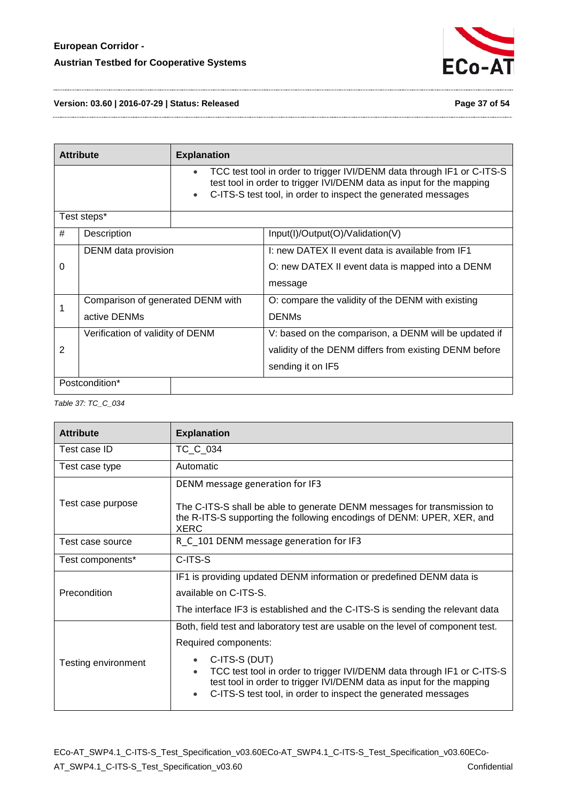

**Version: 03.60 | 2016-07-29 | Status: Released Page 37 of 54**

|                | <b>Attribute</b>                  | <b>Explanation</b> |                                                                                                                                                                                                                 |
|----------------|-----------------------------------|--------------------|-----------------------------------------------------------------------------------------------------------------------------------------------------------------------------------------------------------------|
|                |                                   | $\bullet$          | TCC test tool in order to trigger IVI/DENM data through IF1 or C-ITS-S<br>test tool in order to trigger IVI/DENM data as input for the mapping<br>C-ITS-S test tool, in order to inspect the generated messages |
|                | Test steps*                       |                    |                                                                                                                                                                                                                 |
| #              | Description                       |                    | Input(I)/Output(O)/Validation(V)                                                                                                                                                                                |
|                | DENM data provision               |                    | I: new DATEX II event data is available from IF1                                                                                                                                                                |
| $\Omega$       |                                   |                    | O: new DATEX II event data is mapped into a DENM                                                                                                                                                                |
|                |                                   |                    | message                                                                                                                                                                                                         |
|                | Comparison of generated DENM with |                    | O: compare the validity of the DENM with existing                                                                                                                                                               |
|                | active DENMs                      |                    | <b>DENMs</b>                                                                                                                                                                                                    |
|                | Verification of validity of DENM  |                    | V: based on the comparison, a DENM will be updated if                                                                                                                                                           |
| $\overline{2}$ |                                   |                    | validity of the DENM differs from existing DENM before                                                                                                                                                          |
|                |                                   |                    | sending it on IF5                                                                                                                                                                                               |
|                | Postcondition*                    |                    |                                                                                                                                                                                                                 |

#### <span id="page-36-0"></span>*Table 37: TC\_C\_034*

| <b>Attribute</b>    | <b>Explanation</b>                                                                                                                                                                                                               |  |  |
|---------------------|----------------------------------------------------------------------------------------------------------------------------------------------------------------------------------------------------------------------------------|--|--|
| Test case ID        | TC_C_034                                                                                                                                                                                                                         |  |  |
| Test case type      | Automatic                                                                                                                                                                                                                        |  |  |
|                     | DENM message generation for IF3                                                                                                                                                                                                  |  |  |
| Test case purpose   | The C-ITS-S shall be able to generate DENM messages for transmission to<br>the R-ITS-S supporting the following encodings of DENM: UPER, XER, and<br><b>XERC</b>                                                                 |  |  |
| Test case source    | R C 101 DENM message generation for IF3                                                                                                                                                                                          |  |  |
| Test components*    | C-ITS-S                                                                                                                                                                                                                          |  |  |
|                     | IF1 is providing updated DENM information or predefined DENM data is                                                                                                                                                             |  |  |
| Precondition        | available on C-ITS-S.                                                                                                                                                                                                            |  |  |
|                     | The interface IF3 is established and the C-ITS-S is sending the relevant data                                                                                                                                                    |  |  |
|                     | Both, field test and laboratory test are usable on the level of component test.                                                                                                                                                  |  |  |
|                     | Required components:                                                                                                                                                                                                             |  |  |
| Testing environment | C-ITS-S (DUT)<br>TCC test tool in order to trigger IVI/DENM data through IF1 or C-ITS-S<br>test tool in order to trigger IVI/DENM data as input for the mapping<br>C-ITS-S test tool, in order to inspect the generated messages |  |  |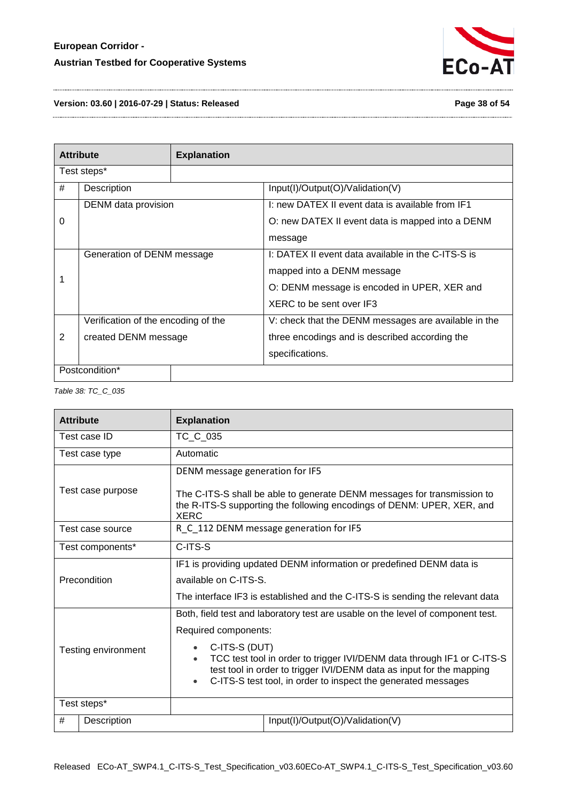

#### **Version: 03.60 | 2016-07-29 | Status: Released Page 38 of 54**

|                | <b>Attribute</b>                    | <b>Explanation</b> |                                                      |
|----------------|-------------------------------------|--------------------|------------------------------------------------------|
|                | Test steps*                         |                    |                                                      |
| #              | Description                         |                    | Input(I)/Output(O)/Validation(V)                     |
|                | DENM data provision                 |                    | I: new DATEX II event data is available from IF1     |
| 0              |                                     |                    | O: new DATEX II event data is mapped into a DENM     |
|                |                                     |                    | message                                              |
|                | Generation of DENM message          |                    | I: DATEX II event data available in the C-ITS-S is   |
|                |                                     |                    | mapped into a DENM message                           |
|                |                                     |                    | O: DENM message is encoded in UPER, XER and          |
|                |                                     |                    | XERC to be sent over IF3                             |
|                | Verification of the encoding of the |                    | V: check that the DENM messages are available in the |
| 2              | created DENM message                |                    | three encodings and is described according the       |
|                |                                     |                    | specifications.                                      |
| Postcondition* |                                     |                    |                                                      |

<span id="page-37-0"></span>*Table 38: TC\_C\_035*

| <b>Attribute</b>    |                   | <b>Explanation</b>                                                                                                                                                                                  |                                                                                                                                                                                                                                                                                                    |
|---------------------|-------------------|-----------------------------------------------------------------------------------------------------------------------------------------------------------------------------------------------------|----------------------------------------------------------------------------------------------------------------------------------------------------------------------------------------------------------------------------------------------------------------------------------------------------|
|                     | Test case ID      | TC_C_035                                                                                                                                                                                            |                                                                                                                                                                                                                                                                                                    |
|                     | Test case type    | Automatic                                                                                                                                                                                           |                                                                                                                                                                                                                                                                                                    |
|                     | Test case purpose | DENM message generation for IF5<br>The C-ITS-S shall be able to generate DENM messages for transmission to<br>the R-ITS-S supporting the following encodings of DENM: UPER, XER, and<br><b>XERC</b> |                                                                                                                                                                                                                                                                                                    |
|                     | Test case source  |                                                                                                                                                                                                     | R C_112 DENM message generation for IF5                                                                                                                                                                                                                                                            |
|                     | Test components*  | C-ITS-S                                                                                                                                                                                             |                                                                                                                                                                                                                                                                                                    |
| Precondition        |                   | available on C-ITS-S.                                                                                                                                                                               | IF1 is providing updated DENM information or predefined DENM data is<br>The interface IF3 is established and the C-ITS-S is sending the relevant data                                                                                                                                              |
| Testing environment |                   | Required components:<br>C-ITS-S (DUT)                                                                                                                                                               | Both, field test and laboratory test are usable on the level of component test.<br>TCC test tool in order to trigger IVI/DENM data through IF1 or C-ITS-S<br>test tool in order to trigger IVI/DENM data as input for the mapping<br>C-ITS-S test tool, in order to inspect the generated messages |
| Test steps*         |                   |                                                                                                                                                                                                     |                                                                                                                                                                                                                                                                                                    |
| #                   | Description       |                                                                                                                                                                                                     | Input(I)/Output(O)/Validation(V)                                                                                                                                                                                                                                                                   |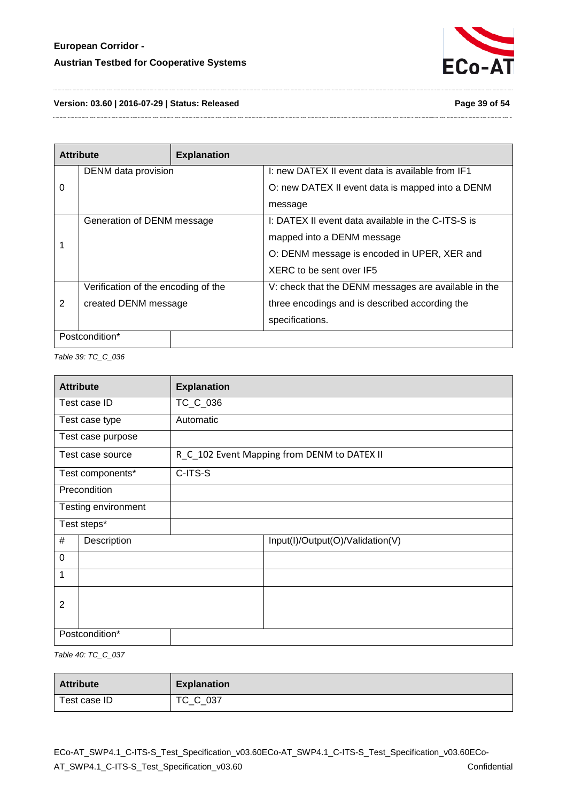

**Version: 03.60 | 2016-07-29 | Status: Released Page 39 of 54**

| <b>Attribute</b><br><b>Explanation</b> |                                     |  |                                                      |
|----------------------------------------|-------------------------------------|--|------------------------------------------------------|
|                                        | DENM data provision                 |  | I: new DATEX II event data is available from IF1     |
| 0                                      |                                     |  | O: new DATEX II event data is mapped into a DENM     |
|                                        |                                     |  | message                                              |
|                                        | Generation of DENM message          |  | I: DATEX II event data available in the C-ITS-S is   |
|                                        |                                     |  | mapped into a DENM message                           |
|                                        |                                     |  | O: DENM message is encoded in UPER, XER and          |
|                                        |                                     |  | XERC to be sent over IF5                             |
|                                        | Verification of the encoding of the |  | V: check that the DENM messages are available in the |
| $\overline{2}$                         | created DENM message                |  | three encodings and is described according the       |
|                                        |                                     |  | specifications.                                      |
| Postcondition*                         |                                     |  |                                                      |

<span id="page-38-0"></span>*Table 39: TC\_C\_036*

| <b>Attribute</b> |                     | <b>Explanation</b> |                                             |
|------------------|---------------------|--------------------|---------------------------------------------|
| Test case ID     |                     | TC_C_036           |                                             |
|                  | Test case type      | Automatic          |                                             |
|                  | Test case purpose   |                    |                                             |
|                  | Test case source    |                    | R_C_102 Event Mapping from DENM to DATEX II |
|                  | Test components*    | C-ITS-S            |                                             |
|                  | Precondition        |                    |                                             |
|                  | Testing environment |                    |                                             |
|                  | Test steps*         |                    |                                             |
| #                | Description         |                    | Input(I)/Output(O)/Validation(V)            |
| $\mathbf 0$      |                     |                    |                                             |
| 1                |                     |                    |                                             |
|                  |                     |                    |                                             |
| $\overline{2}$   |                     |                    |                                             |
|                  | Postcondition*      |                    |                                             |

<span id="page-38-1"></span>*Table 40: TC\_C\_037*

| <b>Attribute</b> | <b>Explanation</b> |
|------------------|--------------------|
| Test case ID     | TC_C_037           |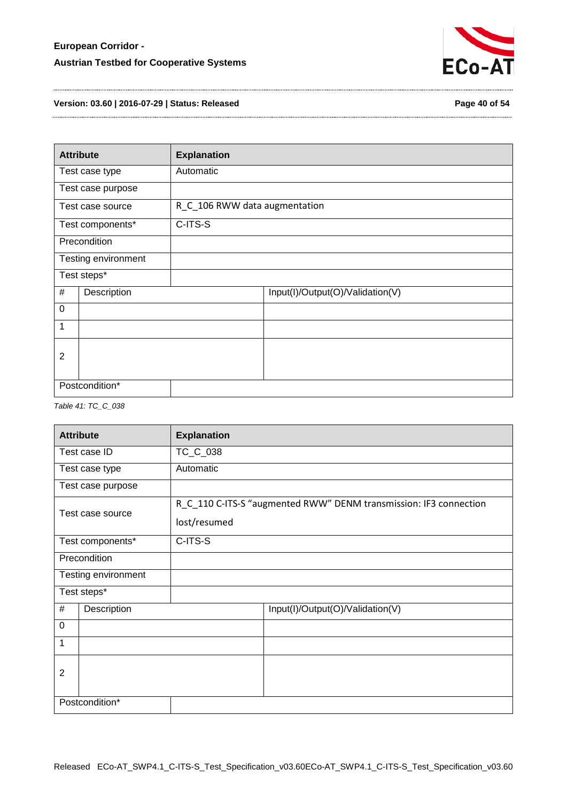

**Version: 03.60 | 2016-07-29 | Status: Released Page 40 of 54**

| <b>Attribute</b> |                     | <b>Explanation</b>            |                                  |
|------------------|---------------------|-------------------------------|----------------------------------|
|                  | Test case type      | Automatic                     |                                  |
|                  | Test case purpose   |                               |                                  |
|                  | Test case source    | R_C_106 RWW data augmentation |                                  |
|                  | Test components*    | C-ITS-S                       |                                  |
|                  | Precondition        |                               |                                  |
|                  | Testing environment |                               |                                  |
|                  | Test steps*         |                               |                                  |
| #                | Description         |                               | Input(I)/Output(O)/Validation(V) |
| $\mathbf 0$      |                     |                               |                                  |
| 1                |                     |                               |                                  |
| $\overline{2}$   |                     |                               |                                  |
|                  | Postcondition*      |                               |                                  |

#### <span id="page-39-0"></span>*Table 41: TC\_C\_038*

| <b>Attribute</b> |                     | <b>Explanation</b> |                                                                   |
|------------------|---------------------|--------------------|-------------------------------------------------------------------|
| Test case ID     |                     | TC_C_038           |                                                                   |
|                  | Test case type      | Automatic          |                                                                   |
|                  | Test case purpose   |                    |                                                                   |
| Test case source |                     | lost/resumed       | R_C_110 C-ITS-S "augmented RWW" DENM transmission: IF3 connection |
|                  | Test components*    | C-ITS-S            |                                                                   |
|                  | Precondition        |                    |                                                                   |
|                  | Testing environment |                    |                                                                   |
|                  | Test steps*         |                    |                                                                   |
| #                | Description         |                    | Input(I)/Output(O)/Validation(V)                                  |
| $\mathbf 0$      |                     |                    |                                                                   |
| 1                |                     |                    |                                                                   |
| $\overline{2}$   |                     |                    |                                                                   |
|                  | Postcondition*      |                    |                                                                   |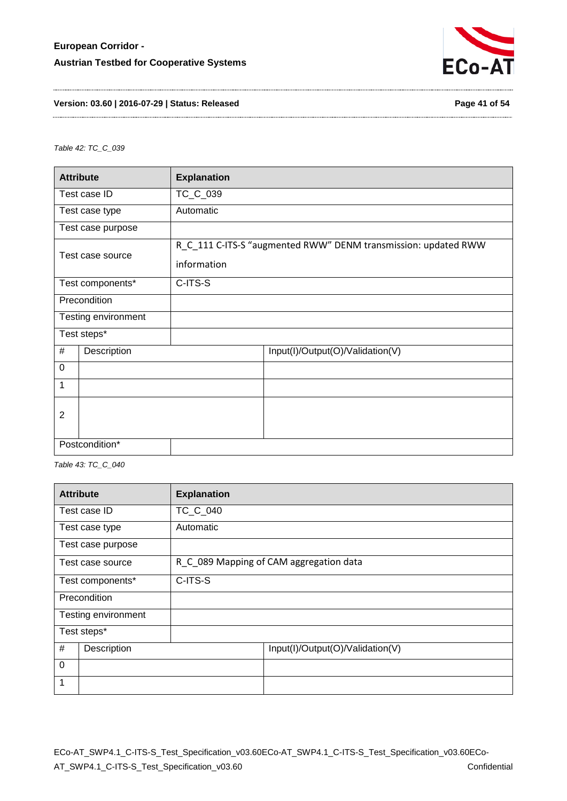

#### **Version: 03.60 | 2016-07-29 | Status: Released Page 41 of 54**

<span id="page-40-0"></span>*Table 42: TC\_C\_039*

| <b>Explanation</b><br><b>Attribute</b> |                     |                                                                               |                                  |  |  |
|----------------------------------------|---------------------|-------------------------------------------------------------------------------|----------------------------------|--|--|
|                                        | Test case ID        | TC_C_039                                                                      |                                  |  |  |
|                                        | Test case type      | Automatic                                                                     |                                  |  |  |
|                                        | Test case purpose   |                                                                               |                                  |  |  |
| Test case source                       |                     | R_C_111 C-ITS-S "augmented RWW" DENM transmission: updated RWW<br>information |                                  |  |  |
|                                        | Test components*    | C-ITS-S                                                                       |                                  |  |  |
|                                        | Precondition        |                                                                               |                                  |  |  |
|                                        | Testing environment |                                                                               |                                  |  |  |
|                                        | Test steps*         |                                                                               |                                  |  |  |
| #                                      | Description         |                                                                               | Input(I)/Output(O)/Validation(V) |  |  |
| $\Omega$                               |                     |                                                                               |                                  |  |  |
| 1                                      |                     |                                                                               |                                  |  |  |
| 2                                      |                     |                                                                               |                                  |  |  |
|                                        | Postcondition*      |                                                                               |                                  |  |  |

<span id="page-40-1"></span>*Table 43: TC\_C\_040*

| <b>Attribute</b><br><b>Explanation</b> |                     |                 |                                         |  |
|----------------------------------------|---------------------|-----------------|-----------------------------------------|--|
|                                        | Test case ID        | <b>TC C 040</b> |                                         |  |
|                                        | Test case type      | Automatic       |                                         |  |
|                                        | Test case purpose   |                 |                                         |  |
| Test case source                       |                     |                 | R_C_089 Mapping of CAM aggregation data |  |
|                                        | Test components*    | C-ITS-S         |                                         |  |
| Precondition                           |                     |                 |                                         |  |
|                                        | Testing environment |                 |                                         |  |
| Test steps*                            |                     |                 |                                         |  |
| #<br>Description                       |                     |                 | Input(I)/Output(O)/Validation(V)        |  |
| $\mathbf 0$                            |                     |                 |                                         |  |
| 1                                      |                     |                 |                                         |  |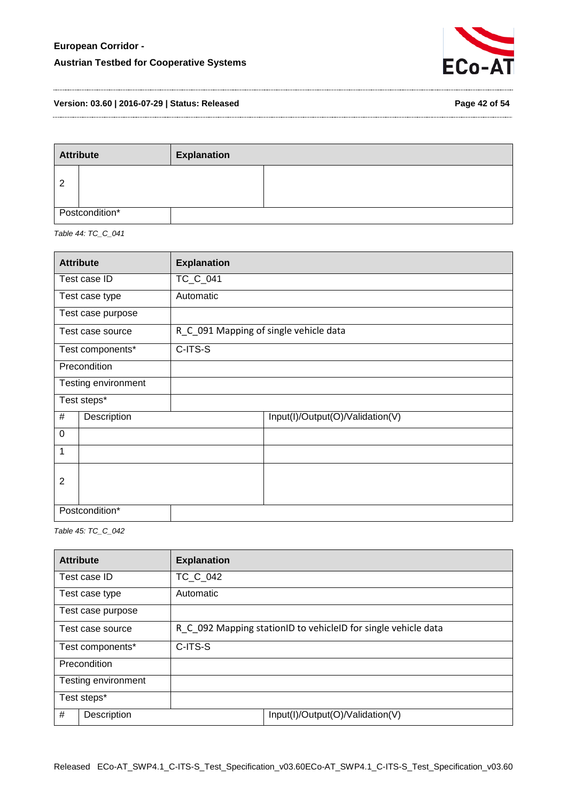

**Version: 03.60 | 2016-07-29 | Status: Released Page 42 of 54**

| Page 42 of 54 |  |  |  |
|---------------|--|--|--|
|---------------|--|--|--|

| <b>Attribute</b> |  | <b>Explanation</b> |  |
|------------------|--|--------------------|--|
| 2                |  |                    |  |
| Postcondition*   |  |                    |  |

<span id="page-41-0"></span>*Table 44: TC\_C\_041*

| <b>Attribute</b> |                     | <b>Explanation</b>                     |
|------------------|---------------------|----------------------------------------|
| Test case ID     |                     | TC_C_041                               |
|                  | Test case type      | Automatic                              |
|                  | Test case purpose   |                                        |
|                  | Test case source    | R_C_091 Mapping of single vehicle data |
|                  | Test components*    | C-ITS-S                                |
| Precondition     |                     |                                        |
|                  | Testing environment |                                        |
|                  | Test steps*         |                                        |
| #                | Description         | Input(I)/Output(O)/Validation(V)       |
| $\mathbf 0$      |                     |                                        |
| 1                |                     |                                        |
| $\overline{2}$   |                     |                                        |
|                  | Postcondition*      |                                        |

<span id="page-41-1"></span>*Table 45: TC\_C\_042*

|                     | <b>Attribute</b>  | <b>Explanation</b>                                             |                                  |  |
|---------------------|-------------------|----------------------------------------------------------------|----------------------------------|--|
|                     | Test case ID      | <b>TC C 042</b>                                                |                                  |  |
|                     | Test case type    | Automatic                                                      |                                  |  |
|                     | Test case purpose |                                                                |                                  |  |
| Test case source    |                   | R C 092 Mapping stationID to vehicleID for single vehicle data |                                  |  |
| Test components*    |                   | C-ITS-S                                                        |                                  |  |
| Precondition        |                   |                                                                |                                  |  |
| Testing environment |                   |                                                                |                                  |  |
| Test steps*         |                   |                                                                |                                  |  |
| #                   | Description       |                                                                | Input(I)/Output(O)/Validation(V) |  |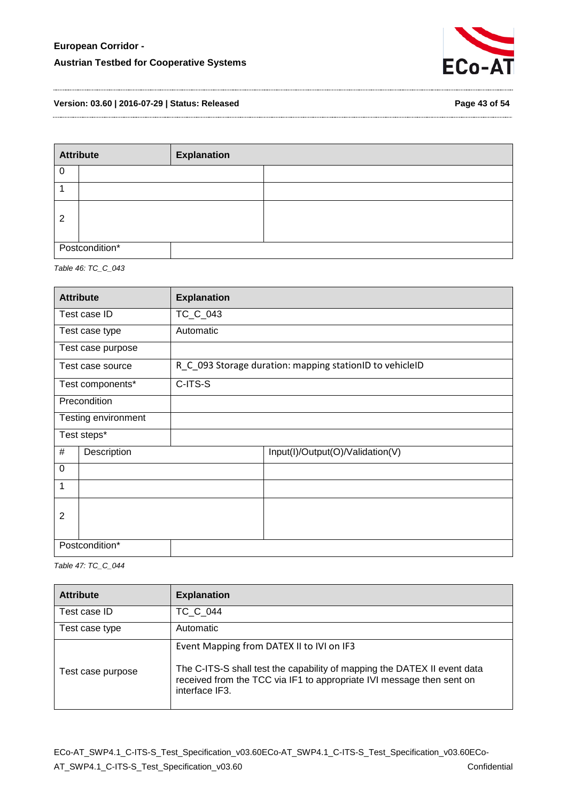

**Version: 03.60 | 2016-07-29 | Status: Released Page 43 of 54**

| <b>Attribute</b> |  | <b>Explanation</b> |  |
|------------------|--|--------------------|--|
|                  |  |                    |  |
|                  |  |                    |  |
| 2                |  |                    |  |
| Postcondition*   |  |                    |  |

<span id="page-42-0"></span>*Table 46: TC\_C\_043*

| <b>Attribute</b> |                     | <b>Explanation</b>                                       |                                  |
|------------------|---------------------|----------------------------------------------------------|----------------------------------|
| Test case ID     |                     | TC_C_043                                                 |                                  |
|                  | Test case type      | Automatic                                                |                                  |
|                  | Test case purpose   |                                                          |                                  |
|                  | Test case source    | R_C_093 Storage duration: mapping stationID to vehicleID |                                  |
|                  | Test components*    | C-ITS-S                                                  |                                  |
|                  | Precondition        |                                                          |                                  |
|                  | Testing environment |                                                          |                                  |
|                  | Test steps*         |                                                          |                                  |
| #                | Description         |                                                          | Input(I)/Output(O)/Validation(V) |
| $\mathbf 0$      |                     |                                                          |                                  |
| 1                |                     |                                                          |                                  |
| 2                |                     |                                                          |                                  |
|                  | Postcondition*      |                                                          |                                  |

<span id="page-42-1"></span>*Table 47: TC\_C\_044*

| <b>Attribute</b>  | <b>Explanation</b>                                                                                                                                                                                               |  |
|-------------------|------------------------------------------------------------------------------------------------------------------------------------------------------------------------------------------------------------------|--|
| Test case ID      | TC C 044                                                                                                                                                                                                         |  |
| Test case type    | Automatic                                                                                                                                                                                                        |  |
| Test case purpose | Event Mapping from DATEX II to IVI on IF3<br>The C-ITS-S shall test the capability of mapping the DATEX II event data<br>received from the TCC via IF1 to appropriate IVI message then sent on<br>interface IF3. |  |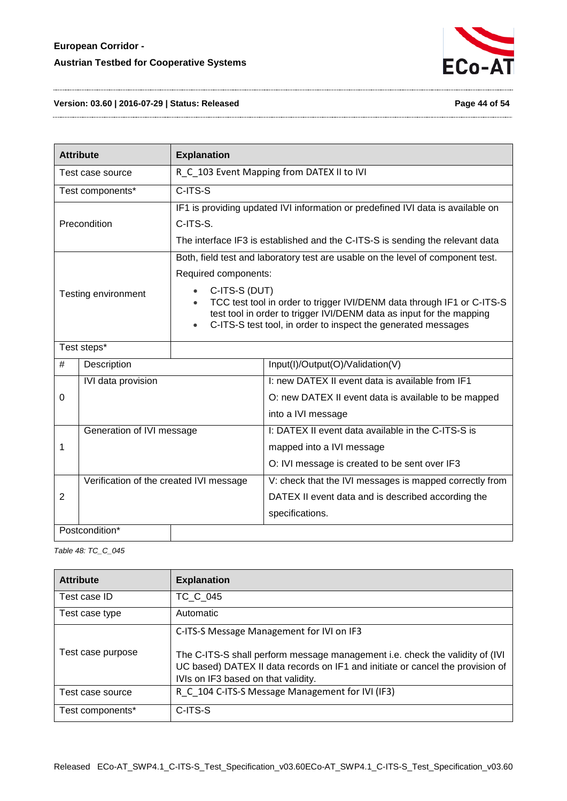

#### **Version: 03.60 | 2016-07-29 | Status: Released Page 44 of 54**

| <b>Explanation</b><br><b>Attribute</b> |                                         |                                                                                                                                                                                                                                                                                                                                                          |                                                                                                                                  |  |
|----------------------------------------|-----------------------------------------|----------------------------------------------------------------------------------------------------------------------------------------------------------------------------------------------------------------------------------------------------------------------------------------------------------------------------------------------------------|----------------------------------------------------------------------------------------------------------------------------------|--|
| Test case source                       |                                         |                                                                                                                                                                                                                                                                                                                                                          | R_C_103 Event Mapping from DATEX II to IVI                                                                                       |  |
|                                        | Test components*                        | $C-ITS-S$                                                                                                                                                                                                                                                                                                                                                |                                                                                                                                  |  |
| Precondition                           |                                         | IF1 is providing updated IVI information or predefined IVI data is available on<br>C-ITS-S.<br>The interface IF3 is established and the C-ITS-S is sending the relevant data                                                                                                                                                                             |                                                                                                                                  |  |
| Testing environment                    |                                         | Both, field test and laboratory test are usable on the level of component test.<br>Required components:<br>C-ITS-S (DUT)<br>TCC test tool in order to trigger IVI/DENM data through IF1 or C-ITS-S<br>test tool in order to trigger IVI/DENM data as input for the mapping<br>C-ITS-S test tool, in order to inspect the generated messages<br>$\bullet$ |                                                                                                                                  |  |
|                                        | Test steps*                             |                                                                                                                                                                                                                                                                                                                                                          |                                                                                                                                  |  |
| #                                      | Description                             |                                                                                                                                                                                                                                                                                                                                                          | Input(I)/Output(O)/Validation(V)                                                                                                 |  |
| 0                                      | IVI data provision                      |                                                                                                                                                                                                                                                                                                                                                          | I: new DATEX II event data is available from IF1<br>O: new DATEX II event data is available to be mapped<br>into a IVI message   |  |
| 1                                      | Generation of IVI message               |                                                                                                                                                                                                                                                                                                                                                          | I: DATEX II event data available in the C-ITS-S is<br>mapped into a IVI message<br>O: IVI message is created to be sent over IF3 |  |
| 2                                      | Verification of the created IVI message |                                                                                                                                                                                                                                                                                                                                                          | V: check that the IVI messages is mapped correctly from<br>DATEX II event data and is described according the<br>specifications. |  |
|                                        | Postcondition*                          |                                                                                                                                                                                                                                                                                                                                                          |                                                                                                                                  |  |

<span id="page-43-0"></span>*Table 48: TC\_C\_045*

| <b>Attribute</b>  | <b>Explanation</b>                                                                                                                                                                                                                                  |
|-------------------|-----------------------------------------------------------------------------------------------------------------------------------------------------------------------------------------------------------------------------------------------------|
| Test case ID      | TC C 045                                                                                                                                                                                                                                            |
| Test case type    | Automatic                                                                                                                                                                                                                                           |
| Test case purpose | C-ITS-S Message Management for IVI on IF3<br>The C-ITS-S shall perform message management i.e. check the validity of (IVI)<br>UC based) DATEX II data records on IF1 and initiate or cancel the provision of<br>IVIs on IF3 based on that validity. |
| Test case source  | R C 104 C-ITS-S Message Management for IVI (IF3)                                                                                                                                                                                                    |
| Test components*  | C-ITS-S                                                                                                                                                                                                                                             |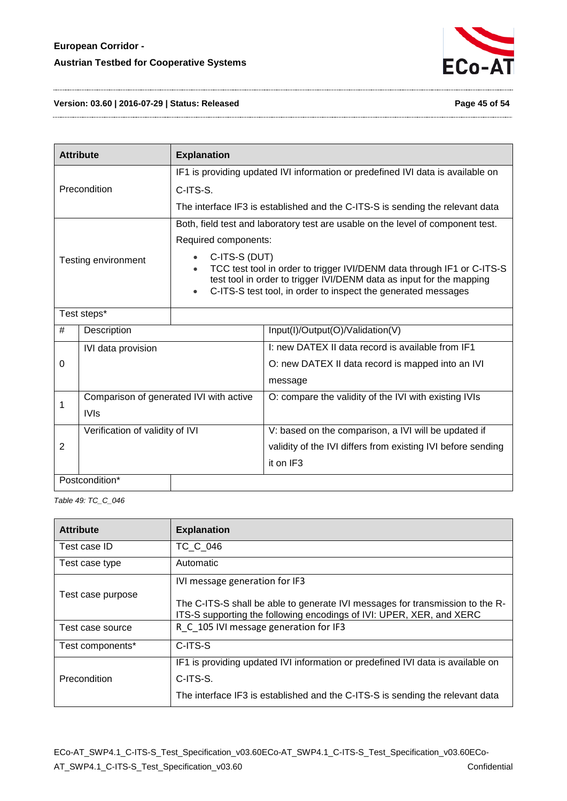

#### **Version: 03.60 | 2016-07-29 | Status: Released Page 45 of 54**

|                     | <b>Attribute</b><br><b>Explanation</b>  |                                                                                                                                                                                                                                  |                                                                                 |  |
|---------------------|-----------------------------------------|----------------------------------------------------------------------------------------------------------------------------------------------------------------------------------------------------------------------------------|---------------------------------------------------------------------------------|--|
|                     |                                         | IF1 is providing updated IVI information or predefined IVI data is available on                                                                                                                                                  |                                                                                 |  |
|                     | Precondition                            | C-ITS-S.                                                                                                                                                                                                                         |                                                                                 |  |
|                     |                                         | The interface IF3 is established and the C-ITS-S is sending the relevant data                                                                                                                                                    |                                                                                 |  |
|                     |                                         |                                                                                                                                                                                                                                  | Both, field test and laboratory test are usable on the level of component test. |  |
|                     |                                         | Required components:                                                                                                                                                                                                             |                                                                                 |  |
| Testing environment |                                         | C-ITS-S (DUT)<br>TCC test tool in order to trigger IVI/DENM data through IF1 or C-ITS-S<br>test tool in order to trigger IVI/DENM data as input for the mapping<br>C-ITS-S test tool, in order to inspect the generated messages |                                                                                 |  |
|                     | Test steps*                             |                                                                                                                                                                                                                                  |                                                                                 |  |
| #                   | Description                             |                                                                                                                                                                                                                                  | Input(I)/Output(O)/Validation(V)                                                |  |
| IVI data provision  |                                         |                                                                                                                                                                                                                                  | I: new DATEX II data record is available from IF1                               |  |
| 0                   |                                         |                                                                                                                                                                                                                                  | O: new DATEX II data record is mapped into an IVI                               |  |
|                     |                                         |                                                                                                                                                                                                                                  | message                                                                         |  |
| 1                   | Comparison of generated IVI with active |                                                                                                                                                                                                                                  | O: compare the validity of the IVI with existing IVIs                           |  |
|                     | <b>IVIs</b>                             |                                                                                                                                                                                                                                  |                                                                                 |  |
|                     | Verification of validity of IVI         |                                                                                                                                                                                                                                  | V: based on the comparison, a IVI will be updated if                            |  |
| 2                   |                                         |                                                                                                                                                                                                                                  | validity of the IVI differs from existing IVI before sending                    |  |
|                     |                                         |                                                                                                                                                                                                                                  | it on IF3                                                                       |  |
|                     | Postcondition*                          |                                                                                                                                                                                                                                  |                                                                                 |  |

<span id="page-44-0"></span>*Table 49: TC\_C\_046*

| <b>Attribute</b>  | <b>Explanation</b>                                                                                                                                    |  |
|-------------------|-------------------------------------------------------------------------------------------------------------------------------------------------------|--|
| Test case ID      | TC C 046                                                                                                                                              |  |
| Test case type    | Automatic                                                                                                                                             |  |
|                   | IVI message generation for IF3                                                                                                                        |  |
| Test case purpose | The C-ITS-S shall be able to generate IVI messages for transmission to the R-<br>ITS-S supporting the following encodings of IVI: UPER, XER, and XERC |  |
| Test case source  | R C 105 IVI message generation for IF3                                                                                                                |  |
| Test components*  | C-ITS-S                                                                                                                                               |  |
|                   | IF1 is providing updated IVI information or predefined IVI data is available on                                                                       |  |
| Precondition      | C-ITS-S.                                                                                                                                              |  |
|                   | The interface IF3 is established and the C-ITS-S is sending the relevant data                                                                         |  |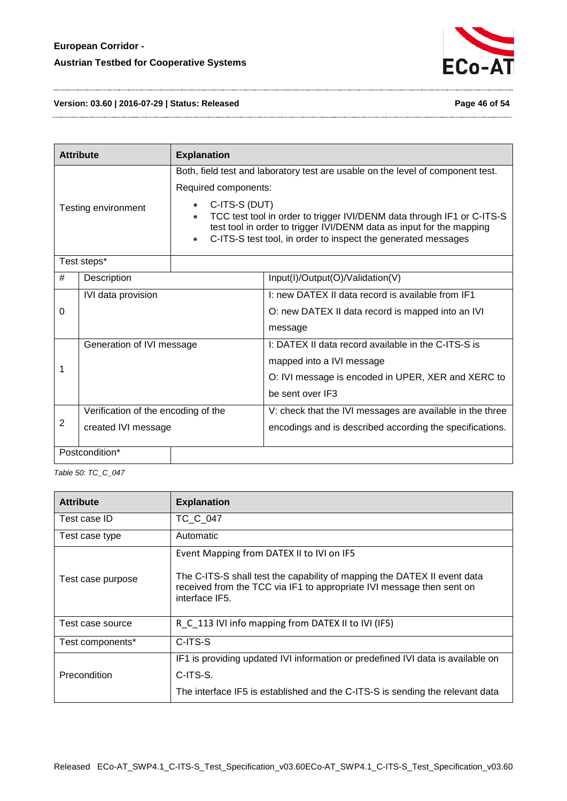

**Version: 03.60 | 2016-07-29 | Status: Released Page 46 of 54**

|                                                                           | <b>Attribute</b><br><b>Explanation</b> |  |                                                                                                                                                                                                                                                                                                    |
|---------------------------------------------------------------------------|----------------------------------------|--|----------------------------------------------------------------------------------------------------------------------------------------------------------------------------------------------------------------------------------------------------------------------------------------------------|
| Required components:<br>C-ITS-S (DUT)<br>Testing environment<br>$\bullet$ |                                        |  | Both, field test and laboratory test are usable on the level of component test.<br>TCC test tool in order to trigger IVI/DENM data through IF1 or C-ITS-S<br>test tool in order to trigger IVI/DENM data as input for the mapping<br>C-ITS-S test tool, in order to inspect the generated messages |
|                                                                           | Test steps*                            |  |                                                                                                                                                                                                                                                                                                    |
| #                                                                         | Description                            |  | Input(I)/Output(O)/Validation(V)                                                                                                                                                                                                                                                                   |
| IVI data provision                                                        |                                        |  | 1: new DATEX II data record is available from IF1                                                                                                                                                                                                                                                  |
| 0                                                                         |                                        |  | O: new DATEX II data record is mapped into an IVI                                                                                                                                                                                                                                                  |
|                                                                           |                                        |  | message                                                                                                                                                                                                                                                                                            |
| Generation of IVI message                                                 |                                        |  | I: DATEX II data record available in the C-ITS-S is                                                                                                                                                                                                                                                |
|                                                                           |                                        |  | mapped into a IVI message                                                                                                                                                                                                                                                                          |
| 1                                                                         |                                        |  | O: IVI message is encoded in UPER, XER and XERC to                                                                                                                                                                                                                                                 |
|                                                                           |                                        |  | be sent over IF3                                                                                                                                                                                                                                                                                   |
| Verification of the encoding of the                                       |                                        |  | V: check that the IVI messages are available in the three                                                                                                                                                                                                                                          |
| 2<br>created IVI message                                                  |                                        |  | encodings and is described according the specifications.                                                                                                                                                                                                                                           |
|                                                                           | Postcondition*                         |  |                                                                                                                                                                                                                                                                                                    |

<span id="page-45-0"></span>*Table 50: TC\_C\_047*

| <b>Attribute</b>    | <b>Explanation</b>                                                                                                                                                                                               |  |
|---------------------|------------------------------------------------------------------------------------------------------------------------------------------------------------------------------------------------------------------|--|
| Test case ID        | TC C 047                                                                                                                                                                                                         |  |
| Test case type      | Automatic                                                                                                                                                                                                        |  |
| Test case purpose   | Event Mapping from DATEX II to IVI on IF5<br>The C-ITS-S shall test the capability of mapping the DATEX II event data<br>received from the TCC via IF1 to appropriate IVI message then sent on<br>interface IF5. |  |
| Test case source    | R_C_113 IVI info mapping from DATEX II to IVI (IF5)                                                                                                                                                              |  |
| Test components*    | C-ITS-S                                                                                                                                                                                                          |  |
| <b>Precondition</b> | IF1 is providing updated IVI information or predefined IVI data is available on<br>C-ITS-S.<br>The interface IF5 is established and the C-ITS-S is sending the relevant data                                     |  |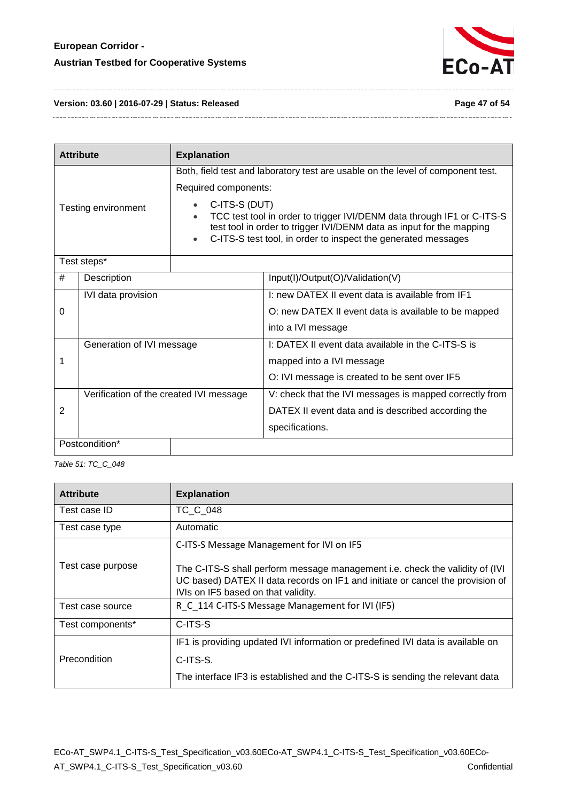

**Version: 03.60 | 2016-07-29 | Status: Released Page 47 of 54**

|                     | <b>Attribute</b><br><b>Explanation</b>  |                                                                                                                                       |                                                                                 |
|---------------------|-----------------------------------------|---------------------------------------------------------------------------------------------------------------------------------------|---------------------------------------------------------------------------------|
|                     |                                         |                                                                                                                                       | Both, field test and laboratory test are usable on the level of component test. |
|                     |                                         | Required components:                                                                                                                  |                                                                                 |
| Testing environment |                                         | C-ITS-S (DUT)                                                                                                                         | TCC test tool in order to trigger IVI/DENM data through IF1 or C-ITS-S          |
|                     |                                         | test tool in order to trigger IVI/DENM data as input for the mapping<br>C-ITS-S test tool, in order to inspect the generated messages |                                                                                 |
| Test steps*         |                                         |                                                                                                                                       |                                                                                 |
| #                   | Description                             |                                                                                                                                       | Input(I)/Output(O)/Validation(V)                                                |
|                     | IVI data provision                      |                                                                                                                                       | I: new DATEX II event data is available from IF1                                |
| 0                   |                                         |                                                                                                                                       | O: new DATEX II event data is available to be mapped                            |
|                     |                                         |                                                                                                                                       | into a IVI message                                                              |
|                     | Generation of IVI message               |                                                                                                                                       | I: DATEX II event data available in the C-ITS-S is                              |
| 1                   |                                         |                                                                                                                                       | mapped into a IVI message                                                       |
|                     |                                         |                                                                                                                                       | O: IVI message is created to be sent over IF5                                   |
|                     | Verification of the created IVI message |                                                                                                                                       | V: check that the IVI messages is mapped correctly from                         |
| $\overline{2}$      |                                         |                                                                                                                                       | DATEX II event data and is described according the                              |
|                     |                                         |                                                                                                                                       | specifications.                                                                 |
|                     | Postcondition*                          |                                                                                                                                       |                                                                                 |

<span id="page-46-0"></span>*Table 51: TC\_C\_048*

| <b>Attribute</b>  | <b>Explanation</b>                                                                                                                                                                                     |  |
|-------------------|--------------------------------------------------------------------------------------------------------------------------------------------------------------------------------------------------------|--|
| Test case ID      | TC C 048                                                                                                                                                                                               |  |
| Test case type    | Automatic                                                                                                                                                                                              |  |
|                   | C-ITS-S Message Management for IVI on IF5                                                                                                                                                              |  |
| Test case purpose | The C-ITS-S shall perform message management i.e. check the validity of (IVI)<br>UC based) DATEX II data records on IF1 and initiate or cancel the provision of<br>IVIs on IF5 based on that validity. |  |
| Test case source  | R_C_114 C-ITS-S Message Management for IVI (IF5)                                                                                                                                                       |  |
| Test components*  | C-ITS-S                                                                                                                                                                                                |  |
|                   | IF1 is providing updated IVI information or predefined IVI data is available on                                                                                                                        |  |
| Precondition      | C-ITS-S.                                                                                                                                                                                               |  |
|                   | The interface IF3 is established and the C-ITS-S is sending the relevant data                                                                                                                          |  |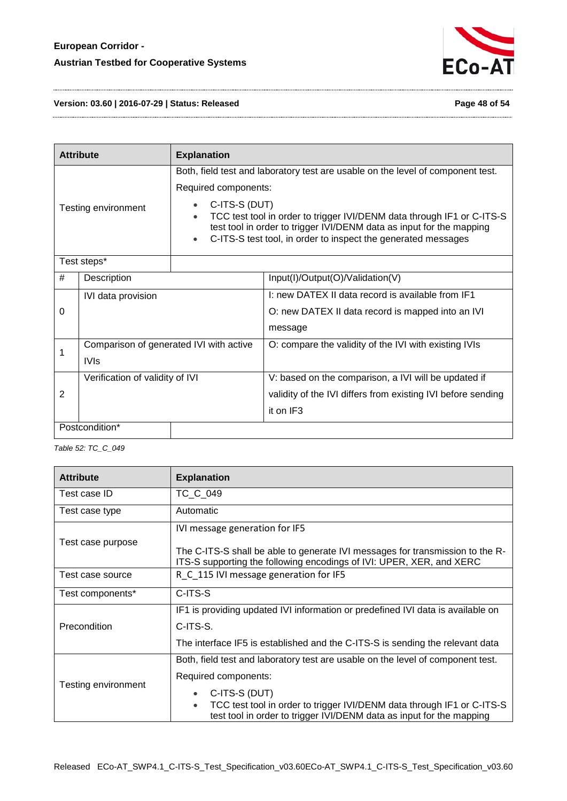

**Version: 03.60 | 2016-07-29 | Status: Released Page 48 of 54**

| <b>Attribute</b><br><b>Explanation</b> |                                         |                                                                                                                                                                                                                                  |                                                                                 |
|----------------------------------------|-----------------------------------------|----------------------------------------------------------------------------------------------------------------------------------------------------------------------------------------------------------------------------------|---------------------------------------------------------------------------------|
|                                        |                                         | Required components:                                                                                                                                                                                                             | Both, field test and laboratory test are usable on the level of component test. |
| Testing environment                    |                                         | C-ITS-S (DUT)<br>TCC test tool in order to trigger IVI/DENM data through IF1 or C-ITS-S<br>test tool in order to trigger IVI/DENM data as input for the mapping<br>C-ITS-S test tool, in order to inspect the generated messages |                                                                                 |
| Test steps*                            |                                         |                                                                                                                                                                                                                                  |                                                                                 |
| #                                      | Description                             |                                                                                                                                                                                                                                  | Input(I)/Output(O)/Validation(V)                                                |
|                                        | IVI data provision                      |                                                                                                                                                                                                                                  | I: new DATEX II data record is available from IF1                               |
| 0                                      |                                         |                                                                                                                                                                                                                                  | O: new DATEX II data record is mapped into an IVI                               |
|                                        |                                         |                                                                                                                                                                                                                                  | message                                                                         |
| 1                                      | Comparison of generated IVI with active |                                                                                                                                                                                                                                  | O: compare the validity of the IVI with existing IVIs                           |
|                                        | <b>IVIs</b>                             |                                                                                                                                                                                                                                  |                                                                                 |
|                                        | Verification of validity of IVI         |                                                                                                                                                                                                                                  | V: based on the comparison, a IVI will be updated if                            |
| $\overline{2}$                         |                                         |                                                                                                                                                                                                                                  | validity of the IVI differs from existing IVI before sending                    |
|                                        |                                         |                                                                                                                                                                                                                                  | it on IF3                                                                       |
|                                        | Postcondition*                          |                                                                                                                                                                                                                                  |                                                                                 |

<span id="page-47-0"></span>*Table 52: TC\_C\_049*

| <b>Attribute</b>    | <b>Explanation</b>                                                                                                                                          |  |  |
|---------------------|-------------------------------------------------------------------------------------------------------------------------------------------------------------|--|--|
| Test case ID        | TC C 049                                                                                                                                                    |  |  |
| Test case type      | Automatic                                                                                                                                                   |  |  |
|                     | IVI message generation for IF5                                                                                                                              |  |  |
| Test case purpose   | The C-ITS-S shall be able to generate IVI messages for transmission to the R-<br>ITS-S supporting the following encodings of IVI: UPER, XER, and XERC       |  |  |
| Test case source    | R C 115 IVI message generation for IF5                                                                                                                      |  |  |
| Test components*    | C-ITS-S                                                                                                                                                     |  |  |
|                     | IF1 is providing updated IVI information or predefined IVI data is available on                                                                             |  |  |
| Precondition        | C-ITS-S.                                                                                                                                                    |  |  |
|                     | The interface IF5 is established and the C-ITS-S is sending the relevant data                                                                               |  |  |
|                     | Both, field test and laboratory test are usable on the level of component test.                                                                             |  |  |
| Testing environment | Required components:                                                                                                                                        |  |  |
|                     | C-ITS-S (DUT)                                                                                                                                               |  |  |
|                     | TCC test tool in order to trigger IVI/DENM data through IF1 or C-ITS-S<br>$\bullet$<br>test tool in order to trigger IVI/DENM data as input for the mapping |  |  |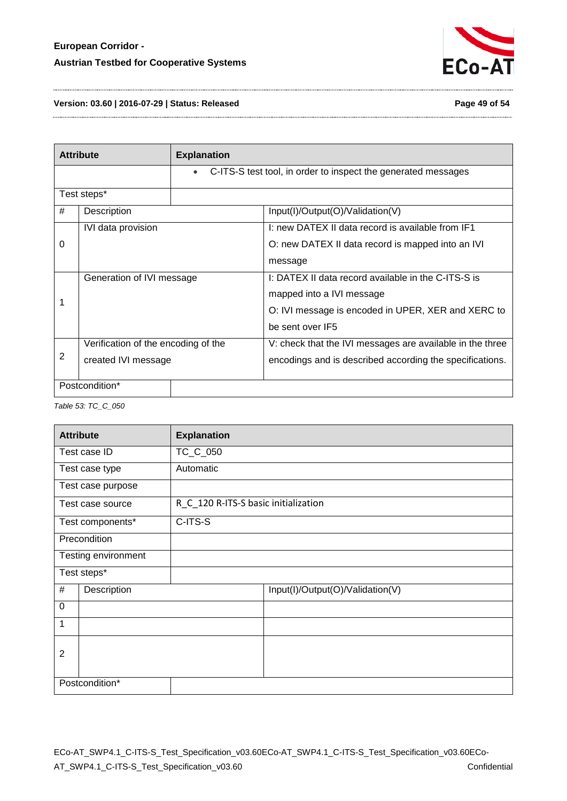

#### **Version: 03.60 | 2016-07-29 | Status: Released Page 49 of 54**

|             | <b>Attribute</b>                    | <b>Explanation</b> |                                                               |
|-------------|-------------------------------------|--------------------|---------------------------------------------------------------|
|             |                                     |                    | C-ITS-S test tool, in order to inspect the generated messages |
| Test steps* |                                     |                    |                                                               |
| #           | Description                         |                    | Input(I)/Output(O)/Validation(V)                              |
|             | IVI data provision                  |                    | I: new DATEX II data record is available from IF1             |
| 0           |                                     |                    | O: new DATEX II data record is mapped into an IVI             |
|             |                                     |                    | message                                                       |
|             | Generation of IVI message           |                    | I: DATEX II data record available in the C-ITS-S is           |
|             |                                     |                    | mapped into a IVI message                                     |
|             |                                     |                    | O: IVI message is encoded in UPER, XER and XERC to            |
|             |                                     |                    | be sent over IF5                                              |
|             | Verification of the encoding of the |                    | V: check that the IVI messages are available in the three     |
| 2           | created IVI message                 |                    | encodings and is described according the specifications.      |
|             | Postcondition*                      |                    |                                                               |

<span id="page-48-0"></span>*Table 53: TC\_C\_050*

| <b>Attribute</b>    |                   | <b>Explanation</b>                   |
|---------------------|-------------------|--------------------------------------|
|                     | Test case ID      | TC_C_050                             |
|                     | Test case type    | Automatic                            |
|                     | Test case purpose |                                      |
|                     | Test case source  | R_C_120 R-ITS-S basic initialization |
|                     | Test components*  | C-ITS-S                              |
|                     | Precondition      |                                      |
| Testing environment |                   |                                      |
| Test steps*         |                   |                                      |
| #                   | Description       | Input(I)/Output(O)/Validation(V)     |
| $\mathbf 0$         |                   |                                      |
| 1                   |                   |                                      |
| $\overline{2}$      |                   |                                      |
| Postcondition*      |                   |                                      |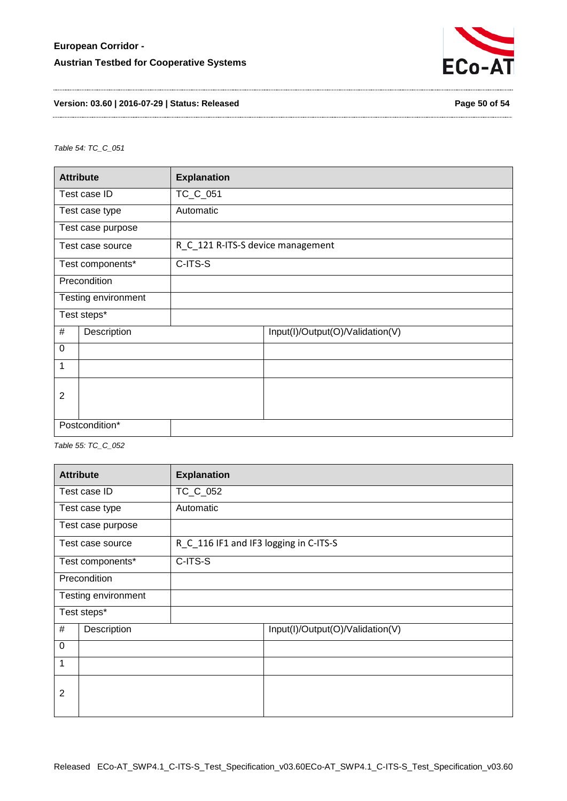

#### **Version: 03.60 | 2016-07-29 | Status: Released Page 50 of 54**

<span id="page-49-0"></span>*Table 54: TC\_C\_051*

| <b>Attribute</b>    |                  | <b>Explanation</b>                |                                  |
|---------------------|------------------|-----------------------------------|----------------------------------|
|                     | Test case ID     | TC_C_051                          |                                  |
|                     | Test case type   | Automatic                         |                                  |
| Test case purpose   |                  |                                   |                                  |
|                     | Test case source | R C 121 R-ITS-S device management |                                  |
|                     | Test components* | C-ITS-S                           |                                  |
|                     | Precondition     |                                   |                                  |
| Testing environment |                  |                                   |                                  |
| Test steps*         |                  |                                   |                                  |
| #<br>Description    |                  |                                   | Input(I)/Output(O)/Validation(V) |
| $\mathbf 0$         |                  |                                   |                                  |
| 1                   |                  |                                   |                                  |
| $\overline{2}$      |                  |                                   |                                  |
|                     |                  |                                   |                                  |
| Postcondition*      |                  |                                   |                                  |

<span id="page-49-1"></span>*Table 55: TC\_C\_052*

| <b>Attribute</b>    |                   | <b>Explanation</b>                     |                                  |
|---------------------|-------------------|----------------------------------------|----------------------------------|
|                     | Test case ID      | TC_C_052                               |                                  |
| Test case type      |                   | Automatic                              |                                  |
|                     | Test case purpose |                                        |                                  |
|                     | Test case source  | R_C_116 IF1 and IF3 logging in C-ITS-S |                                  |
| Test components*    |                   | C-ITS-S                                |                                  |
| Precondition        |                   |                                        |                                  |
| Testing environment |                   |                                        |                                  |
| Test steps*         |                   |                                        |                                  |
| #                   | Description       |                                        | Input(I)/Output(O)/Validation(V) |
| $\boldsymbol{0}$    |                   |                                        |                                  |
| 1                   |                   |                                        |                                  |
| $\overline{2}$      |                   |                                        |                                  |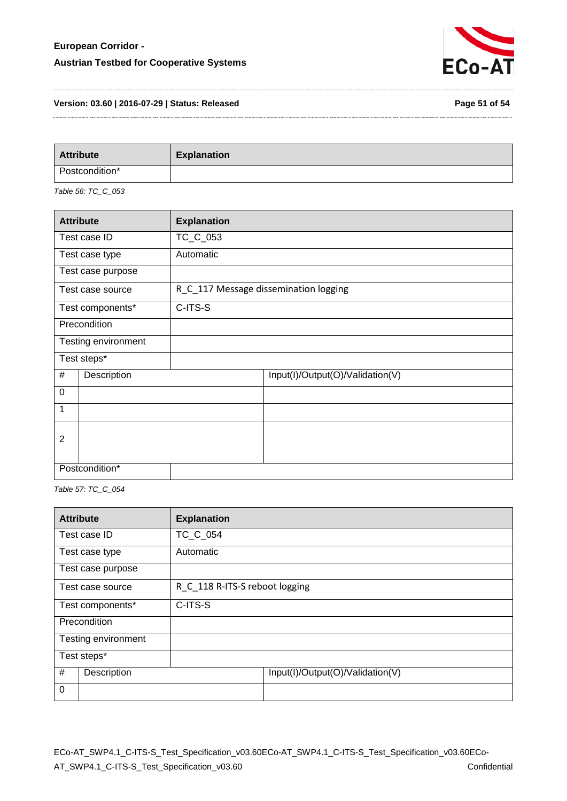

#### **Version: 03.60 | 2016-07-29 | Status: Released Page 51 of 54**

| <b>Attribute</b> | <b>Explanation</b> |
|------------------|--------------------|
| Postcondition*   |                    |

<span id="page-50-0"></span>*Table 56: TC\_C\_053*

| <b>Attribute</b> |                     | <b>Explanation</b>                    |
|------------------|---------------------|---------------------------------------|
|                  | Test case ID        | TC_C_053                              |
|                  | Test case type      | Automatic                             |
|                  | Test case purpose   |                                       |
|                  | Test case source    | R_C_117 Message dissemination logging |
|                  | Test components*    | C-ITS-S                               |
|                  | Precondition        |                                       |
|                  | Testing environment |                                       |
| Test steps*      |                     |                                       |
| #                | Description         | Input(I)/Output(O)/Validation(V)      |
| $\mathbf 0$      |                     |                                       |
| 1                |                     |                                       |
| $\overline{2}$   |                     |                                       |
|                  |                     |                                       |
| Postcondition*   |                     |                                       |

<span id="page-50-1"></span>*Table 57: TC\_C\_054*

| <b>Attribute</b>    | <b>Explanation</b>             |                                  |  |
|---------------------|--------------------------------|----------------------------------|--|
| Test case ID        | TC C 054                       |                                  |  |
| Test case type      | Automatic                      |                                  |  |
| Test case purpose   |                                |                                  |  |
| Test case source    | R C 118 R-ITS-S reboot logging |                                  |  |
| Test components*    | C-ITS-S                        |                                  |  |
| Precondition        |                                |                                  |  |
| Testing environment |                                |                                  |  |
| Test steps*         |                                |                                  |  |
| #<br>Description    |                                | Input(I)/Output(O)/Validation(V) |  |
| $\mathbf 0$         |                                |                                  |  |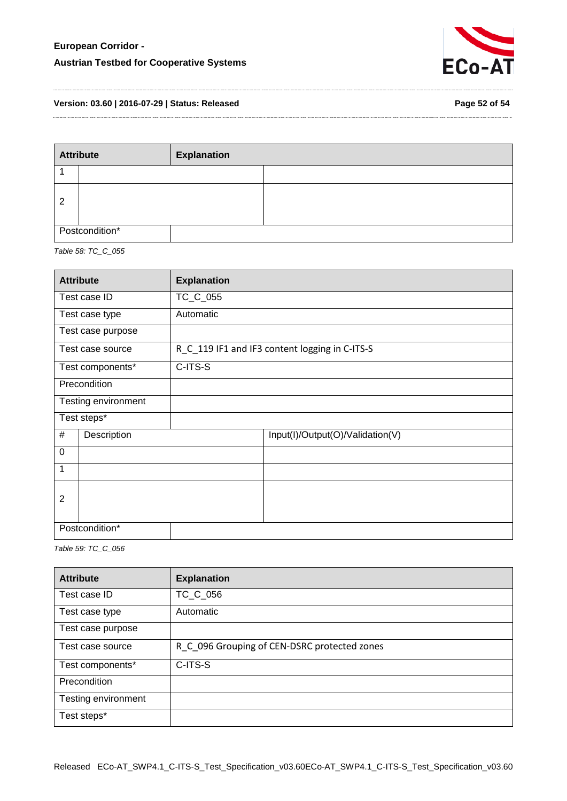

**Version: 03.60 | 2016-07-29 | Status: Released Page 52 of 54**

| <b>Attribute</b> |  | <b>Explanation</b> |  |
|------------------|--|--------------------|--|
|                  |  |                    |  |
| 2                |  |                    |  |
| Postcondition*   |  |                    |  |

<span id="page-51-0"></span>*Table 58: TC\_C\_055*

| <b>Attribute</b>    |                  | <b>Explanation</b>                             |
|---------------------|------------------|------------------------------------------------|
|                     | Test case ID     | TC_C_055                                       |
|                     | Test case type   | Automatic                                      |
| Test case purpose   |                  |                                                |
|                     | Test case source | R_C_119 IF1 and IF3 content logging in C-ITS-S |
|                     | Test components* | C-ITS-S                                        |
|                     | Precondition     |                                                |
| Testing environment |                  |                                                |
| Test steps*         |                  |                                                |
| #                   | Description      | Input(I)/Output(O)/Validation(V)               |
| $\mathbf 0$         |                  |                                                |
| 1                   |                  |                                                |
| $\overline{2}$      |                  |                                                |
| Postcondition*      |                  |                                                |

<span id="page-51-1"></span>*Table 59: TC\_C\_056*

| <b>Attribute</b>            | <b>Explanation</b>                           |
|-----------------------------|----------------------------------------------|
| Test case ID                | TC_C_056                                     |
| Automatic<br>Test case type |                                              |
| Test case purpose           |                                              |
| Test case source            | R_C_096 Grouping of CEN-DSRC protected zones |
| Test components*            | C-ITS-S                                      |
| Precondition                |                                              |
| Testing environment         |                                              |
| Test steps*                 |                                              |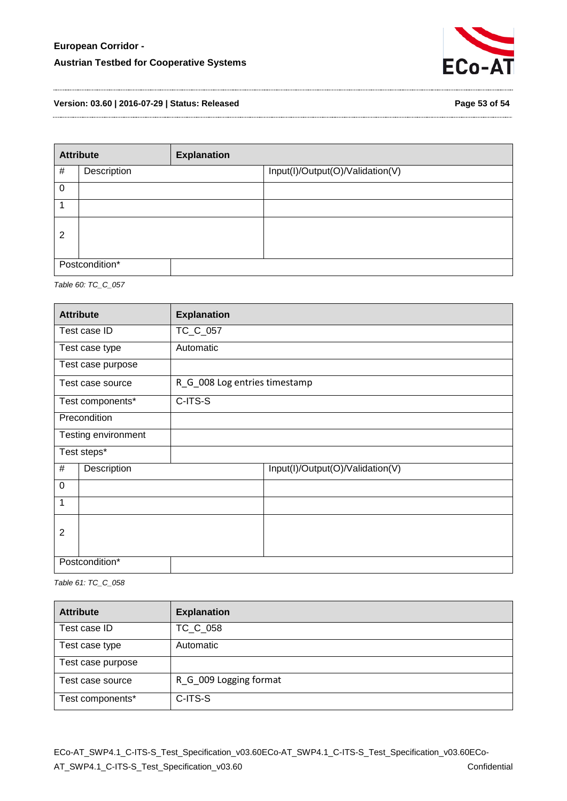

**Version: 03.60 | 2016-07-29 | Status: Released Page 53 of 54**

| <b>Attribute</b> |             | <b>Explanation</b> |                                  |
|------------------|-------------|--------------------|----------------------------------|
| #                | Description |                    | Input(I)/Output(O)/Validation(V) |
| 0                |             |                    |                                  |
|                  |             |                    |                                  |
| $\overline{2}$   |             |                    |                                  |
| Postcondition*   |             |                    |                                  |

<span id="page-52-0"></span>*Table 60: TC\_C\_057* 

| <b>Attribute</b> |                     | <b>Explanation</b>            |                                  |
|------------------|---------------------|-------------------------------|----------------------------------|
|                  | Test case ID        | TC_C_057                      |                                  |
|                  | Test case type      | Automatic                     |                                  |
|                  | Test case purpose   |                               |                                  |
|                  | Test case source    | R_G_008 Log entries timestamp |                                  |
|                  | Test components*    | C-ITS-S                       |                                  |
|                  | Precondition        |                               |                                  |
|                  | Testing environment |                               |                                  |
|                  | Test steps*         |                               |                                  |
| #<br>Description |                     |                               | Input(I)/Output(O)/Validation(V) |
| $\mathbf 0$      |                     |                               |                                  |
| 1                |                     |                               |                                  |
|                  |                     |                               |                                  |
| $\overline{2}$   |                     |                               |                                  |
| Postcondition*   |                     |                               |                                  |

<span id="page-52-1"></span>*Table 61: TC\_C\_058* 

| <b>Attribute</b>  | <b>Explanation</b>     |
|-------------------|------------------------|
| Test case ID      | TC_C_058               |
| Test case type    | Automatic              |
| Test case purpose |                        |
| Test case source  | R_G_009 Logging format |
| Test components*  | C-ITS-S                |